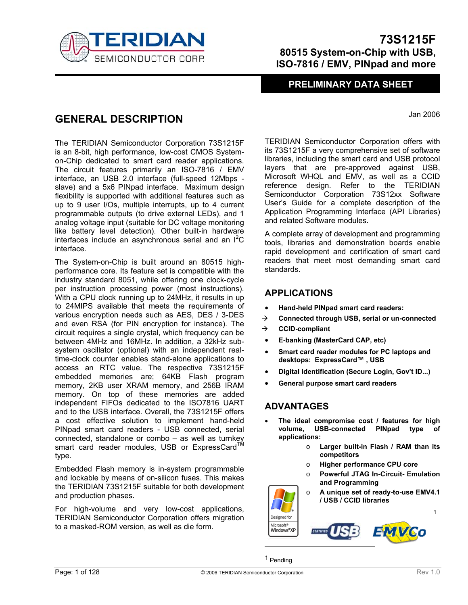

### **PRELIMINARY DATA SHEET**

Jan 2006

## **GENERAL DESCRIPTION**

The TERIDIAN Semiconductor Corporation 73S1215F is an 8-bit, high performance, low-cost CMOS Systemon-Chip dedicated to smart card reader applications. The circuit features primarily an ISO-7816 / EMV interface, an USB 2.0 interface (full-speed 12Mbps slave) and a 5x6 PINpad interface. Maximum design flexibility is supported with additional features such as up to 9 user I/Os, multiple interrupts, up to 4 current programmable outputs (to drive external LEDs), and 1 analog voltage input (suitable for DC voltage monitoring like battery level detection). Other built-in hardware interfaces include an asynchronous serial and an  $I^2C$ interface.

The System-on-Chip is built around an 80515 highperformance core. Its feature set is compatible with the industry standard 8051, while offering one clock-cycle per instruction processing power (most instructions). With a CPU clock running up to 24MHz, it results in up to 24MIPS available that meets the requirements of various encryption needs such as AES, DES / 3-DES and even RSA (for PIN encryption for instance). The circuit requires a single crystal, which frequency can be between 4MHz and 16MHz. In addition, a 32kHz subsystem oscillator (optional) with an independent realtime-clock counter enables stand-alone applications to access an RTC value. The respective 73S1215F embedded memories are; 64KB Flash program memory, 2KB user XRAM memory, and 256B IRAM memory. On top of these memories are added independent FIFOs dedicated to the ISO7816 UART and to the USB interface. Overall, the 73S1215F offers a cost effective solution to implement hand-held PINpad smart card readers - USB connected, serial connected, standalone or combo – as well as turnkey smart card reader modules, USB or ExpressCard<sup>TM</sup> type.

Embedded Flash memory is in-system programmable and lockable by means of on-silicon fuses. This makes the TERIDIAN 73S1215F suitable for both development and production phases.

For high-volume and very low-cost applications, TERIDIAN Semiconductor Corporation offers migration to a masked-ROM version, as well as die form.

TERIDIAN Semiconductor Corporation offers with its 73S1215F a very comprehensive set of software libraries, including the smart card and USB protocol layers that are pre-approved against USB, Microsoft WHQL and EMV, as well as a CCID reference design. Refer to the TERIDIAN Semiconductor Corporation 73S12xx Software User's Guide for a complete description of the Application Programming Interface (API Libraries) and related Software modules.

A complete array of development and programming tools, libraries and demonstration boards enable rapid development and certification of smart card readers that meet most demanding smart card standards.

### **APPLICATIONS**

- **Hand-held PINpad smart card readers:**
- Æ **Connected through USB, serial or un-connected**
- Æ **CCID-compliant**
- **E-banking (MasterCard CAP, etc)**
- **Smart card reader modules for PC laptops and desktops: ExpressCard™ , USB**
- **Digital Identification (Secure Login, Gov't ID...)**
- **General purpose smart card readers**

### **ADVANTAGES**

- **The ideal compromise cost / features for high volume, USB-connected PINpad type of applications:** 
	- o **Larger built-in Flash / RAM than its competitors**
	- o **Higher performance CPU core**
	- o **Powerful JTAG In-Circuit- Emulation and Programming**
	- o **A unique set of ready-to-use EMV4.1 / USB / CCID libraries**

1



centures

Designed for Microsoft<sup>®</sup> Windows<sup>®</sup>XP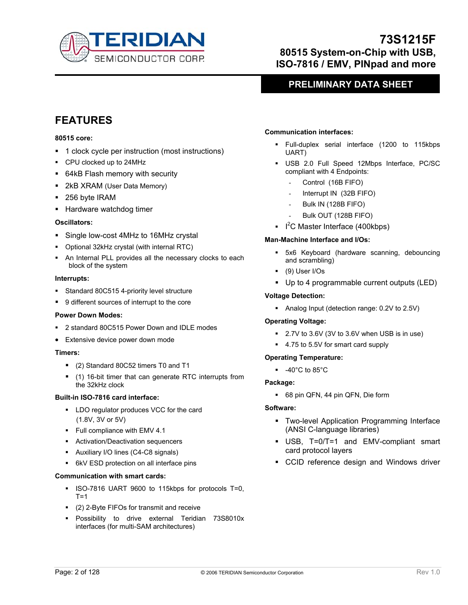

### **PRELIMINARY DATA SHEET**

# **FEATURES**

#### **80515 core:**

- 1 clock cycle per instruction (most instructions)
- CPU clocked up to 24MHz
- 64kB Flash memory with security
- 2kB XRAM (User Data Memory)
- 256 byte IRAM
- **Hardware watchdog timer**

#### **Oscillators:**

- **Single low-cost 4MHz to 16MHz crystal**
- Optional 32kHz crystal (with internal RTC)
- An Internal PLL provides all the necessary clocks to each block of the system

#### **Interrupts:**

- Standard 80C515 4-priority level structure
- 9 different sources of interrupt to the core

#### **Power Down Modes:**

- 2 standard 80C515 Power Down and IDLE modes
- Extensive device power down mode

#### **Timers:**

- (2) Standard 80C52 timers T0 and T1
- (1) 16-bit timer that can generate RTC interrupts from the 32kHz clock

#### **Built-in ISO-7816 card interface:**

- **LDO regulator produces VCC for the card** (1.8V, 3V or 5V)
- Full compliance with EMV 4.1
- **Activation/Deactivation sequencers**
- Auxiliary I/O lines (C4-C8 signals)
- 6kV ESD protection on all interface pins

#### **Communication with smart cards:**

- ISO-7816 UART 9600 to 115kbps for protocols T=0,  $T=1$
- (2) 2-Byte FIFOs for transmit and receive
- Possibility to drive external Teridian 73S8010x interfaces (for multi-SAM architectures)

#### **Communication interfaces:**

- Full-duplex serial interface (1200 to 115kbps UART)
- USB 2.0 Full Speed 12Mbps Interface, PC/SC compliant with 4 Endpoints:
	- Control (16B FIFO)
	- Interrupt IN (32B FIFO)
	- Bulk IN (128B FIFO)
	- Bulk OUT (128B FIFO)
- $I^2C$  Master Interface (400kbps)

#### **Man-Machine Interface and I/Os:**

- 5x6 Keyboard (hardware scanning, debouncing and scrambling)
- (9) User I/Os
- Up to 4 programmable current outputs (LED)

#### **Voltage Detection:**

Analog Input (detection range: 0.2V to 2.5V)

#### **Operating Voltage:**

- 2.7V to 3.6V (3V to 3.6V when USB is in use)
- 4.75 to 5.5V for smart card supply

#### **Operating Temperature:**

 $-40^{\circ}$ C to 85 $^{\circ}$ C

#### **Package:**

68 pin QFN, 44 pin QFN, Die form

#### **Software:**

- **Two-level Application Programming Interface** (ANSI C-language libraries)
- USB, T=0/T=1 and EMV-compliant smart card protocol layers
- CCID reference design and Windows driver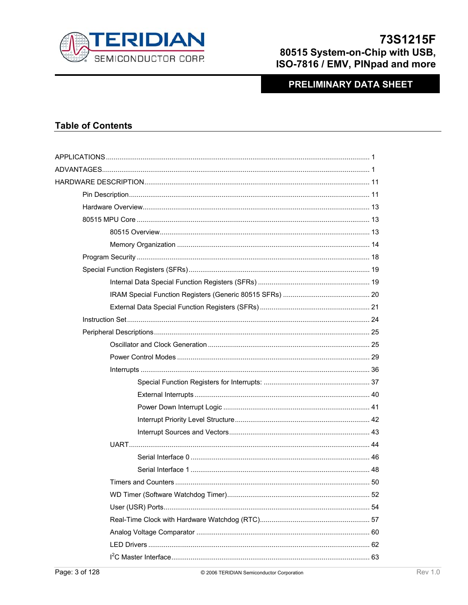

### **PRELIMINARY DATA SHEET**

### **Table of Contents**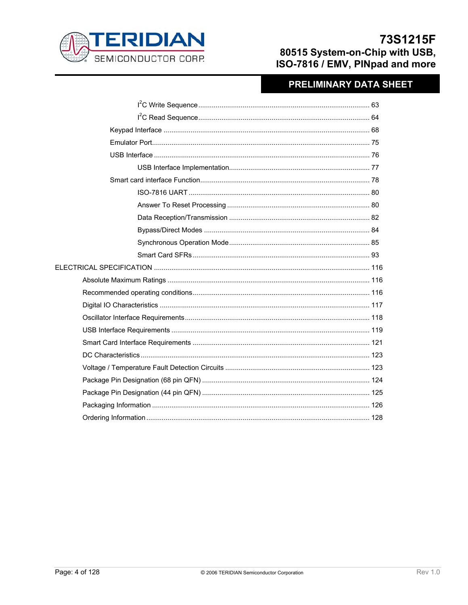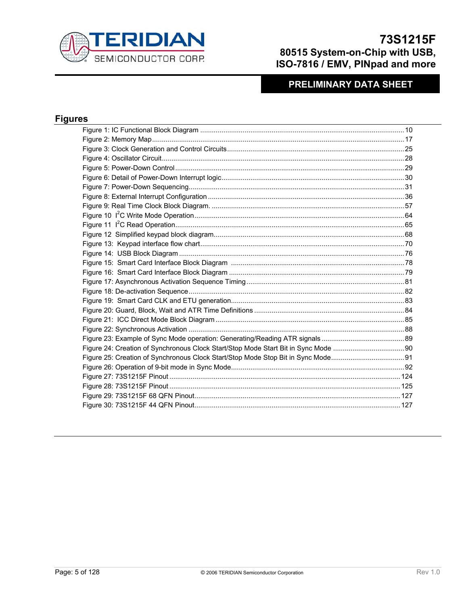

# **PRELIMINARY DATA SHEET**

### **Figures**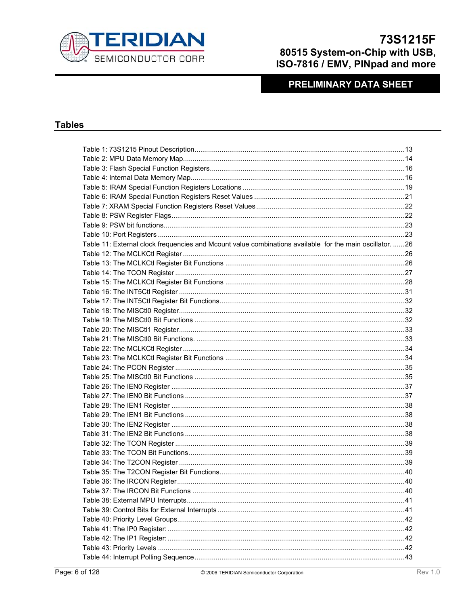

### **PRELIMINARY DATA SHEET**

### **Tables**

| Table 11: External clock frequencies and Mcount value combinations available for the main oscillator.  26 |  |
|-----------------------------------------------------------------------------------------------------------|--|
|                                                                                                           |  |
|                                                                                                           |  |
|                                                                                                           |  |
|                                                                                                           |  |
|                                                                                                           |  |
|                                                                                                           |  |
|                                                                                                           |  |
|                                                                                                           |  |
|                                                                                                           |  |
|                                                                                                           |  |
|                                                                                                           |  |
|                                                                                                           |  |
|                                                                                                           |  |
|                                                                                                           |  |
|                                                                                                           |  |
|                                                                                                           |  |
|                                                                                                           |  |
|                                                                                                           |  |
|                                                                                                           |  |
|                                                                                                           |  |
|                                                                                                           |  |
|                                                                                                           |  |
|                                                                                                           |  |
|                                                                                                           |  |
| . 40                                                                                                      |  |
|                                                                                                           |  |
|                                                                                                           |  |
|                                                                                                           |  |
|                                                                                                           |  |
|                                                                                                           |  |
|                                                                                                           |  |
|                                                                                                           |  |
|                                                                                                           |  |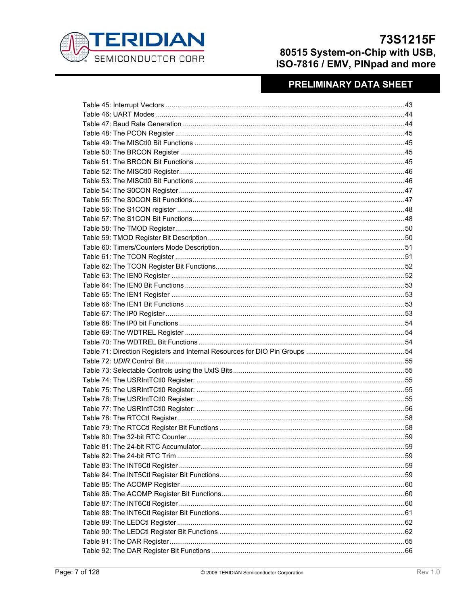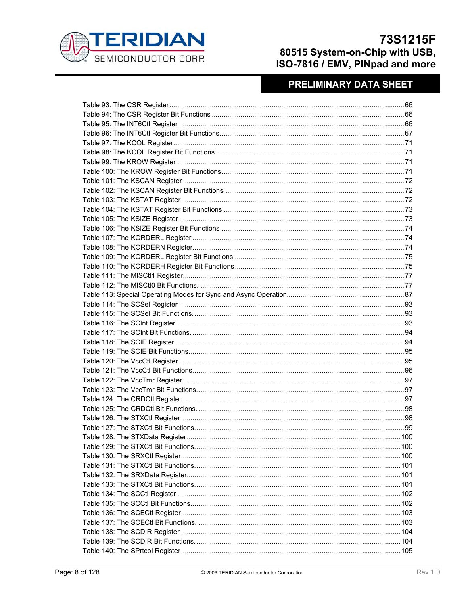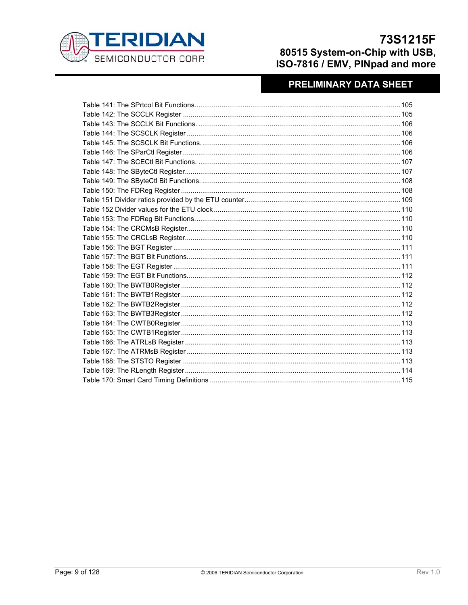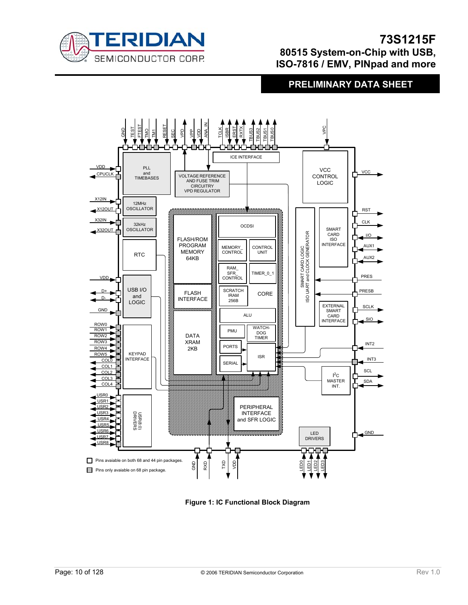

### **PRELIMINARY DATA SHEET**



**Figure 1: IC Functional Block Diagram**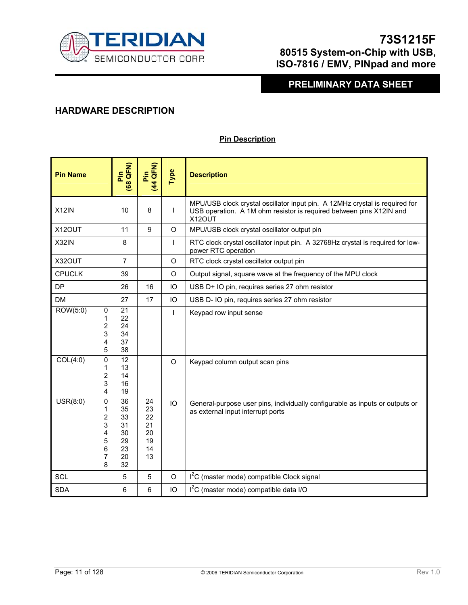

## **PRELIMINARY DATA SHEET**

### **HARDWARE DESCRIPTION**

### **Pin Description**

| <b>Pin Name</b>                                       | (68 QFN)<br>Pin                                    | (44 QFN)<br>Pin                              | Type         | <b>Description</b>                                                                                                                                           |  |
|-------------------------------------------------------|----------------------------------------------------|----------------------------------------------|--------------|--------------------------------------------------------------------------------------------------------------------------------------------------------------|--|
| X12IN                                                 | 10                                                 | 8                                            | $\mathbf{I}$ | MPU/USB clock crystal oscillator input pin. A 12MHz crystal is required for<br>USB operation. A 1M ohm resistor is required between pins X12IN and<br>X12OUT |  |
| X12OUT                                                | 11                                                 | 9                                            | $\Omega$     | MPU/USB clock crystal oscillator output pin                                                                                                                  |  |
| X32IN                                                 | 8                                                  |                                              | $\mathbf{I}$ | RTC clock crystal oscillator input pin. A 32768Hz crystal is required for low-<br>power RTC operation                                                        |  |
| X32OUT                                                | $\overline{7}$                                     |                                              | $\circ$      | RTC clock crystal oscillator output pin                                                                                                                      |  |
| <b>CPUCLK</b>                                         | 39                                                 |                                              | $\circ$      | Output signal, square wave at the frequency of the MPU clock                                                                                                 |  |
| <b>DP</b>                                             | 26                                                 | 16                                           | IO           | USB D+ IO pin, requires series 27 ohm resistor                                                                                                               |  |
| <b>DM</b>                                             | 27                                                 | 17                                           | IO           | USB D- IO pin, requires series 27 ohm resistor                                                                                                               |  |
| ROW(5:0)<br>0<br>1<br>2<br>3<br>4<br>5                | 21<br>22<br>24<br>34<br>37<br>38                   |                                              | T            | Keypad row input sense                                                                                                                                       |  |
| COL(4:0)<br>0<br>1<br>2<br>3<br>4                     | $\overline{12}$<br>13<br>14<br>16<br>19            |                                              | $\Omega$     | Keypad column output scan pins                                                                                                                               |  |
| USR(8:0)<br>0<br>1<br>2<br>3<br>4<br>5<br>6<br>7<br>8 | 36<br>35<br>33<br>31<br>30<br>29<br>23<br>20<br>32 | 24<br>23<br>22<br>21<br>20<br>19<br>14<br>13 | IO           | General-purpose user pins, individually configurable as inputs or outputs or<br>as external input interrupt ports                                            |  |
| <b>SCL</b>                                            | 5                                                  | 5                                            | $\circ$      | I <sup>2</sup> C (master mode) compatible Clock signal                                                                                                       |  |
| <b>SDA</b>                                            | 6                                                  | 6                                            | IO           | I <sup>2</sup> C (master mode) compatible data I/O                                                                                                           |  |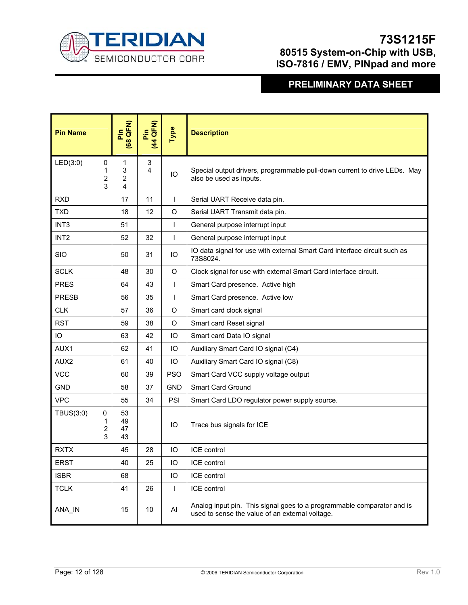

| <b>Pin Name</b>  |                  | (68 QFN)<br><b>Pin</b> | Pin<br>(44 QFN) | Type         | <b>Description</b>                                                                                                        |  |
|------------------|------------------|------------------------|-----------------|--------------|---------------------------------------------------------------------------------------------------------------------------|--|
| LED(3:0)         | 0<br>1<br>2<br>3 | 1<br>3<br>2<br>4       | 3<br>4          | IO           | Special output drivers, programmable pull-down current to drive LEDs. May<br>also be used as inputs.                      |  |
| <b>RXD</b>       |                  | 17                     | 11              | $\mathsf{I}$ | Serial UART Receive data pin.                                                                                             |  |
| <b>TXD</b>       |                  | 18                     | 12              | $\circ$      | Serial UART Transmit data pin.                                                                                            |  |
| INT <sub>3</sub> |                  | 51                     |                 | I            | General purpose interrupt input                                                                                           |  |
| INT <sub>2</sub> |                  | 52                     | 32              | $\mathsf{I}$ | General purpose interrupt input                                                                                           |  |
| <b>SIO</b>       |                  | 50                     | 31              | IО           | IO data signal for use with external Smart Card interface circuit such as<br>73S8024.                                     |  |
| <b>SCLK</b>      |                  | 48                     | 30              | O            | Clock signal for use with external Smart Card interface circuit.                                                          |  |
| <b>PRES</b>      |                  | 64                     | 43              | ı            | Smart Card presence. Active high                                                                                          |  |
| <b>PRESB</b>     |                  | 56                     | 35              | ı            | Smart Card presence. Active low                                                                                           |  |
| <b>CLK</b>       |                  | 57                     | 36              | O            | Smart card clock signal                                                                                                   |  |
| <b>RST</b>       |                  | 59                     | 38              | $\circ$      | Smart card Reset signal                                                                                                   |  |
| IO               |                  | 63                     | 42              | IO           | Smart card Data IO signal                                                                                                 |  |
| AUX1             |                  | 62                     | 41              | IO           | Auxiliary Smart Card IO signal (C4)                                                                                       |  |
| AUX2             |                  | 61                     | 40              | IO           | Auxiliary Smart Card IO signal (C8)                                                                                       |  |
| <b>VCC</b>       |                  | 60                     | 39              | <b>PSO</b>   | Smart Card VCC supply voltage output                                                                                      |  |
| <b>GND</b>       |                  | 58                     | 37              | <b>GND</b>   | <b>Smart Card Ground</b>                                                                                                  |  |
| <b>VPC</b>       |                  | 55                     | 34              | PSI          | Smart Card LDO regulator power supply source.                                                                             |  |
| TBUS(3:0)        | 0<br>1<br>2<br>3 | 53<br>49<br>47<br>43   |                 | IO           | Trace bus signals for ICE                                                                                                 |  |
| <b>RXTX</b>      |                  | 45                     | 28              | IO           | ICE control                                                                                                               |  |
| <b>ERST</b>      |                  | 40                     | 25              | IO           | ICE control                                                                                                               |  |
| <b>ISBR</b>      |                  | 68                     |                 | IO           | ICE control                                                                                                               |  |
| <b>TCLK</b>      |                  | 41                     | 26              | $\mathsf{I}$ | ICE control                                                                                                               |  |
| ANA_IN           |                  | 15                     | 10              | Al           | Analog input pin. This signal goes to a programmable comparator and is<br>used to sense the value of an external voltage. |  |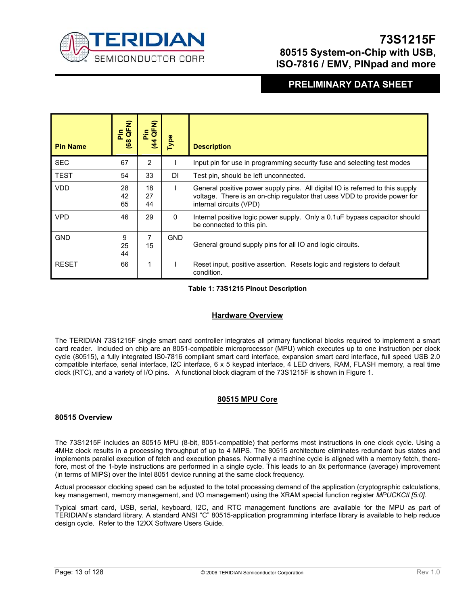

### **PRELIMINARY DATA SHEET**

| <b>Pin Name</b> | Pin<br>(68 QFN) | Pin<br>LQFN)<br>44 | Type       | <b>Description</b>                                                                                                                                                                    |
|-----------------|-----------------|--------------------|------------|---------------------------------------------------------------------------------------------------------------------------------------------------------------------------------------|
| <b>SEC</b>      | 67              | 2                  |            | Input pin for use in programming security fuse and selecting test modes                                                                                                               |
| <b>TEST</b>     | 54              | 33                 | <b>DI</b>  | Test pin, should be left unconnected.                                                                                                                                                 |
| <b>VDD</b>      | 28<br>42<br>65  | 18<br>27<br>44     |            | General positive power supply pins. All digital IO is referred to this supply<br>voltage. There is an on-chip regulator that uses VDD to provide power for<br>internal circuits (VPD) |
| <b>VPD</b>      | 46              | 29                 | $\Omega$   | Internal positive logic power supply. Only a 0.1uF bypass capacitor should<br>be connected to this pin.                                                                               |
| <b>GND</b>      | 9<br>25<br>44   | 7<br>15            | <b>GND</b> | General ground supply pins for all IO and logic circuits.                                                                                                                             |
| <b>RESET</b>    | 66              | 1                  |            | Reset input, positive assertion. Resets logic and registers to default<br>condition.                                                                                                  |

#### **Table 1: 73S1215 Pinout Description**

#### **Hardware Overview**

The TERIDIAN 73S1215F single smart card controller integrates all primary functional blocks required to implement a smart card reader. Included on chip are an 8051-compatible microprocessor (MPU) which executes up to one instruction per clock cycle (80515), a fully integrated IS0-7816 compliant smart card interface, expansion smart card interface, full speed USB 2.0 compatible interface, serial interface, I2C interface, 6 x 5 keypad interface, 4 LED drivers, RAM, FLASH memory, a real time clock (RTC), and a variety of I/O pins. A functional block diagram of the 73S1215F is shown in Figure 1.

#### **80515 MPU Core**

#### **80515 Overview**

The 73S1215F includes an 80515 MPU (8-bit, 8051-compatible) that performs most instructions in one clock cycle. Using a 4MHz clock results in a processing throughput of up to 4 MIPS. The 80515 architecture eliminates redundant bus states and implements parallel execution of fetch and execution phases. Normally a machine cycle is aligned with a memory fetch, therefore, most of the 1-byte instructions are performed in a single cycle. This leads to an 8x performance (average) improvement (in terms of MIPS) over the Intel 8051 device running at the same clock frequency*.* 

Actual processor clocking speed can be adjusted to the total processing demand of the application (cryptographic calculations, key management, memory management, and I/O management) using the XRAM special function register *MPUCKCtl [5:0]*.

Typical smart card, USB, serial, keyboard, I2C, and RTC management functions are available for the MPU as part of TERIDIAN's standard library. A standard ANSI "C" 80515-application programming interface library is available to help reduce design cycle. Refer to the 12XX Software Users Guide.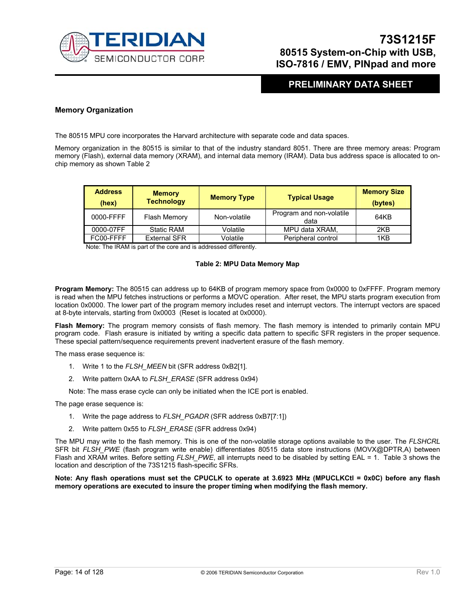

### **PRELIMINARY DATA SHEET**

#### **Memory Organization**

The 80515 MPU core incorporates the Harvard architecture with separate code and data spaces.

Memory organization in the 80515 is similar to that of the industry standard 8051. There are three memory areas: Program memory (Flash), external data memory (XRAM), and internal data memory (IRAM). Data bus address space is allocated to onchip memory as shown Table 2

| <b>Address</b><br>(hex) | <b>Memory</b><br><b>Technology</b> | <b>Memory Type</b> | <b>Typical Usage</b>             | <b>Memory Size</b><br>(bytes) |
|-------------------------|------------------------------------|--------------------|----------------------------------|-------------------------------|
| 0000-FFFF               | Flash Memory                       | Non-volatile       | Program and non-volatile<br>data | 64KB                          |
| 0000-07FF               | <b>Static RAM</b>                  | Volatile           | MPU data XRAM.                   | 2KB                           |
| FC00-FFFF               | <b>External SFR</b>                | Volatile           | Peripheral control               | 1KB                           |

Note: The IRAM is part of the core and is addressed differently.

#### **Table 2: MPU Data Memory Map**

**Program Memory:** The 80515 can address up to 64KB of program memory space from 0x0000 to 0xFFFF. Program memory is read when the MPU fetches instructions or performs a MOVC operation. After reset, the MPU starts program execution from location 0x0000. The lower part of the program memory includes reset and interrupt vectors. The interrupt vectors are spaced at 8-byte intervals, starting from 0x0003 (Reset is located at 0x0000).

**Flash Memory:** The program memory consists of flash memory. The flash memory is intended to primarily contain MPU program code. Flash erasure is initiated by writing a specific data pattern to specific SFR registers in the proper sequence. These special pattern/sequence requirements prevent inadvertent erasure of the flash memory.

The mass erase sequence is:

- 1. Write 1 to the *FLSH\_MEEN* bit (SFR address 0xB2[1].
- 2. Write pattern 0xAA to *FLSH\_ERASE* (SFR address 0x94)

Note: The mass erase cycle can only be initiated when the ICE port is enabled.

The page erase sequence is:

- 1. Write the page address to *FLSH\_PGADR* (SFR address 0xB7[7:1])
- 2. Write pattern 0x55 to *FLSH\_ERASE* (SFR address 0x94)

The MPU may write to the flash memory. This is one of the non-volatile storage options available to the user. The *FLSHCRL* SFR bit *FLSH\_PWE* (flash program write enable) differentiates 80515 data store instructions (MOVX@DPTR,A) between Flash and XRAM writes. Before setting *FLSH\_PWE*, all interrupts need to be disabled by setting EAL = 1. Table 3 shows the location and description of the 73S1215 flash-specific SFRs.

**Note: Any flash operations must set the CPUCLK to operate at 3.6923 MHz (MPUCLKCtl = 0x0C) before any flash memory operations are executed to insure the proper timing when modifying the flash memory.**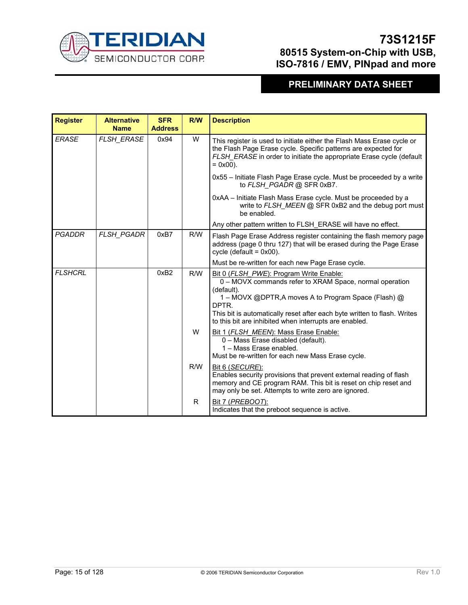

| <b>Register</b> | <b>Alternative</b><br><b>Name</b> | <b>SFR</b><br><b>Address</b> | R/W | <b>Description</b>                                                                                                                                                                                                                                                                                                      |
|-----------------|-----------------------------------|------------------------------|-----|-------------------------------------------------------------------------------------------------------------------------------------------------------------------------------------------------------------------------------------------------------------------------------------------------------------------------|
| <b>ERASE</b>    | FLSH_ERASE                        | 0x94                         | W   | This register is used to initiate either the Flash Mass Erase cycle or<br>the Flash Page Erase cycle. Specific patterns are expected for<br>FLSH_ERASE in order to initiate the appropriate Erase cycle (default<br>$= 0x00$ ).                                                                                         |
|                 |                                   |                              |     | 0x55 - Initiate Flash Page Erase cycle. Must be proceeded by a write<br>to FLSH PGADR @ SFR 0xB7.                                                                                                                                                                                                                       |
|                 |                                   |                              |     | 0xAA - Initiate Flash Mass Erase cycle. Must be proceeded by a<br>write to FLSH_MEEN @ SFR 0xB2 and the debug port must<br>be enabled.                                                                                                                                                                                  |
|                 |                                   |                              |     | Any other pattern written to FLSH ERASE will have no effect.                                                                                                                                                                                                                                                            |
| <b>PGADDR</b>   | FLSH_PGADR                        | 0xB7                         | R/W | Flash Page Erase Address register containing the flash memory page<br>address (page 0 thru 127) that will be erased during the Page Erase<br>cycle (default = $0x00$ ).                                                                                                                                                 |
|                 |                                   |                              |     | Must be re-written for each new Page Erase cycle.                                                                                                                                                                                                                                                                       |
| <b>FLSHCRL</b>  |                                   | 0xB2                         | R/W | Bit 0 (FLSH_PWE): Program Write Enable:<br>0 - MOVX commands refer to XRAM Space, normal operation<br>(default).<br>1 – MOVX @DPTR, A moves A to Program Space (Flash) @<br>DPTR.<br>This bit is automatically reset after each byte written to flash. Writes<br>to this bit are inhibited when interrupts are enabled. |
|                 |                                   |                              | W   | Bit 1 (FLSH_MEEN): Mass Erase Enable:<br>0 - Mass Erase disabled (default).<br>1 - Mass Erase enabled.<br>Must be re-written for each new Mass Erase cycle.                                                                                                                                                             |
|                 |                                   |                              | R/W | Bit 6 (SECURE):<br>Enables security provisions that prevent external reading of flash<br>memory and CE program RAM. This bit is reset on chip reset and<br>may only be set. Attempts to write zero are ignored.                                                                                                         |
|                 |                                   |                              | R   | <b>Bit 7 (PREBOOT):</b><br>Indicates that the preboot sequence is active.                                                                                                                                                                                                                                               |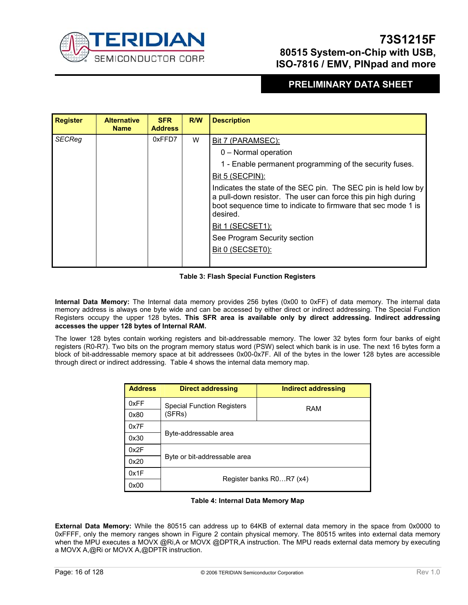

### **PRELIMINARY DATA SHEET**

| <b>Register</b> | <b>Alternative</b><br><b>Name</b> | <b>SFR</b><br><b>Address</b> | R/W                    | <b>Description</b>                                                                                                                                                                                           |
|-----------------|-----------------------------------|------------------------------|------------------------|--------------------------------------------------------------------------------------------------------------------------------------------------------------------------------------------------------------|
| <b>SECReg</b>   |                                   | 0xFFD7                       | W<br>Bit 7 (PARAMSEC): |                                                                                                                                                                                                              |
|                 |                                   |                              |                        | 0 - Normal operation                                                                                                                                                                                         |
|                 |                                   |                              |                        | 1 - Enable permanent programming of the security fuses.                                                                                                                                                      |
|                 |                                   |                              |                        | Bit 5 (SECPIN):                                                                                                                                                                                              |
|                 |                                   |                              |                        | Indicates the state of the SEC pin. The SEC pin is held low by<br>a pull-down resistor. The user can force this pin high during<br>boot sequence time to indicate to firmware that sec mode 1 is<br>desired. |
|                 |                                   |                              |                        | Bit 1 (SECSET1):                                                                                                                                                                                             |
|                 |                                   |                              |                        | See Program Security section                                                                                                                                                                                 |
|                 |                                   |                              |                        | Bit 0 (SECSET0):                                                                                                                                                                                             |
|                 |                                   |                              |                        |                                                                                                                                                                                                              |

#### **Table 3: Flash Special Function Registers**

**Internal Data Memory:** The Internal data memory provides 256 bytes (0x00 to 0xFF) of data memory. The internal data memory address is always one byte wide and can be accessed by either direct or indirect addressing. The Special Function Registers occupy the upper 128 bytes**. This SFR area is available only by direct addressing. Indirect addressing accesses the upper 128 bytes of Internal RAM.**

The lower 128 bytes contain working registers and bit-addressable memory. The lower 32 bytes form four banks of eight registers (R0-R7). Two bits on the program memory status word (PSW) select which bank is in use. The next 16 bytes form a block of bit-addressable memory space at bit addressees 0x00-0x7F. All of the bytes in the lower 128 bytes are accessible through direct or indirect addressing. Table 4 shows the internal data memory map.

| <b>Address</b> | <b>Direct addressing</b>          | Indirect addressing |  |  |  |  |  |
|----------------|-----------------------------------|---------------------|--|--|--|--|--|
| 0xFF           | <b>Special Function Registers</b> | RAM                 |  |  |  |  |  |
| 0x80           | (SFRs)                            |                     |  |  |  |  |  |
| 0x7F           |                                   |                     |  |  |  |  |  |
| 0x30           | Byte-addressable area             |                     |  |  |  |  |  |
| 0x2F           |                                   |                     |  |  |  |  |  |
| 0x20           | Byte or bit-addressable area      |                     |  |  |  |  |  |
| 0x1F           |                                   |                     |  |  |  |  |  |
| 0x00           | Register banks R0R7 (x4)          |                     |  |  |  |  |  |

#### **Table 4: Internal Data Memory Map**

**External Data Memory:** While the 80515 can address up to 64KB of external data memory in the space from 0x0000 to 0xFFFF, only the memory ranges shown in Figure 2 contain physical memory. The 80515 writes into external data memory when the MPU executes a MOVX @Ri,A or MOVX @DPTR,A instruction. The MPU reads external data memory by executing a MOVX A,@Ri or MOVX A,@DPTR instruction.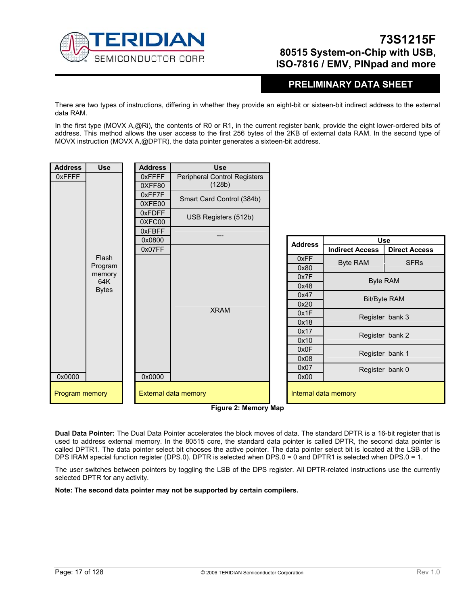

### **PRELIMINARY DATA SHEET**

There are two types of instructions, differing in whether they provide an eight-bit or sixteen-bit indirect address to the external data RAM.

In the first type (MOVX A,@Ri), the contents of R0 or R1, in the current register bank, provide the eight lower-ordered bits of address. This method allows the user access to the first 256 bytes of the 2KB of external data RAM. In the second type of MOVX instruction (MOVX A,@DPTR), the data pointer generates a sixteen-bit address.

| <b>Address</b> | <b>Use</b> | <b>Address</b>                           | <b>Use</b>                                   |                |                        |                      |
|----------------|------------|------------------------------------------|----------------------------------------------|----------------|------------------------|----------------------|
| 0xFFFF         |            | 0xFFFF                                   | Peripheral Control Registers                 |                |                        |                      |
|                |            | 0XFF80                                   | (128b)                                       |                |                        |                      |
|                |            | 0xFF7F                                   | Smart Card Control (384b)                    |                |                        |                      |
|                |            | 0XFE00                                   |                                              |                |                        |                      |
|                |            | 0xFDFF                                   | USB Registers (512b)                         |                |                        |                      |
|                |            | 0XFC00                                   |                                              |                |                        |                      |
|                |            | 0xFBFF                                   |                                              |                |                        |                      |
|                |            | 0x0800                                   |                                              | <b>Address</b> |                        | <b>Use</b>           |
|                |            | 0x07FF                                   |                                              |                | <b>Indirect Access</b> | <b>Direct Access</b> |
|                | Flash      |                                          |                                              | 0xFF           | <b>Byte RAM</b>        | <b>SFRs</b>          |
|                |            | Program<br>memory<br>64K<br><b>Bytes</b> |                                              | 0x80           |                        |                      |
|                |            |                                          |                                              | 0x7F           | <b>Byte RAM</b>        |                      |
|                |            |                                          |                                              | 0x48           |                        |                      |
|                |            |                                          |                                              | 0x47           | <b>Bit/Byte RAM</b>    |                      |
|                |            |                                          | <b>XRAM</b>                                  | 0x20           |                        |                      |
|                |            |                                          |                                              | 0x1F           | Register bank 3        |                      |
|                |            |                                          |                                              | 0x18           |                        |                      |
|                |            |                                          |                                              | 0x17           | Register bank 2        |                      |
|                |            |                                          |                                              | 0x10           |                        |                      |
|                |            |                                          |                                              | 0x0F           |                        | Register bank 1      |
|                |            |                                          |                                              | 0x08           |                        |                      |
|                |            |                                          |                                              | 0x07           |                        | Register bank 0      |
| 0x0000         |            | 0x0000                                   |                                              | 0x00           |                        |                      |
| Program memory |            |                                          | External data memory<br>Figure 2: Momory Man |                | Internal data memory   |                      |

**Figure 2: Memory Map** 

**Dual Data Pointer:** The Dual Data Pointer accelerates the block moves of data. The standard DPTR is a 16-bit register that is used to address external memory. In the 80515 core, the standard data pointer is called DPTR, the second data pointer is called DPTR1. The data pointer select bit chooses the active pointer. The data pointer select bit is located at the LSB of the DPS IRAM special function register (DPS.0). DPTR is selected when DPS.0 = 0 and DPTR1 is selected when DPS.0 = 1.

The user switches between pointers by toggling the LSB of the DPS register. All DPTR-related instructions use the currently selected DPTR for any activity.

**Note: The second data pointer may not be supported by certain compilers.**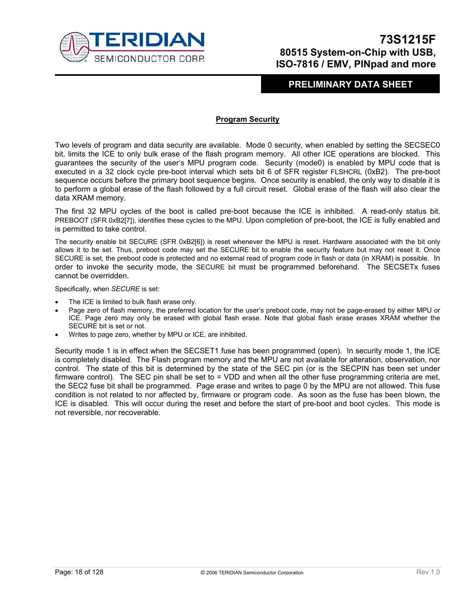

### **PRELIMINARY DATA SHEET**

#### **Program Security**

Two levels of program and data security are available. Mode 0 security, when enabled by setting the SECSEC0 bit, limits the ICE to only bulk erase of the flash program memory. All other ICE operations are blocked. This guarantees the security of the user's MPU program code. Security (mode0) is enabled by MPU code that is executed in a 32 clock cycle pre-boot interval which sets bit 6 of SFR register FLSHCRL (0xB2). The pre-boot sequence occurs before the primary boot sequence begins. Once security is enabled, the only way to disable it is to perform a global erase of the flash followed by a full circuit reset. Global erase of the flash will also clear the data XRAM memory.

The first 32 MPU cycles of the boot is called pre-boot because the ICE is inhibited. A read-only status bit, PREBOOT (SFR 0xB2[7]), identifies these cycles to the MPU. Upon completion of pre-boot, the ICE is fully enabled and is permitted to take control.

The security enable bit SECURE (SFR 0xB2[6]) is reset whenever the MPU is reset. Hardware associated with the bit only allows it to be set. Thus, preboot code may set the SECURE bit to enable the security feature but may not reset it. Once SECURE is set, the preboot code is protected and no external read of program code in flash or data (in XRAM) is possible. In order to invoke the security mode, the SECURE bit must be programmed beforehand. The SECSETx fuses cannot be overridden.

Specifically, when *SECURE* is set:

- The ICE is limited to bulk flash erase only.
- Page zero of flash memory, the preferred location for the user's preboot code, may not be page-erased by either MPU or ICE. Page zero may only be erased with global flash erase. Note that global flash erase erases XRAM whether the SECURE bit is set or not.
- Writes to page zero, whether by MPU or ICE, are inhibited.

Security mode 1 is in effect when the SECSET1 fuse has been programmed (open). In security mode 1, the ICE is completely disabled. The Flash program memory and the MPU are not available for alteration, observation, nor control. The state of this bit is determined by the state of the SEC pin (or is the SECPIN has been set under firmware control). The SEC pin shall be set to = VDD and when all the other fuse programming criteria are met, the SEC2 fuse bit shall be programmed. Page erase and writes to page 0 by the MPU are not allowed. This fuse condition is not related to nor affected by, firmware or program code. As soon as the fuse has been blown, the ICE is disabled. This will occur during the reset and before the start of pre-boot and boot cycles. This mode is not reversible, nor recoverable.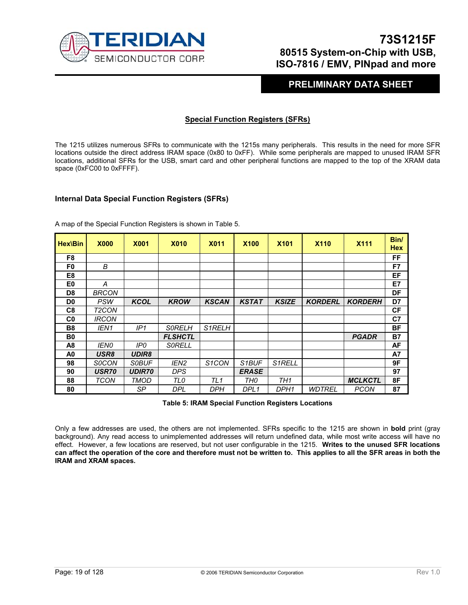

### **PRELIMINARY DATA SHEET**

#### **Special Function Registers (SFRs)**

The 1215 utilizes numerous SFRs to communicate with the 1215s many peripherals. This results in the need for more SFR locations outside the direct address IRAM space (0x80 to 0xFF). While some peripherals are mapped to unused IRAM SFR locations, additional SFRs for the USB, smart card and other peripheral functions are mapped to the top of the XRAM data space (0xFC00 to 0xFFFF).

#### **Internal Data Special Function Registers (SFRs)**

| <b>Hex\Bin</b> | <b>X000</b>      | <b>X001</b>   | <b>X010</b>    | <b>X011</b>        | <b>X100</b>        | <b>X101</b>         | <b>X110</b>    | <b>X111</b>    | Bin/<br><b>Hex</b> |
|----------------|------------------|---------------|----------------|--------------------|--------------------|---------------------|----------------|----------------|--------------------|
| F <sub>8</sub> |                  |               |                |                    |                    |                     |                |                | FF                 |
| F0             | B                |               |                |                    |                    |                     |                |                | F7                 |
| E8             |                  |               |                |                    |                    |                     |                |                | EF                 |
| E0             | А                |               |                |                    |                    |                     |                |                | E7                 |
| D <sub>8</sub> | <b>BRCON</b>     |               |                |                    |                    |                     |                |                | DF                 |
| D <sub>0</sub> | <b>PSW</b>       | <b>KCOL</b>   | <b>KROW</b>    | <b>KSCAN</b>       | <b>KSTAT</b>       | <b>KSIZE</b>        | <b>KORDERL</b> | <b>KORDERH</b> | D7                 |
| C8             | T2CON            |               |                |                    |                    |                     |                |                | СF                 |
| C <sub>0</sub> | <b>IRCON</b>     |               |                |                    |                    |                     |                |                | C7                 |
| B <sub>8</sub> | IEN1             | IP1           | <b>SORELH</b>  | S1RELH             |                    |                     |                |                | ΒF                 |
| B <sub>0</sub> |                  |               | <b>FLSHCTL</b> |                    |                    |                     |                | <b>PGADR</b>   | <b>B7</b>          |
| A <sub>8</sub> | <b>IENO</b>      | IP0           | <i>SORELL</i>  |                    |                    |                     |                |                | AF                 |
| A0             | USR <sub>8</sub> | <b>UDIR8</b>  |                |                    |                    |                     |                |                | A7                 |
| 98             | <b>SOCON</b>     | <i>SOBUF</i>  | IEN2           | S <sub>1</sub> CON | S <sub>1</sub> BUF | S <sub>1</sub> RELL |                |                | 9F                 |
| 90             | <b>USR70</b>     | <b>UDIR70</b> | <b>DPS</b>     |                    | <b>ERASE</b>       |                     |                |                | 97                 |
| 88             | TCON             | TMOD          | TLO            | TL <sub>1</sub>    | TH0                | TH1                 |                | <b>MCLKCTL</b> | 8F                 |
| 80             |                  | SP            | DPL            | <b>DPH</b>         | DPL1               | DPH1                | WDTREL         | <b>PCON</b>    | 87                 |

A map of the Special Function Registers is shown in Table 5.

**Table 5: IRAM Special Function Registers Locations** 

Only a few addresses are used, the others are not implemented. SFRs specific to the 1215 are shown in **bold** print (gray background). Any read access to unimplemented addresses will return undefined data, while most write access will have no effect. However, a few locations are reserved, but not user configurable in the 1215. **Writes to the unused SFR locations can affect the operation of the core and therefore must not be written to. This applies to all the SFR areas in both the IRAM and XRAM spaces.**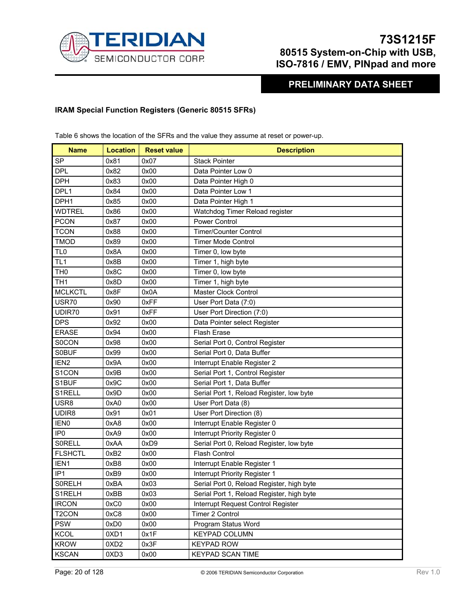

**PRELIMINARY DATA SHEET** 

#### **IRAM Special Function Registers (Generic 80515 SFRs)**

Table 6 shows the location of the SFRs and the value they assume at reset or power-up.

| <b>Name</b>        | <b>Location</b>  | <b>Reset value</b> | <b>Description</b>                        |  |
|--------------------|------------------|--------------------|-------------------------------------------|--|
| <b>SP</b>          | 0x81             | 0x07               | <b>Stack Pointer</b>                      |  |
| <b>DPL</b>         | 0x82             | 0x00               | Data Pointer Low 0                        |  |
| <b>DPH</b>         | 0x83             | 0x00               | Data Pointer High 0                       |  |
| DPL1               | 0x84             | 0x00               | Data Pointer Low 1                        |  |
| DPH <sub>1</sub>   | 0x85             | 0x00               | Data Pointer High 1                       |  |
| <b>WDTREL</b>      | 0x86             | 0x00               | Watchdog Timer Reload register            |  |
| <b>PCON</b>        | 0x87             | 0x00               | <b>Power Control</b>                      |  |
| <b>TCON</b>        | 0x88             | 0x00               | <b>Timer/Counter Control</b>              |  |
| <b>TMOD</b>        | 0x89             | 0x00               | <b>Timer Mode Control</b>                 |  |
| TL <sub>0</sub>    | 0x8A             | 0x00               | Timer 0, low byte                         |  |
| TL <sub>1</sub>    | 0x8B             | 0x00               | Timer 1, high byte                        |  |
| TH <sub>0</sub>    | 0x8C             | 0x00               | Timer 0, low byte                         |  |
| TH <sub>1</sub>    | 0x8D             | 0x00               | Timer 1, high byte                        |  |
| <b>MCLKCTL</b>     | 0x8F             | 0x0A               | Master Clock Control                      |  |
| USR70              | 0x90             | 0xFF               | User Port Data (7:0)                      |  |
| UDIR70             | 0x91             | 0xFF               | User Port Direction (7:0)                 |  |
| <b>DPS</b>         | 0x92             | 0x00               | Data Pointer select Register              |  |
| <b>ERASE</b>       | 0x94             | 0x00               | <b>Flash Erase</b>                        |  |
| <b>SOCON</b>       | 0x98             | 0x00               | Serial Port 0, Control Register           |  |
| <b>SOBUF</b>       | 0x99             | 0x00               | Serial Port 0, Data Buffer                |  |
| IEN <sub>2</sub>   | 0x9A             | 0x00               | Interrupt Enable Register 2               |  |
| S1CON              | 0x9B             | 0x00               | Serial Port 1, Control Register           |  |
| S1BUF              | 0x9C             | 0x00               | Serial Port 1, Data Buffer                |  |
| S1RELL             | 0x9D             | 0x00               | Serial Port 1, Reload Register, low byte  |  |
| USR8               | 0xA0             | 0x00               | User Port Data (8)                        |  |
| UDIR8              | 0x91             | 0x01               | User Port Direction (8)                   |  |
| <b>IEN0</b>        | 0xA8             | 0x00               | Interrupt Enable Register 0               |  |
| IP <sub>0</sub>    | 0xA9             | 0x00               | Interrupt Priority Register 0             |  |
| <b>SORELL</b>      | 0xAA             | 0xD9               | Serial Port 0, Reload Register, low byte  |  |
| <b>FLSHCTL</b>     | 0xB2             | 0x00               | Flash Control                             |  |
| IEN1               | 0xB8             | 0x00               | Interrupt Enable Register 1               |  |
| IP <sub>1</sub>    | 0xB9             | 0x00               | Interrupt Priority Register 1             |  |
| <b>SORELH</b>      | 0xBA             | 0x03               | Serial Port 0, Reload Register, high byte |  |
| S1RELH             | 0xBB             | 0x03               | Serial Port 1, Reload Register, high byte |  |
| <b>IRCON</b>       | 0xC0             | 0x00               | Interrupt Request Control Register        |  |
| T <sub>2</sub> CON | 0xC8             | 0x00               | Timer 2 Control                           |  |
| <b>PSW</b>         | 0xD0             | 0x00               | Program Status Word                       |  |
| <b>KCOL</b>        | 0XD1             | 0x1F               | <b>KEYPAD COLUMN</b>                      |  |
| <b>KROW</b>        | 0XD <sub>2</sub> | 0x3F               | <b>KEYPAD ROW</b>                         |  |
| <b>KSCAN</b>       | 0XD3             | 0x00               | <b>KEYPAD SCAN TIME</b>                   |  |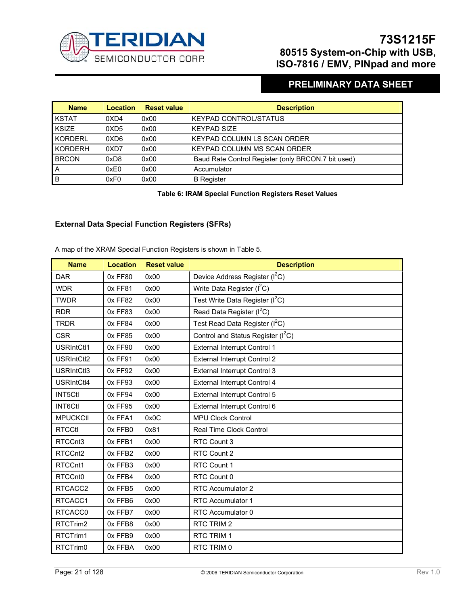

# **PRELIMINARY DATA SHEET**

| <b>Name</b>    | <b>Location</b>  | <b>Reset value</b> | <b>Description</b>                                 |
|----------------|------------------|--------------------|----------------------------------------------------|
| <b>KSTAT</b>   | 0XD4             | 0x00               | <b>KEYPAD CONTROL/STATUS</b>                       |
| <b>KSIZE</b>   | 0XD <sub>5</sub> | 0x00               | <b>KEYPAD SIZE</b>                                 |
| <b>KORDERL</b> | 0XD6             | 0x00               | KEYPAD COLUMN LS SCAN ORDER                        |
| <b>KORDERH</b> | 0XD7             | 0x00               | <b>KEYPAD COLUMN MS SCAN ORDER</b>                 |
| <b>BRCON</b>   | 0xD8             | 0x00               | Baud Rate Control Register (only BRCON.7 bit used) |
| A              | 0xE0             | 0x00               | Accumulator                                        |
| B              | 0xF0             | 0x00               | <b>B</b> Register                                  |

**Table 6: IRAM Special Function Registers Reset Values** 

#### **External Data Special Function Registers (SFRs)**

A map of the XRAM Special Function Registers is shown in Table 5.

| <b>Name</b>         | <b>Location</b> | <b>Reset value</b> | <b>Description</b>                             |  |
|---------------------|-----------------|--------------------|------------------------------------------------|--|
| <b>DAR</b>          | 0x FF80         | 0x00               | Device Address Register (I <sup>2</sup> C)     |  |
| <b>WDR</b>          | 0x FF81         | 0x00               | Write Data Register $(I2C)$                    |  |
| <b>TWDR</b>         | 0x FF82         | 0x00               | Test Write Data Register (I <sup>2</sup> C)    |  |
| <b>RDR</b>          | 0x FF83         | 0x00               | Read Data Register (I <sup>2</sup> C)          |  |
| <b>TRDR</b>         | 0x FF84         | 0x00               | Test Read Data Register (I <sup>2</sup> C)     |  |
| <b>CSR</b>          | 0x FF85         | 0x00               | Control and Status Register (I <sup>2</sup> C) |  |
| <b>USRIntCtl1</b>   | 0x FF90         | 0x00               | External Interrupt Control 1                   |  |
| <b>USRIntCtl2</b>   | 0x FF91         | 0x00               | <b>External Interrupt Control 2</b>            |  |
| USRIntCtl3          | 0x FF92         | 0x00               | External Interrupt Control 3                   |  |
| <b>USRIntCtl4</b>   | 0x FF93         | 0x00               | External Interrupt Control 4                   |  |
| <b>INT5Ctl</b>      | 0x FF94         | 0x00               | External Interrupt Control 5                   |  |
| <b>INT6Ctl</b>      | 0x FF95         | 0x00               | External Interrupt Control 6                   |  |
| <b>MPUCKCtl</b>     | 0x FFA1         | 0x0C               | <b>MPU Clock Control</b>                       |  |
| <b>RTCCtl</b>       | 0x FFB0         | 0x81               | <b>Real Time Clock Control</b>                 |  |
| RTCCnt3             | 0x FFB1         | 0x00               | RTC Count 3                                    |  |
| RTCCnt <sub>2</sub> | 0x FFB2         | 0x00               | RTC Count 2                                    |  |
| RTCCnt1             | 0x FFB3         | 0x00               | RTC Count 1                                    |  |
| RTCCnt <sub>0</sub> | 0x FFB4         | 0x00               | RTC Count 0                                    |  |
| RTCACC2             | 0x FFB5         | 0x00               | RTC Accumulator 2                              |  |
| RTCACC1             | 0x FFB6         | 0x00               | RTC Accumulator 1                              |  |
| RTCACC0             | 0x FFB7         | 0x00               | RTC Accumulator 0                              |  |
| RTCTrim2            | 0x FFB8         | 0x00               | RTC TRIM 2                                     |  |
| RTCTrim1            | 0x FFB9         | 0x00               | RTC TRIM 1                                     |  |
| RTCTrim0            | 0x FFBA         | 0x00               | RTC TRIM 0                                     |  |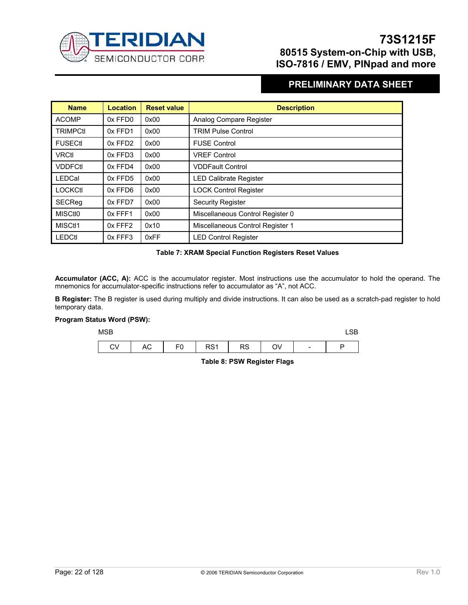

### **PRELIMINARY DATA SHEET**

| <b>Name</b>         | <b>Location</b> | <b>Reset value</b> | <b>Description</b>               |
|---------------------|-----------------|--------------------|----------------------------------|
| <b>ACOMP</b>        | 0x FFD0         | 0x00               | Analog Compare Register          |
| <b>TRIMPCtI</b>     | 0x FFD1         | 0x00               | <b>TRIM Pulse Control</b>        |
| <b>FUSECtl</b>      | 0x FFD2         | 0x00               | <b>FUSE Control</b>              |
| <b>VRCtl</b>        | 0x FFD3         | 0x00               | <b>VREF Control</b>              |
| <b>VDDFCtI</b>      | 0x FFD4         | 0x00               | <b>VDDFault Control</b>          |
| LEDCal              | 0x FFD5         | 0x00               | <b>LED Calibrate Register</b>    |
| <b>LOCKCtl</b>      | 0x FFD6         | 0x00               | <b>LOCK Control Register</b>     |
| <b>SECReg</b>       | 0x FFD7         | 0x00               | <b>Security Register</b>         |
| <b>MISCtIO</b>      | 0x FFF1         | 0x00               | Miscellaneous Control Register 0 |
| MISC <sub>t11</sub> | 0x FFF2         | 0x10               | Miscellaneous Control Register 1 |
| <b>LEDCtl</b>       | 0x FFF3         | 0xFF               | <b>LED Control Register</b>      |

#### **Table 7: XRAM Special Function Registers Reset Values**

**Accumulator (ACC, A):** ACC is the accumulator register. Most instructions use the accumulator to hold the operand. The mnemonics for accumulator-specific instructions refer to accumulator as "A", not ACC.

**B Register:** The B register is used during multiply and divide instructions. It can also be used as a scratch-pad register to hold temporary data.

#### **Program Status Word (PSW):**

| <b>MSB</b>         |           |                      |    |                 |  |
|--------------------|-----------|----------------------|----|-----------------|--|
| CV<br>$\mathbf{I}$ | AC F0 RS1 | $\sim$ 1 RS 1 $\sim$ | OV | $\sim 10^{-11}$ |  |

**Table 8: PSW Register Flags**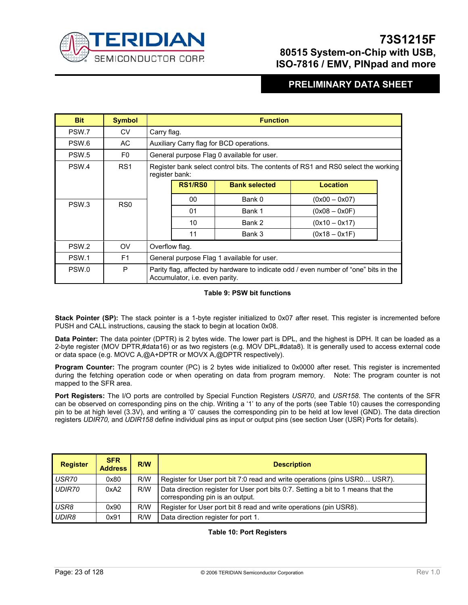

### **PRELIMINARY DATA SHEET**

| <b>Bit</b>       | <b>Symbol</b>   |             | <b>Function</b>                                                                                     |                                            |                                                                                      |  |  |  |
|------------------|-----------------|-------------|-----------------------------------------------------------------------------------------------------|--------------------------------------------|--------------------------------------------------------------------------------------|--|--|--|
| PSW.7            | CV              | Carry flag. |                                                                                                     |                                            |                                                                                      |  |  |  |
| PSW.6            | AC.             |             |                                                                                                     | Auxiliary Carry flag for BCD operations.   |                                                                                      |  |  |  |
| PSW.5            | F0              |             |                                                                                                     | General purpose Flag 0 available for user. |                                                                                      |  |  |  |
| PSW.4            | RS1             |             | Register bank select control bits. The contents of RS1 and RS0 select the working<br>register bank: |                                            |                                                                                      |  |  |  |
|                  |                 |             | <b>RS1/RS0</b>                                                                                      | <b>Bank selected</b>                       | Location                                                                             |  |  |  |
|                  |                 |             | 00                                                                                                  | Bank 0                                     | $(0x00 - 0x07)$                                                                      |  |  |  |
| PSW <sub>3</sub> | RS <sub>0</sub> |             | 01                                                                                                  | Bank 1                                     | $(0x08 - 0x0F)$                                                                      |  |  |  |
|                  |                 |             | 10                                                                                                  | Bank 2                                     | $(0x10 - 0x17)$                                                                      |  |  |  |
|                  |                 |             | 11                                                                                                  | Bank 3                                     | $(0x18 - 0x1F)$                                                                      |  |  |  |
| PSW <sub>2</sub> | <b>OV</b>       |             | Overflow flag.                                                                                      |                                            |                                                                                      |  |  |  |
| PSW.1            | F <sub>1</sub>  |             | General purpose Flag 1 available for user.                                                          |                                            |                                                                                      |  |  |  |
| PSW.0            | P               |             | Accumulator, i.e. even parity.                                                                      |                                            | Parity flag, affected by hardware to indicate odd / even number of "one" bits in the |  |  |  |

#### **Table 9: PSW bit functions**

**Stack Pointer (SP):** The stack pointer is a 1-byte register initialized to 0x07 after reset. This register is incremented before PUSH and CALL instructions, causing the stack to begin at location 0x08.

**Data Pointer:** The data pointer (DPTR) is 2 bytes wide. The lower part is DPL, and the highest is DPH. It can be loaded as a 2-byte register (MOV DPTR,#data16) or as two registers (e.g. MOV DPL,#data8). It is generally used to access external code or data space (e.g. MOVC A,@A+DPTR or MOVX A,@DPTR respectively).

**Program Counter:** The program counter (PC) is 2 bytes wide initialized to 0x0000 after reset. This register is incremented during the fetching operation code or when operating on data from program memory. Note: The program counter is not mapped to the SFR area.

**Port Registers:** The I/O ports are controlled by Special Function Registers *USR70*, and *USR158*. The contents of the SFR can be observed on corresponding pins on the chip. Writing a '1' to any of the ports (see Table 10) causes the corresponding pin to be at high level (3.3V), and writing a '0' causes the corresponding pin to be held at low level (GND). The data direction registers *UDIR70,* and *UDIR158* define individual pins as input or output pins (see section User (USR) Ports for details).

| <b>Register</b> | <b>SFR</b><br><b>Address</b> | R/W | <b>Description</b>                                                                                                   |
|-----------------|------------------------------|-----|----------------------------------------------------------------------------------------------------------------------|
| USR70           | 0x80                         | R/W | Register for User port bit 7:0 read and write operations (pins USR0 USR7).                                           |
| <b>UDIR70</b>   | 0xA2                         | R/W | Data direction register for User port bits 0:7. Setting a bit to 1 means that the<br>corresponding pin is an output. |
| USR8            | 0x90                         | R/W | Register for User port bit 8 read and write operations (pin USR8).                                                   |
| UDIR8           | 0x91                         | R/W | Data direction register for port 1.                                                                                  |

**Table 10: Port Registers**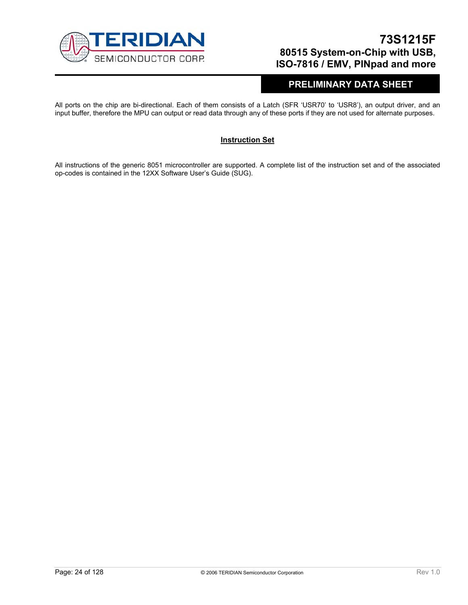

### **PRELIMINARY DATA SHEET**

All ports on the chip are bi-directional. Each of them consists of a Latch (SFR 'USR70' to 'USR8'), an output driver, and an input buffer, therefore the MPU can output or read data through any of these ports if they are not used for alternate purposes.

#### **Instruction Set**

All instructions of the generic 8051 microcontroller are supported. A complete list of the instruction set and of the associated op-codes is contained in the 12XX Software User's Guide (SUG).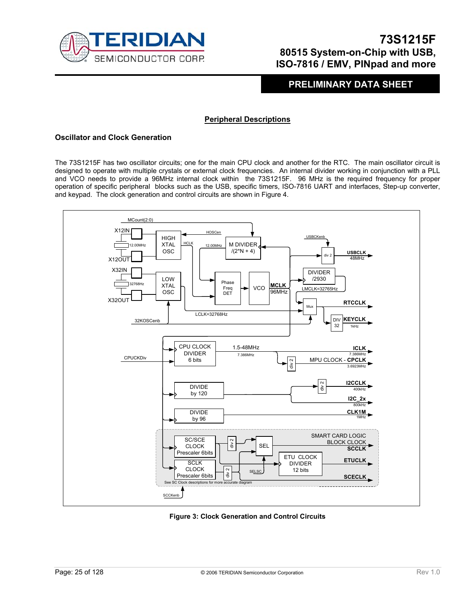

### **PRELIMINARY DATA SHEET**

#### **Peripheral Descriptions**

#### **Oscillator and Clock Generation**

The 73S1215F has two oscillator circuits; one for the main CPU clock and another for the RTC. The main oscillator circuit is designed to operate with multiple crystals or external clock frequencies. An internal divider working in conjunction with a PLL and VCO needs to provide a 96MHz internal clock within the 73S1215F. 96 MHz is the required frequency for proper operation of specific peripheral blocks such as the USB, specific timers, ISO-7816 UART and interfaces, Step-up converter, and keypad. The clock generation and control circuits are shown in Figure 4.



**Figure 3: Clock Generation and Control Circuits**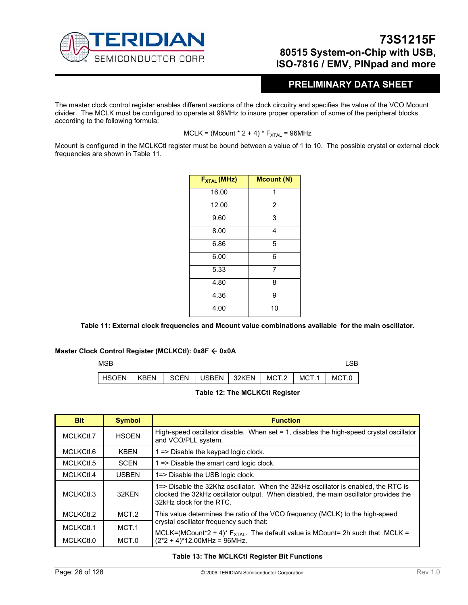

### **PRELIMINARY DATA SHEET**

The master clock control register enables different sections of the clock circuitry and specifies the value of the VCO Mcount divider. The MCLK must be configured to operate at 96MHz to insure proper operation of some of the peripheral blocks according to the following formula:

 $MCLK = (Mcount * 2 + 4) * F<sub>XTAL</sub> = 96MHz$ 

Mcount is configured in the MCLKCtl register must be bound between a value of 1 to 10. The possible crystal or external clock frequencies are shown in Table 11.

| $F_{XTAL}$ (MHz) | <b>Mcount (N)</b> |
|------------------|-------------------|
| 16.00            | 1                 |
| 12.00            | $\overline{2}$    |
| 9.60             | 3                 |
| 8.00             | 4                 |
| 6.86             | 5                 |
| 6.00             | 6                 |
| 5.33             | 7                 |
| 4.80             | 8                 |
| 4.36             | 9                 |
| 4.00             | 10                |

**Table 11: External clock frequencies and Mcount value combinations available for the main oscillator.** 

#### **Master Clock Control Register (MCLKCtl): 0x8F ← 0x0A**





| <b>Bit</b> | <b>Symbol</b> | <b>Function</b>                                                                                                                                                                                        |
|------------|---------------|--------------------------------------------------------------------------------------------------------------------------------------------------------------------------------------------------------|
| MCLKCtl.7  | <b>HSOEN</b>  | High-speed oscillator disable. When set $= 1$ , disables the high-speed crystal oscillator<br>and VCO/PLL system.                                                                                      |
| MCLKCtl.6  | <b>KBEN</b>   | 1 => Disable the keypad logic clock.                                                                                                                                                                   |
| MCLKCtl.5  | <b>SCEN</b>   | 1 => Disable the smart card logic clock.                                                                                                                                                               |
| MCLKCtl.4  | <b>USBEN</b>  | 1=> Disable the USB logic clock.                                                                                                                                                                       |
| MCLKCtl.3  | 32KFN         | 1=> Disable the 32Khz oscillator. When the 32kHz oscillator is enabled, the RTC is<br>clocked the 32kHz oscillator output. When disabled, the main oscillator provides the<br>32kHz clock for the RTC. |
| MCLKCtl.2  | MCT.2         | This value determines the ratio of the VCO frequency (MCLK) to the high-speed                                                                                                                          |
| MCLKCtl.1  | MCT.1         | crystal oscillator frequency such that:<br>MCLK=(MCount*2 + 4)* $F_{XTAL}$ . The default value is MCount= 2h such that MCLK =                                                                          |
| MCLKCtl.0  | MCT.0         | $(2^*2 + 4)^*12.00MHz = 96MHz.$                                                                                                                                                                        |

**Table 13: The MCLKCtl Register Bit Functions**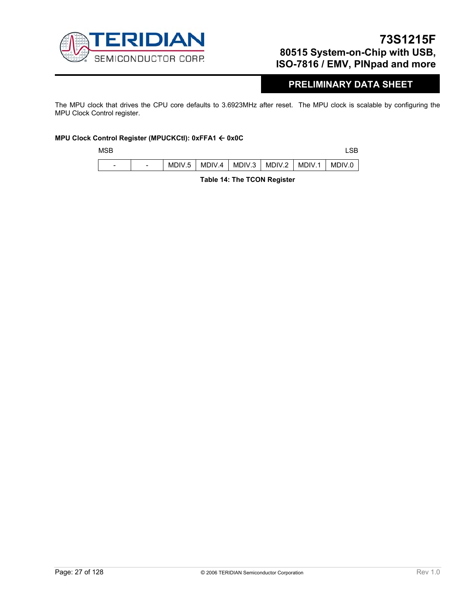

### **PRELIMINARY DATA SHEET**

The MPU clock that drives the CPU core defaults to 3.6923MHz after reset. The MPU clock is scalable by configuring the MPU Clock Control register.

#### **MPU Clock Control Register (MPUCKCtl): 0xFFA1** Å **0x0C**

| M |
|---|

| MSB                      |                          |        |                                   |  |        |
|--------------------------|--------------------------|--------|-----------------------------------|--|--------|
| $\overline{\phantom{0}}$ | $\overline{\phantom{0}}$ | MDIV.5 | MDIV.4   MDIV.3   MDIV.2   MDIV.1 |  | MDIV.0 |

**Table 14: The TCON Register**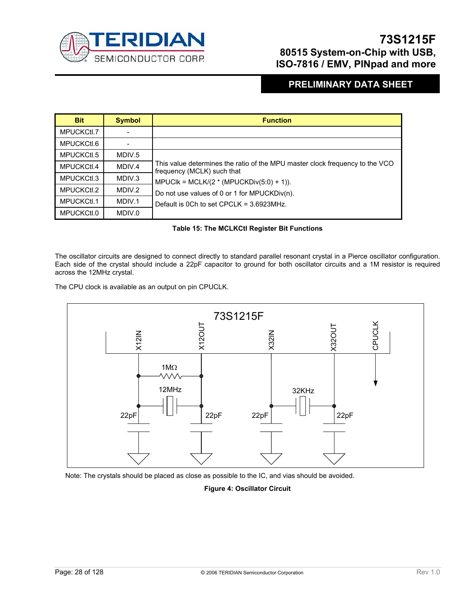

### **PRELIMINARY DATA SHEET**

| <b>Bit</b> | <b>Symbol</b> | <b>Function</b>                                                                                            |
|------------|---------------|------------------------------------------------------------------------------------------------------------|
| MPUCKCtl.7 |               |                                                                                                            |
| MPUCKCtl.6 |               |                                                                                                            |
| MPUCKCtl.5 | MDIV.5        |                                                                                                            |
| MPUCKCtl.4 | MDIV.4        | This value determines the ratio of the MPU master clock frequency to the VCO<br>frequency (MCLK) such that |
| MPUCKCtl.3 | MDIV.3        | MPUCIk = MCLK/ $(2 * (MPUCKDiv(5:0) + 1))$ .                                                               |
| MPUCKCtl.2 | MDIV.2        | Do not use values of 0 or 1 for MPUCKDiv(n).                                                               |
| MPUCKCtl.1 | MDIV.1        | Default is 0Ch to set $CPCLK = 3.6923MHz$ .                                                                |
| MPUCKCtl.0 | MDIV.0        |                                                                                                            |

#### **Table 15: The MCLKCtl Register Bit Functions**

The oscillator circuits are designed to connect directly to standard parallel resonant crystal in a Pierce oscillator configuration. Each side of the crystal should include a 22pF capacitor to ground for both oscillator circuits and a 1M resistor is required across the 12MHz crystal.

The CPU clock is available as an output on pin CPUCLK.



Note: The crystals should be placed as close as possible to the IC, and vias should be avoided.

#### **Figure 4: Oscillator Circuit**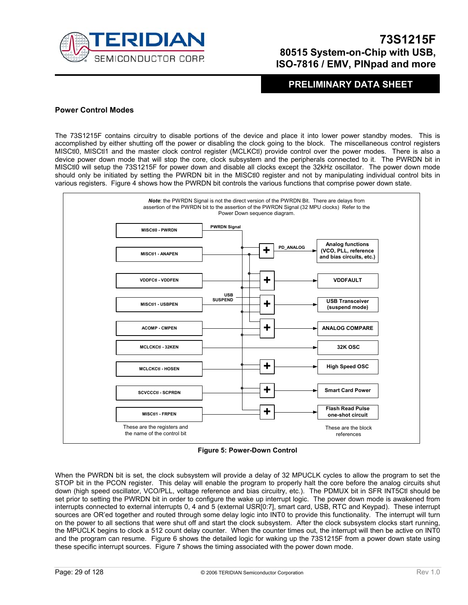

### **PRELIMINARY DATA SHEET**

#### **Power Control Modes**

The 73S1215F contains circuitry to disable portions of the device and place it into lower power standby modes. This is accomplished by either shutting off the power or disabling the clock going to the block. The miscellaneous control registers MISCtl0, MISCtl1 and the master clock control register (MCLKCtl) provide control over the power modes. There is also a device power down mode that will stop the core, clock subsystem and the peripherals connected to it. The PWRDN bit in MISCtl0 will setup the 73S1215F for power down and disable all clocks except the 32kHz oscillator. The power down mode should only be initiated by setting the PWRDN bit in the MISCtl0 register and not by manipulating individual control bits in various registers. Figure 4 shows how the PWRDN bit controls the various functions that comprise power down state.



**Figure 5: Power-Down Control** 

When the PWRDN bit is set, the clock subsystem will provide a delay of 32 MPUCLK cycles to allow the program to set the STOP bit in the PCON register. This delay will enable the program to properly halt the core before the analog circuits shut down (high speed oscillator, VCO/PLL, voltage reference and bias circuitry, etc.). The PDMUX bit in SFR INT5Ctl should be set prior to setting the PWRDN bit in order to configure the wake up interrupt logic. The power down mode is awakened from interrupts connected to external interrupts 0, 4 and 5 (external USR[0:7], smart card, USB, RTC and Keypad). These interrupt sources are OR'ed together and routed through some delay logic into INT0 to provide this functionality. The interrupt will turn on the power to all sections that were shut off and start the clock subsystem. After the clock subsystem clocks start running, the MPUCLK begins to clock a 512 count delay counter. When the counter times out, the interrupt will then be active on INT0 and the program can resume. Figure 6 shows the detailed logic for waking up the 73S1215F from a power down state using these specific interrupt sources. Figure 7 shows the timing associated with the power down mode.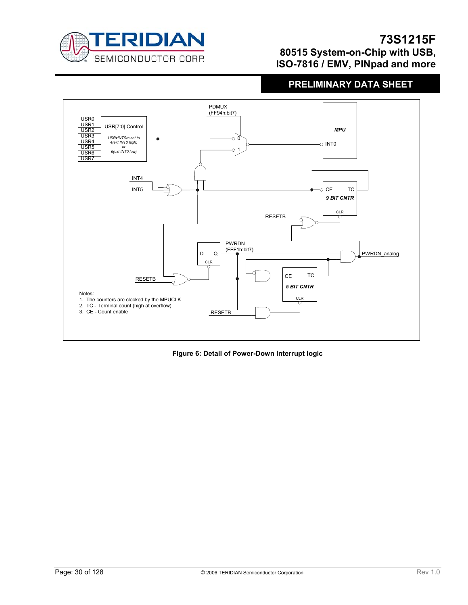

# **PRELIMINARY DATA SHEET**



**Figure 6: Detail of Power-Down Interrupt logic**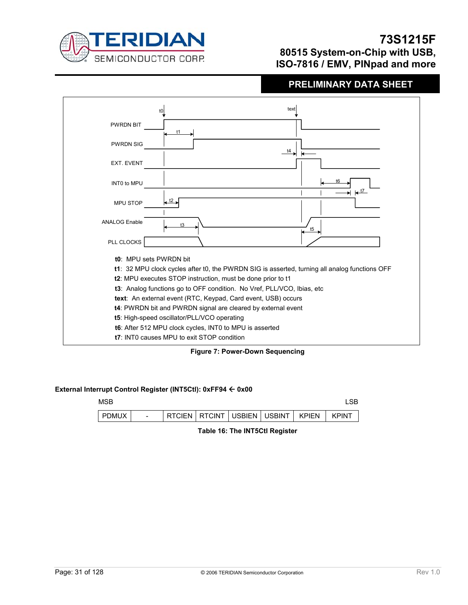

# **PRELIMINARY DATA SHEET**

|                      | text<br>t0                                                                                    |
|----------------------|-----------------------------------------------------------------------------------------------|
| <b>PWRDN BIT</b>     | t1                                                                                            |
| <b>PWRDN SIG</b>     | $\overrightarrow{t4}$<br>$\leftarrow$                                                         |
| <b>EXT. EVENT</b>    |                                                                                               |
| <b>INTO to MPU</b>   | $\leftarrow$ <sup>t7</sup>                                                                    |
| <b>MPU STOP</b>      | $\frac{12}{12}$                                                                               |
| <b>ANALOG Enable</b> | t3<br>t5                                                                                      |
| PLL CLOCKS           |                                                                                               |
|                      | t0: MPU sets PWRDN bit                                                                        |
|                      | t1: 32 MPU clock cycles after t0, the PWRDN SIG is asserted, turning all analog functions OFF |
|                      | t2: MPU executes STOP instruction, must be done prior to t1                                   |
|                      | t3: Analog functions go to OFF condition. No Vref, PLL/VCO, Ibias, etc                        |
|                      | text: An external event (RTC, Keypad, Card event, USB) occurs                                 |
|                      | t4: PWRDN bit and PWRDN signal are cleared by external event                                  |
|                      | t5: High-speed oscillator/PLL/VCO operating                                                   |
|                      | t6: After 512 MPU clock cycles, INT0 to MPU is asserted                                       |
|                      | t7: INTO causes MPU to exit STOP condition                                                    |

**Figure 7: Power-Down Sequencing** 

#### **External Interrupt Control Register (INT5Ctl): 0xFF94** Å **0x00**

| MSB          |                          |               |  |                                     |              | oп           |
|--------------|--------------------------|---------------|--|-------------------------------------|--------------|--------------|
| <b>PDMUX</b> | $\overline{\phantom{0}}$ | <b>RTCIEN</b> |  | <b>I RTCINT I USBIEN I USBINT I</b> | <b>KPIFN</b> | <b>KPINT</b> |

**Table 16: The INT5Ctl Register**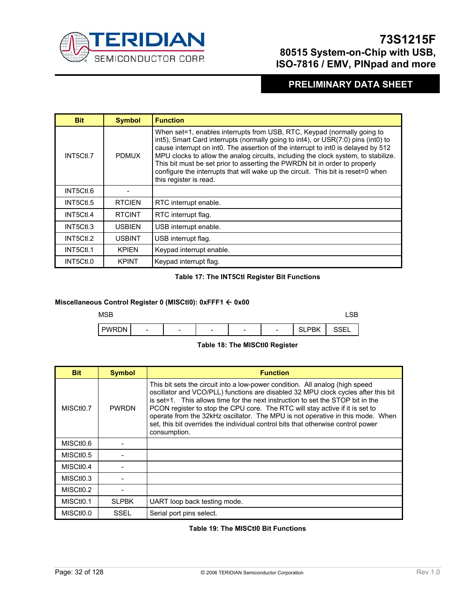

# **PRELIMINARY DATA SHEET**

| <b>Bit</b> | <b>Symbol</b> | <b>Function</b>                                                                                                                                                                                                                                                                                                                                                                                                                                                                                                                     |
|------------|---------------|-------------------------------------------------------------------------------------------------------------------------------------------------------------------------------------------------------------------------------------------------------------------------------------------------------------------------------------------------------------------------------------------------------------------------------------------------------------------------------------------------------------------------------------|
| INT5Ctl.7  | <b>PDMUX</b>  | When set=1, enables interrupts from USB, RTC, Keypad (normally going to<br>int5), Smart Card interrupts (normally going to int4), or USR(7:0) pins (int0) to<br>cause interrupt on int0. The assertion of the interrupt to int0 is delayed by 512<br>MPU clocks to allow the analog circuits, including the clock system, to stabilize.<br>This bit must be set prior to asserting the PWRDN bit in order to properly<br>configure the interrupts that will wake up the circuit. This bit is reset=0 when<br>this register is read. |
| INT5Ctl.6  |               |                                                                                                                                                                                                                                                                                                                                                                                                                                                                                                                                     |
| INT5Ctl.5  | <b>RTCIEN</b> | RTC interrupt enable.                                                                                                                                                                                                                                                                                                                                                                                                                                                                                                               |
| INT5Ctl.4  | <b>RTCINT</b> | RTC interrupt flag.                                                                                                                                                                                                                                                                                                                                                                                                                                                                                                                 |
| INT5Ctl.3  | <b>USBIEN</b> | USB interrupt enable.                                                                                                                                                                                                                                                                                                                                                                                                                                                                                                               |
| INT5Ctl.2  | <b>USBINT</b> | USB interrupt flag.                                                                                                                                                                                                                                                                                                                                                                                                                                                                                                                 |
| INT5Ctl.1  | <b>KPIFN</b>  | Keypad interrupt enable.                                                                                                                                                                                                                                                                                                                                                                                                                                                                                                            |
| INT5Ctl.0  | <b>KPINT</b>  | Keypad interrupt flag.                                                                                                                                                                                                                                                                                                                                                                                                                                                                                                              |

#### **Table 17: The INT5Ctl Register Bit Functions**

#### **Miscellaneous Control Register 0 (MISCtl0): 0xFFF1** Å **0x00**



#### **Table 18: The MISCtl0 Register**

| <b>Bit</b>             | <b>Symbol</b> | <b>Function</b>                                                                                                                                                                                                                                                                                                                                                                                                                                                                                                           |
|------------------------|---------------|---------------------------------------------------------------------------------------------------------------------------------------------------------------------------------------------------------------------------------------------------------------------------------------------------------------------------------------------------------------------------------------------------------------------------------------------------------------------------------------------------------------------------|
| MISCtI <sub>0.7</sub>  | <b>PWRDN</b>  | This bit sets the circuit into a low-power condition. All analog (high speed<br>oscillator and VCO/PLL) functions are disabled 32 MPU clock cycles after this bit<br>is set=1. This allows time for the next instruction to set the STOP bit in the<br>PCON register to stop the CPU core. The RTC will stay active if it is set to<br>operate from the 32kHz oscillator. The MPU is not operative in this mode. When<br>set, this bit overrides the individual control bits that otherwise control power<br>consumption. |
| MISCtI0.6              |               |                                                                                                                                                                                                                                                                                                                                                                                                                                                                                                                           |
| MISCtI <sub>0.5</sub>  |               |                                                                                                                                                                                                                                                                                                                                                                                                                                                                                                                           |
| MISC <sub>tIO.4</sub>  |               |                                                                                                                                                                                                                                                                                                                                                                                                                                                                                                                           |
| MISCtI <sub>0.3</sub>  |               |                                                                                                                                                                                                                                                                                                                                                                                                                                                                                                                           |
| MISC <sub>tio</sub> .2 |               |                                                                                                                                                                                                                                                                                                                                                                                                                                                                                                                           |
| MISC <sub>tio</sub> .1 | <b>SLPBK</b>  | UART loop back testing mode.                                                                                                                                                                                                                                                                                                                                                                                                                                                                                              |
| MISCtI <sub>0.0</sub>  | SSEL          | Serial port pins select.                                                                                                                                                                                                                                                                                                                                                                                                                                                                                                  |

#### **Table 19: The MISCtl0 Bit Functions**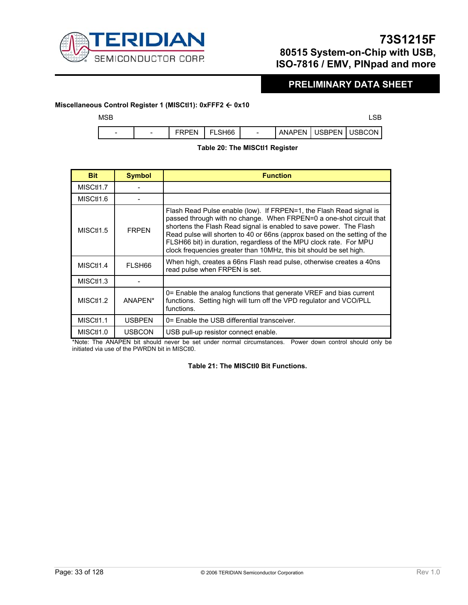

# **PRELIMINARY DATA SHEET**

#### **Miscellaneous Control Register 1 (MISCtl1): 0xFFF2** Å **0x10**

| <b>MSB</b>               |                          |              |        |                          |                          |  |
|--------------------------|--------------------------|--------------|--------|--------------------------|--------------------------|--|
| $\overline{\phantom{0}}$ | $\overline{\phantom{0}}$ | <b>FRPFN</b> | FLSH66 | $\overline{\phantom{0}}$ | ANAPEN   USBPEN   USBCON |  |

#### **Table 20: The MISCtl1 Register**

| <b>Bit</b>             | <b>Symbol</b>      | <b>Function</b>                                                                                                                                                                                                                                                                                                                                                                                                                           |
|------------------------|--------------------|-------------------------------------------------------------------------------------------------------------------------------------------------------------------------------------------------------------------------------------------------------------------------------------------------------------------------------------------------------------------------------------------------------------------------------------------|
| MISCt <sub>1.7</sub>   |                    |                                                                                                                                                                                                                                                                                                                                                                                                                                           |
| MISCtI <sub>1.6</sub>  |                    |                                                                                                                                                                                                                                                                                                                                                                                                                                           |
| MISC <sub>t11.5</sub>  | <b>FRPFN</b>       | Flash Read Pulse enable (low). If FRPEN=1, the Flash Read signal is<br>passed through with no change. When FRPEN=0 a one-shot circuit that<br>shortens the Flash Read signal is enabled to save power. The Flash<br>Read pulse will shorten to 40 or 66ns (approx based on the setting of the<br>FLSH66 bit) in duration, regardless of the MPU clock rate. For MPU<br>clock frequencies greater than 10MHz, this bit should be set high. |
| MISCtI1.4              | FLSH <sub>66</sub> | When high, creates a 66ns Flash read pulse, otherwise creates a 40ns<br>read pulse when FRPEN is set.                                                                                                                                                                                                                                                                                                                                     |
| MISC <sub>t1</sub> 1.3 |                    |                                                                                                                                                                                                                                                                                                                                                                                                                                           |
| MISC <sub>t11</sub> .2 | ANAPFN*            | 0= Enable the analog functions that generate VREF and bias current<br>functions. Setting high will turn off the VPD regulator and VCO/PLL<br>functions.                                                                                                                                                                                                                                                                                   |
| MISC <sub>t11</sub> .1 | <b>USBPEN</b>      | 0= Enable the USB differential transceiver.                                                                                                                                                                                                                                                                                                                                                                                               |
| MISCt <sub>1.0</sub>   | <b>USBCON</b>      | USB pull-up resistor connect enable.                                                                                                                                                                                                                                                                                                                                                                                                      |

\*Note: The ANAPEN bit should never be set under normal circumstances. Power down control should only be initiated via use of the PWRDN bit in MISCtl0.

#### **Table 21: The MISCtl0 Bit Functions.**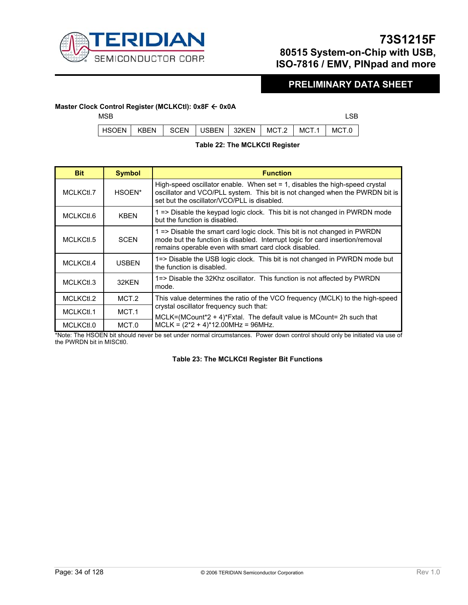

### **PRELIMINARY DATA SHEET**

#### **Master Clock Control Register (MCLKCtl): 0x8F ← 0x0A**

 $MSB$  respectively. The contract of the contract of the contract of the contract of the contract of the contract of the contract of the contract of the contract of the contract of the contract of the contract of the contra

|  | HSOEN   KBEN   SCEN   USBEN   32KEN   MCT.2   MCT.1   MCT.0 |  |  |
|--|-------------------------------------------------------------|--|--|

#### **Table 22: The MCLKCtl Register**

| <b>Bit</b> | <b>Symbol</b> | <b>Function</b>                                                                                                                                                                                                     |
|------------|---------------|---------------------------------------------------------------------------------------------------------------------------------------------------------------------------------------------------------------------|
| MCLKCtl.7  | HSOEN*        | High-speed oscillator enable. When set = 1, disables the high-speed crystal<br>oscillator and VCO/PLL system. This bit is not changed when the PWRDN bit is<br>set but the oscillator/VCO/PLL is disabled.          |
| MCLKCtl.6  | <b>KBEN</b>   | 1 => Disable the keypad logic clock. This bit is not changed in PWRDN mode<br>but the function is disabled.                                                                                                         |
| MCLKCtl.5  | <b>SCEN</b>   | 1 => Disable the smart card logic clock. This bit is not changed in PWRDN<br>mode but the function is disabled. Interrupt logic for card insertion/removal<br>remains operable even with smart card clock disabled. |
| MCLKCtl.4  | <b>USBEN</b>  | 1=> Disable the USB logic clock. This bit is not changed in PWRDN mode but<br>the function is disabled.                                                                                                             |
| MCLKCtl.3  | 32KFN         | 1=> Disable the 32Khz oscillator. This function is not affected by PWRDN<br>mode.                                                                                                                                   |
| MCLKCtl.2  | MCT.2         | This value determines the ratio of the VCO frequency (MCLK) to the high-speed                                                                                                                                       |
| MCLKCtl.1  | MCT.1         | crystal oscillator frequency such that:<br>$MCLK = (MCount*2 + 4)*Fxtal$ . The default value is MCount = 2h such that                                                                                               |
| MCLKCtl.0  | MCT.0         | $MCLK = (2*2 + 4)*12.00MHz = 96MHz.$                                                                                                                                                                                |

\*Note: The HSOEN bit should never be set under normal circumstances. Power down control should only be initiated via use of the PWRDN bit in MISCtl0.

#### **Table 23: The MCLKCtl Register Bit Functions**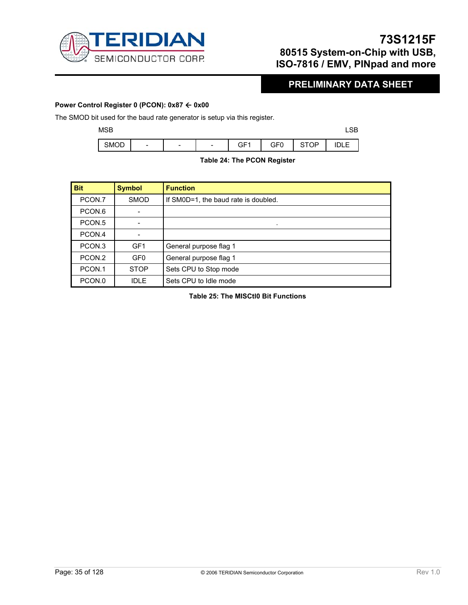

## **PRELIMINARY DATA SHEET**

#### **Power Control Register 0 (PCON): 0x87 ← 0x00**

The SMOD bit used for the baud rate generator is setup via this register.

| MSB         |                          |                          |                          |                 |     |             | 0 <sub>D</sub><br>∟ວ⊳ |
|-------------|--------------------------|--------------------------|--------------------------|-----------------|-----|-------------|-----------------------|
| <b>SMOD</b> | $\overline{\phantom{a}}$ | $\overline{\phantom{a}}$ | $\overline{\phantom{a}}$ | GF <sub>1</sub> | GF0 | <b>STOP</b> | DLE                   |

### **Table 24: The PCON Register**

| <b>Bit</b>        | <b>Symbol</b>   | <b>Function</b>                      |  |
|-------------------|-----------------|--------------------------------------|--|
| PCON.7            | <b>SMOD</b>     | If SM0D=1, the baud rate is doubled. |  |
| PCON.6            |                 |                                      |  |
| PCON.5            |                 | ۰                                    |  |
| PCON.4            |                 |                                      |  |
| PCON <sub>3</sub> | GF <sub>1</sub> | General purpose flag 1               |  |
| PCON.2            | GF <sub>0</sub> | General purpose flag 1               |  |
| PCON.1            | <b>STOP</b>     | Sets CPU to Stop mode                |  |
| PCON.0            | <b>IDLE</b>     | Sets CPU to Idle mode                |  |

**Table 25: The MISCtl0 Bit Functions**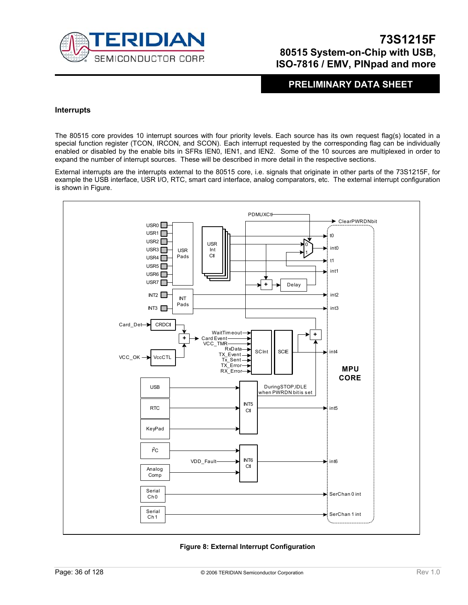

### **PRELIMINARY DATA SHEET**

#### **Interrupts**

The 80515 core provides 10 interrupt sources with four priority levels. Each source has its own request flag(s) located in a special function register (TCON, IRCON, and SCON). Each interrupt requested by the corresponding flag can be individually enabled or disabled by the enable bits in SFRs IEN0, IEN1, and IEN2. Some of the 10 sources are multiplexed in order to expand the number of interrupt sources. These will be described in more detail in the respective sections.

External interrupts are the interrupts external to the 80515 core, i.e. signals that originate in other parts of the 73S1215F, for example the USB interface, USR I/O, RTC, smart card interface, analog comparators, etc. The external interrupt configuration is shown in Figure.



#### **Figure 8: External Interrupt Configuration**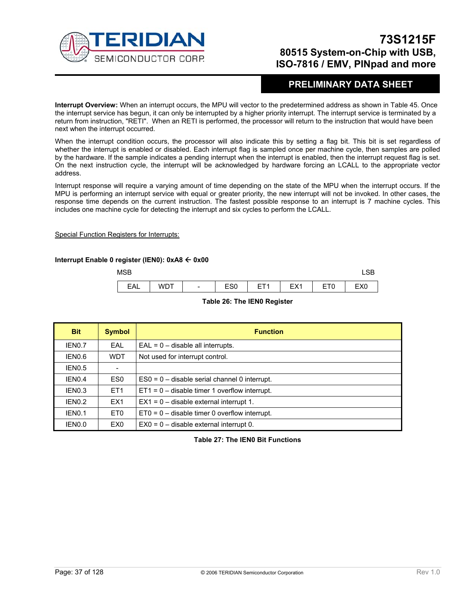

### **PRELIMINARY DATA SHEET**

**Interrupt Overview:** When an interrupt occurs, the MPU will vector to the predetermined address as shown in Table 45. Once the interrupt service has begun, it can only be interrupted by a higher priority interrupt. The interrupt service is terminated by a return from instruction, "RETI". When an RETI is performed, the processor will return to the instruction that would have been next when the interrupt occurred.

When the interrupt condition occurs, the processor will also indicate this by setting a flag bit. This bit is set regardless of whether the interrupt is enabled or disabled. Each interrupt flag is sampled once per machine cycle, then samples are polled by the hardware. If the sample indicates a pending interrupt when the interrupt is enabled, then the interrupt request flag is set. On the next instruction cycle, the interrupt will be acknowledged by hardware forcing an LCALL to the appropriate vector address.

Interrupt response will require a varying amount of time depending on the state of the MPU when the interrupt occurs. If the MPU is performing an interrupt service with equal or greater priority, the new interrupt will not be invoked. In other cases, the response time depends on the current instruction. The fastest possible response to an interrupt is 7 machine cycles. This includes one machine cycle for detecting the interrupt and six cycles to perform the LCALL.

#### Special Function Registers for Interrupts:

### **Interrupt Enable 0 register (IEN0): 0xA8** Å **0x00**

| <b>MSB</b> |     |                          |            |                        |     |                                |                 |
|------------|-----|--------------------------|------------|------------------------|-----|--------------------------------|-----------------|
| EAL        | WDT | $\overline{\phantom{a}}$ | ron<br>∟ບບ | ET <sup>4</sup><br>- 1 | EX1 | —— <i>—</i><br><u>ь</u><br>ᆮlU | EX <sub>0</sub> |

#### **Table 26: The IEN0 Register**

| <b>Bit</b>         | <b>Symbol</b>   | <b>Function</b>                                 |  |  |  |
|--------------------|-----------------|-------------------------------------------------|--|--|--|
| IEN0.7             | <b>EAL</b>      | $EAL = 0 -$ disable all interrupts.             |  |  |  |
| IEN0.6             | <b>WDT</b>      | Not used for interrupt control.                 |  |  |  |
| IEN0.5             |                 |                                                 |  |  |  |
| IEN <sub>0.4</sub> | ES0             | $ES0 = 0$ – disable serial channel 0 interrupt. |  |  |  |
| IEN0.3             | ET <sub>1</sub> | $ET1 = 0$ – disable timer 1 overflow interrupt. |  |  |  |
| IFN <sub>0.2</sub> | EX <sub>1</sub> | $EX1 = 0$ – disable external interrupt 1.       |  |  |  |
| IEN <sub>0.1</sub> | ET <sub>0</sub> | $ET0 = 0$ – disable timer 0 overflow interrupt. |  |  |  |
| IEN0.0             | EX <sub>0</sub> | $EX0 = 0$ – disable external interrupt 0.       |  |  |  |

**Table 27: The IEN0 Bit Functions**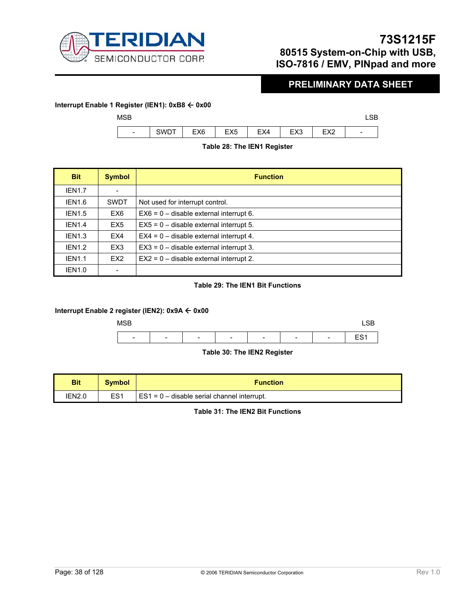

### **PRELIMINARY DATA SHEET**

### **Interrupt Enable 1 Register (IEN1): 0xB8** Å **0x00**



### **Table 28: The IEN1 Register**

| <b>Bit</b>         | <b>Symbol</b>   | <b>Function</b>                           |
|--------------------|-----------------|-------------------------------------------|
| <b>IEN1.7</b>      |                 |                                           |
| IEN <sub>1.6</sub> | <b>SWDT</b>     | Not used for interrupt control.           |
| <b>IEN1.5</b>      | EX6             | $EX6 = 0$ – disable external interrupt 6. |
| <b>IEN1.4</b>      | EX <sub>5</sub> | $EX5 = 0$ – disable external interrupt 5. |
| IEN <sub>1.3</sub> | EX4             | $EX4 = 0$ – disable external interrupt 4. |
| IEN <sub>1.2</sub> | EX <sub>3</sub> | $EX3 = 0$ – disable external interrupt 3. |
| <b>IEN1.1</b>      | EX <sub>2</sub> | $EX2 = 0$ – disable external interrupt 2. |
| <b>IEN1.0</b>      |                 |                                           |

### **Table 29: The IEN1 Bit Functions**

### **Interrupt Enable 2 register (IEN2): 0x9A** Å **0x00**



### **Table 30: The IEN2 Register**

| <b>Bit</b> | <b>Symbol</b>   | <b>Function</b>                             |
|------------|-----------------|---------------------------------------------|
| IEN2.0     | ES <sub>1</sub> | ES1 = 0 - disable serial channel interrupt. |

**Table 31: The IEN2 Bit Functions**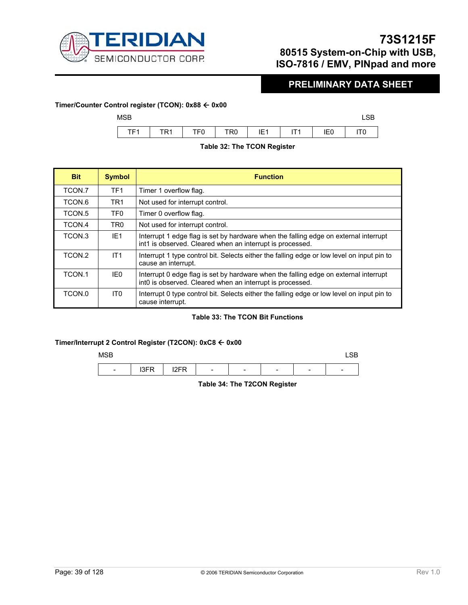

### **PRELIMINARY DATA SHEET**

### **Timer/Counter Control register (TCON): 0x88** Å **0x00**   $MSB$  and  $MSB$  and  $MSB$  and  $MSB$  and  $MSB$  and  $MSB$  and  $MSB$  and  $MSB$  and  $MSB$  and  $MSB$  and  $MSB$  and  $MSB$  and  $MSB$  and  $MSB$  and  $MSB$  and  $MSB$  and  $MSB$  and  $MSB$  and  $MSB$  and  $MSB$  and  $MSB$  and  $MSB$  and  $MSB$  and  $MSB$  and  $MSB$  TF1 | TR1 | TF0 | TR0 | IE1 | IT1 | IE0 | IT0

### **Table 32: The TCON Register**

| <b>Bit</b>         | <b>Symbol</b>   | <b>Function</b>                                                                                                                                   |
|--------------------|-----------------|---------------------------------------------------------------------------------------------------------------------------------------------------|
| TCON.7             | TF <sub>1</sub> | Timer 1 overflow flag.                                                                                                                            |
| TCON.6             | TR <sub>1</sub> | Not used for interrupt control.                                                                                                                   |
| TCON <sub>.5</sub> | TF <sub>0</sub> | Timer 0 overflow flag.                                                                                                                            |
| TCON.4             | TR <sub>0</sub> | Not used for interrupt control.                                                                                                                   |
| TCON <sub>3</sub>  | IF1             | Interrupt 1 edge flag is set by hardware when the falling edge on external interrupt<br>int1 is observed. Cleared when an interrupt is processed. |
| TCON.2             | IT1             | Interrupt 1 type control bit. Selects either the falling edge or low level on input pin to<br>cause an interrupt.                                 |
| TCON.1             | IE0             | Interrupt 0 edge flag is set by hardware when the falling edge on external interrupt<br>int0 is observed. Cleared when an interrupt is processed. |
| TCON.0             | IT0             | Interrupt 0 type control bit. Selects either the falling edge or low level on input pin to<br>cause interrupt.                                    |

### **Table 33: The TCON Bit Functions**

### **Timer/Interrupt 2 Control Register (T2CON): 0xC8** Å **0x00**



**Table 34: The T2CON Register**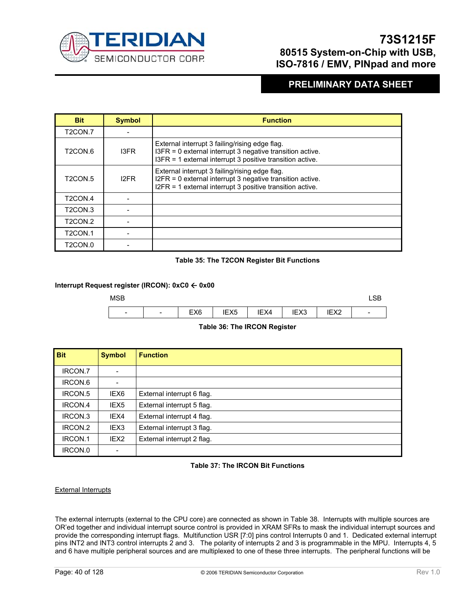

### **PRELIMINARY DATA SHEET**

| <b>Bit</b>                       | <b>Symbol</b>     | <b>Function</b>                                                                                                                                                          |
|----------------------------------|-------------------|--------------------------------------------------------------------------------------------------------------------------------------------------------------------------|
| T <sub>2</sub> CON.7             |                   |                                                                                                                                                                          |
| T <sub>2</sub> CON.6             | 13FR              | External interrupt 3 failing/rising edge flag.<br>I3FR = 0 external interrupt 3 negative transition active.<br>I3FR = 1 external interrupt 3 positive transition active. |
| T <sub>2</sub> CON <sub>.5</sub> | I <sub>2</sub> FR | External interrupt 3 failing/rising edge flag.<br>I2FR = 0 external interrupt 3 negative transition active.<br>I2FR = 1 external interrupt 3 positive transition active. |
| T <sub>2</sub> CON <sub>.4</sub> |                   |                                                                                                                                                                          |
| T <sub>2</sub> CON <sub>3</sub>  |                   |                                                                                                                                                                          |
| T <sub>2</sub> CON <sub>2</sub>  |                   |                                                                                                                                                                          |
| T <sub>2</sub> CON <sub>.1</sub> |                   |                                                                                                                                                                          |
| T <sub>2</sub> CON.0             |                   |                                                                                                                                                                          |

### **Table 35: The T2CON Register Bit Functions**

### **Interrupt Request register (IRCON): 0xC0** Å **0x00**



### **Table 36: The IRCON Register**

| <b>Bit</b> | <b>Symbol</b>    | <b>Function</b>            |
|------------|------------------|----------------------------|
| IRCON.7    |                  |                            |
| IRCON.6    |                  |                            |
| IRCON.5    | IEX6             | External interrupt 6 flag. |
| IRCON.4    | IEX <sub>5</sub> | External interrupt 5 flag. |
| IRCON.3    | IEX4             | External interrupt 4 flag. |
| IRCON.2    | IEX3             | External interrupt 3 flag. |
| IRCON.1    | IEX <sub>2</sub> | External interrupt 2 flag. |
| IRCON.0    |                  |                            |

### **Table 37: The IRCON Bit Functions**

### External Interrupts

The external interrupts (external to the CPU core) are connected as shown in Table 38. Interrupts with multiple sources are OR'ed together and individual interrupt source control is provided in XRAM SFRs to mask the individual interrupt sources and provide the corresponding interrupt flags. Multifunction USR [7:0] pins control Interrupts 0 and 1. Dedicated external interrupt pins INT2 and INT3 control interrupts 2 and 3. The polarity of interrupts 2 and 3 is programmable in the MPU. Interrupts 4, 5 and 6 have multiple peripheral sources and are multiplexed to one of these three interrupts. The peripheral functions will be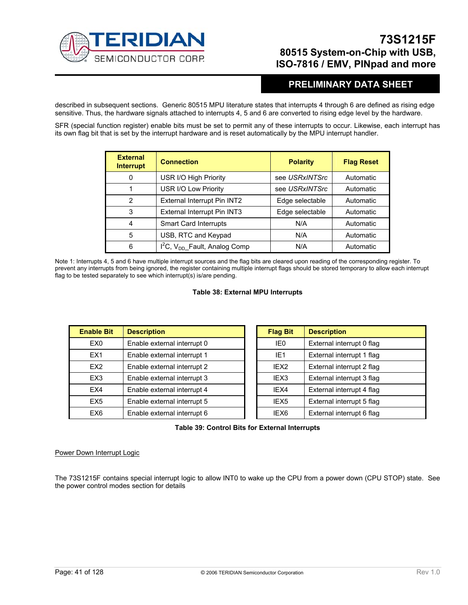

### **PRELIMINARY DATA SHEET**

described in subsequent sections. Generic 80515 MPU literature states that interrupts 4 through 6 are defined as rising edge sensitive. Thus, the hardware signals attached to interrupts 4, 5 and 6 are converted to rising edge level by the hardware.

SFR (special function register) enable bits must be set to permit any of these interrupts to occur. Likewise, each interrupt has its own flag bit that is set by the interrupt hardware and is reset automatically by the MPU interrupt handler.

| <b>External</b><br><b>Interrupt</b> | <b>Connection</b>                   | <b>Polarity</b> | <b>Flag Reset</b> |
|-------------------------------------|-------------------------------------|-----------------|-------------------|
| 0                                   | USR I/O High Priority               | see USRxINTSrc  | Automatic         |
| 1                                   | USR I/O Low Priority                | see USRxINTSrc  | Automatic         |
| $\overline{2}$                      | External Interrupt Pin INT2         | Edge selectable | Automatic         |
| 3                                   | External Interrupt Pin INT3         | Edge selectable | Automatic         |
| 4                                   | Smart Card Interrupts               | N/A             | Automatic         |
| 5                                   | USB, RTC and Keypad                 | N/A             | Automatic         |
| 6                                   | $I2C$ , $V_{DD}$ Fault, Analog Comp | N/A             | Automatic         |

Note 1: Interrupts 4, 5 and 6 have multiple interrupt sources and the flag bits are cleared upon reading of the corresponding register. To prevent any interrupts from being ignored, the register containing multiple interrupt flags should be stored temporary to allow each interrupt flag to be tested separately to see which interrupt(s) is/are pending.

### **Table 38: External MPU Interrupts**

| <b>Enable Bit</b> | <b>Description</b>          | <b>Flag Bit</b>  | <b>Description</b>        |
|-------------------|-----------------------------|------------------|---------------------------|
| EX0               | Enable external interrupt 0 | IE0              | External interrupt 0 flag |
| EX <sub>1</sub>   | Enable external interrupt 1 | IE <sub>1</sub>  | External interrupt 1 flag |
| EX <sub>2</sub>   | Enable external interrupt 2 | IEX <sub>2</sub> | External interrupt 2 flag |
| EX3               | Enable external interrupt 3 | IEX <sub>3</sub> | External interrupt 3 flag |
| EX4               | Enable external interrupt 4 | IEX4             | External interrupt 4 flag |
| EX <sub>5</sub>   | Enable external interrupt 5 | IEX <sub>5</sub> | External interrupt 5 flag |
| EX6               | Enable external interrupt 6 | IEX6             | External interrupt 6 flag |

### **Table 39: Control Bits for External Interrupts**

### Power Down Interrupt Logic

The 73S1215F contains special interrupt logic to allow INT0 to wake up the CPU from a power down (CPU STOP) state. See the power control modes section for details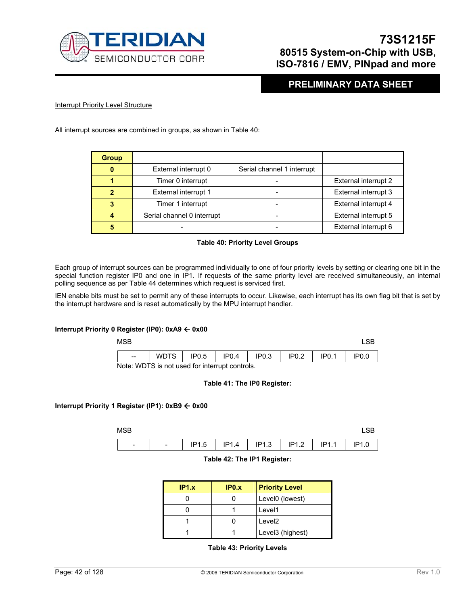

### **PRELIMINARY DATA SHEET**

### **Interrupt Priority Level Structure**

All interrupt sources are combined in groups, as shown in Table 40:

| <b>Group</b> |                            |                            |                      |
|--------------|----------------------------|----------------------------|----------------------|
| $\bf{0}$     | External interrupt 0       | Serial channel 1 interrupt |                      |
|              | Timer 0 interrupt          |                            | External interrupt 2 |
| 2            | External interrupt 1       |                            | External interrupt 3 |
| 3            | Timer 1 interrupt          |                            | External interrupt 4 |
|              | Serial channel 0 interrupt |                            | External interrupt 5 |
| 5            |                            |                            | External interrupt 6 |

#### **Table 40: Priority Level Groups**

Each group of interrupt sources can be programmed individually to one of four priority levels by setting or clearing one bit in the special function register IP0 and one in IP1. If requests of the same priority level are received simultaneously, an internal polling sequence as per Table 44 determines which request is serviced first.

IEN enable bits must be set to permit any of these interrupts to occur. Likewise, each interrupt has its own flag bit that is set by the interrupt hardware and is reset automatically by the MPU interrupt handler.

### **Interrupt Priority 0 Register (IP0): 0xA9 ← 0x00**

| <b>MSB</b>                                     |             |                   |                   |                   |                   |                   |                   |
|------------------------------------------------|-------------|-------------------|-------------------|-------------------|-------------------|-------------------|-------------------|
| $- -$                                          | <b>WDTS</b> | IP <sub>0.5</sub> | IP <sub>0.4</sub> | IP <sub>0.3</sub> | IP <sub>0.2</sub> | IP <sub>0.1</sub> | IP <sub>0.0</sub> |
| Note: WDTS is not used for interrupt controls. |             |                   |                   |                   |                   |                   |                   |

#### **Table 41: The IP0 Register:**

### **Interrupt Priority 1 Register (IP1): 0xB9** Å **0x00**

| <b>MSB</b>               |                          |       |       |       |       |       |       |
|--------------------------|--------------------------|-------|-------|-------|-------|-------|-------|
| $\overline{\phantom{0}}$ | $\overline{\phantom{a}}$ | IP1.5 | IP1.4 | IP1.3 | IP1.2 | IP1.1 | IP1.0 |

#### **Table 42: The IP1 Register:**

| IP1.x | IP0.x | <b>Priority Level</b> |  |
|-------|-------|-----------------------|--|
|       |       | Level0 (lowest)       |  |
|       |       | Level1                |  |
|       |       | Level <sub>2</sub>    |  |
|       |       | Level3 (highest)      |  |

### **Table 43: Priority Levels**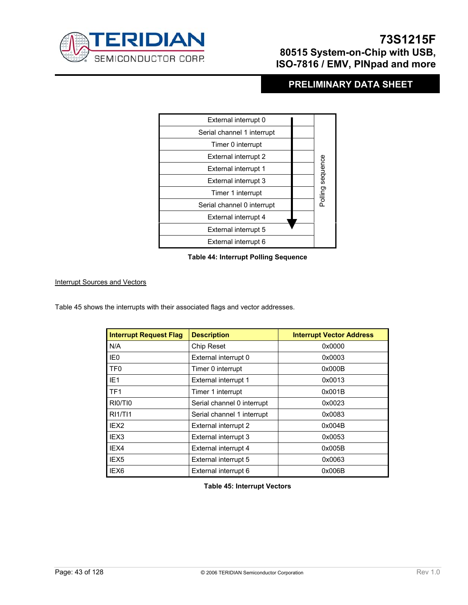

## **PRELIMINARY DATA SHEET**

| External interrupt 0       |                  |
|----------------------------|------------------|
| Serial channel 1 interrupt |                  |
| Timer 0 interrupt          |                  |
| External interrupt 2       |                  |
| External interrupt 1       | Polling sequence |
| External interrupt 3       |                  |
| Timer 1 interrupt          |                  |
| Serial channel 0 interrupt |                  |
| External interrupt 4       |                  |
| External interrupt 5       |                  |
| External interrupt 6       |                  |

### **Table 44: Interrupt Polling Sequence**

### Interrupt Sources and Vectors

Table 45 shows the interrupts with their associated flags and vector addresses.

| <b>Interrupt Request Flag</b> | <b>Description</b>         | <b>Interrupt Vector Address</b> |
|-------------------------------|----------------------------|---------------------------------|
| N/A                           | Chip Reset                 | 0x0000                          |
| IE <sub>0</sub>               | External interrupt 0       | 0x0003                          |
| TF <sub>0</sub>               | Timer 0 interrupt          | 0x000B                          |
| IE <sub>1</sub>               | External interrupt 1       | 0x0013                          |
| TF <sub>1</sub>               | Timer 1 interrupt          | 0x001B                          |
| RIO/TIO                       | Serial channel 0 interrupt | 0x0023                          |
| RI1/T11                       | Serial channel 1 interrupt | 0x0083                          |
| IEX <sub>2</sub>              | External interrupt 2       | 0x004B                          |
| IEX <sub>3</sub>              | External interrupt 3       | 0x0053                          |
| IEX4                          | External interrupt 4       | 0x005B                          |
| IEX <sub>5</sub>              | External interrupt 5       | 0x0063                          |
| IEX6                          | External interrupt 6       | 0x006B                          |

**Table 45: Interrupt Vectors**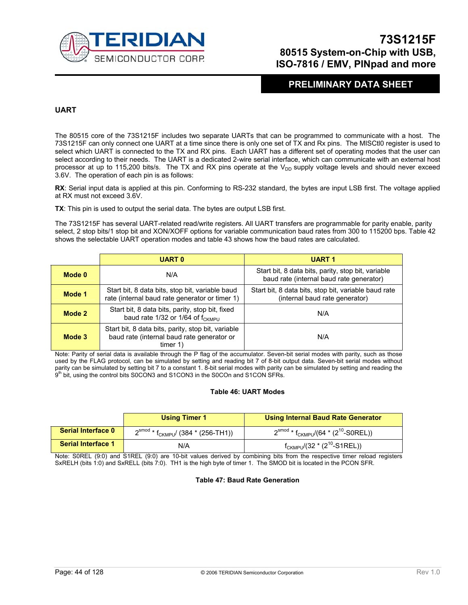

### **PRELIMINARY DATA SHEET**

### **UART**

The 80515 core of the 73S1215F includes two separate UARTs that can be programmed to communicate with a host. The 73S1215F can only connect one UART at a time since there is only one set of TX and Rx pins. The MISCtl0 register is used to select which UART is connected to the TX and RX pins. Each UART has a different set of operating modes that the user can select according to their needs. The UART is a dedicated 2-wire serial interface, which can communicate with an external host processor at up to 115,200 bits/s. The TX and RX pins operate at the  $V_{DD}$  supply voltage levels and should never exceed 3.6V. The operation of each pin is as follows:

**RX**: Serial input data is applied at this pin. Conforming to RS-232 standard, the bytes are input LSB first. The voltage applied at RX must not exceed 3.6V.

**TX**: This pin is used to output the serial data. The bytes are output LSB first.

The 73S1215F has several UART-related read/write registers. All UART transfers are programmable for parity enable, parity select, 2 stop bits/1 stop bit and XON/XOFF options for variable communication baud rates from 300 to 115200 bps. Table 42 shows the selectable UART operation modes and table 43 shows how the baud rates are calculated.

|        | <b>UART 0</b>                                                                                                 | <b>UART1</b>                                                                                   |
|--------|---------------------------------------------------------------------------------------------------------------|------------------------------------------------------------------------------------------------|
| Mode 0 | N/A                                                                                                           | Start bit, 8 data bits, parity, stop bit, variable<br>baud rate (internal baud rate generator) |
| Mode 1 | Start bit, 8 data bits, stop bit, variable baud<br>rate (internal baud rate generator or timer 1)             | Start bit, 8 data bits, stop bit, variable baud rate<br>(internal baud rate generator)         |
| Mode 2 | Start bit, 8 data bits, parity, stop bit, fixed<br>baud rate 1/32 or 1/64 of f <sub>CKMPU</sub>               | N/A                                                                                            |
| Mode 3 | Start bit, 8 data bits, parity, stop bit, variable<br>baud rate (internal baud rate generator or<br>timer $1$ | N/A                                                                                            |

Note: Parity of serial data is available through the P flag of the accumulator. Seven-bit serial modes with parity, such as those used by the FLAG protocol, can be simulated by setting and reading bit 7 of 8-bit output data. Seven-bit serial modes without parity can be simulated by setting bit 7 to a constant 1. 8-bit serial modes with parity can be simulated by setting and reading the<br>9<sup>th</sup> bit, using the control bits S0CON3 and S1CON3 in the S0COn and S1CON SFRs.

#### **Table 46: UART Modes**

|                           | <b>Using Timer 1</b>                                       | <b>Using Internal Baud Rate Generator</b>                                 |
|---------------------------|------------------------------------------------------------|---------------------------------------------------------------------------|
| <b>Serial Interface 0</b> | 2 <sup>smod</sup> * f <sub>CKMPU</sub> / (384 * (256-TH1)) | $2^{\text{smooth}}$ * f <sub>CKMPU</sub> /(64 * (2 <sup>10</sup> -S0REL)) |
| <b>Serial Interface 1</b> | N/A                                                        | $f_{CKMPU}/(32 * (2^{10} - S1REL))$                                       |

Note: S0REL (9:0) and S1REL (9:0) are 10-bit values derived by combining bits from the respective timer reload registers SxRELH (bits 1:0) and SxRELL (bits 7:0). TH1 is the high byte of timer 1. The SMOD bit is located in the PCON SFR.

#### **Table 47: Baud Rate Generation**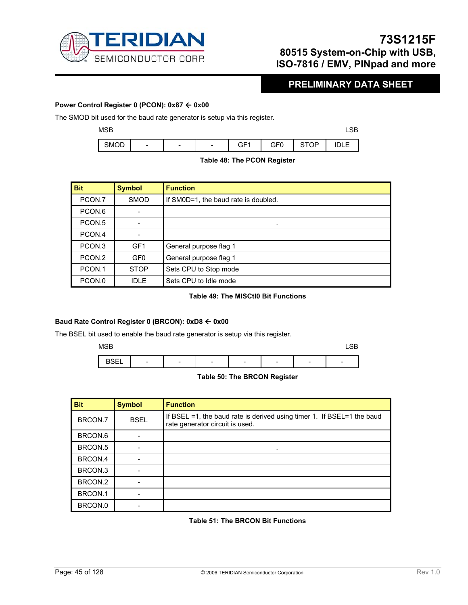

### **PRELIMINARY DATA SHEET**

### **Power Control Register 0 (PCON): 0x87 ← 0x00**

The SMOD bit used for the baud rate generator is setup via this register.



### **Table 48: The PCON Register**

| <b>Bit</b>         | <b>Symbol</b>   | <b>Function</b>                      |
|--------------------|-----------------|--------------------------------------|
| PCON.7             | <b>SMOD</b>     | If SM0D=1, the baud rate is doubled. |
| PCON.6             |                 |                                      |
| PCON <sub>.5</sub> |                 |                                      |
| PCON.4             |                 |                                      |
| PCON <sub>.3</sub> | GF <sub>1</sub> | General purpose flag 1               |
| PCON.2             | GF <sub>0</sub> | General purpose flag 1               |
| PCON.1             | <b>STOP</b>     | Sets CPU to Stop mode                |
| PCON.0             | IDI F           | Sets CPU to Idle mode                |

### **Table 49: The MISCtl0 Bit Functions**

### **Baud Rate Control Register 0 (BRCON): 0xD8** Å **0x00**

The BSEL bit used to enable the baud rate generator is setup via this register.

 $MSB$  respectively. The contract of the contract of the contract of the contract of the contract of the contract of the contract of the contract of the contract of the contract of the contract of the contract of the contra



### **Table 50: The BRCON Register**

| <b>Bit</b> | <b>Symbol</b> | <b>Function</b>                                                                                           |
|------------|---------------|-----------------------------------------------------------------------------------------------------------|
| BRCON.7    | <b>BSEL</b>   | If BSEL =1, the baud rate is derived using timer 1. If BSEL=1 the baud<br>rate generator circuit is used. |
| BRCON.6    |               |                                                                                                           |
| BRCON.5    |               |                                                                                                           |
| BRCON.4    |               |                                                                                                           |
| BRCON.3    |               |                                                                                                           |
| BRCON.2    |               |                                                                                                           |
| BRCON.1    |               |                                                                                                           |
| BRCON.0    |               |                                                                                                           |

### **Table 51: The BRCON Bit Functions**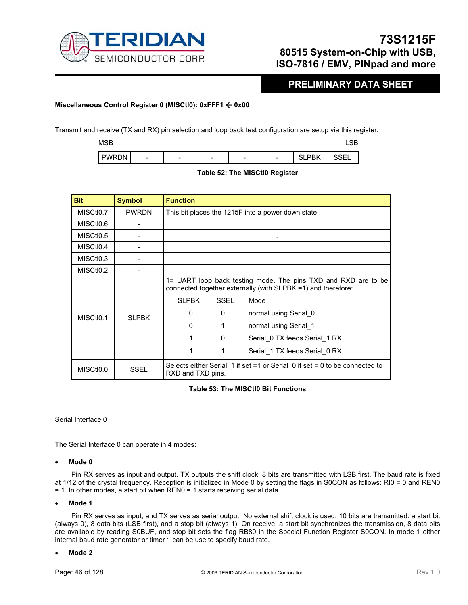

### **PRELIMINARY DATA SHEET**

### **Miscellaneous Control Register 0 (MISCtl0): 0xFFF1** Å **0x00**

Transmit and receive (TX and RX) pin selection and loop back test configuration are setup via this register.

 $MSB$  respectively. The contract of the contract of the contract of the contract of the contract of the contract of the contract of the contract of the contract of the contract of the contract of the contract of the contra

| ---<br><b>PWR</b><br>⊣חר | - | - | - | - | שפנ<br>- 1 | $\cap$<br>◡∟ |
|--------------------------|---|---|---|---|------------|--------------|
|                          |   |   |   |   |            |              |

| <b>Bit</b>             | <b>Symbol</b> | <b>Function</b>   |             |                                                                                                                                |
|------------------------|---------------|-------------------|-------------|--------------------------------------------------------------------------------------------------------------------------------|
| MISCtI <sub>0.7</sub>  | <b>PWRDN</b>  |                   |             | This bit places the 1215F into a power down state.                                                                             |
| MISCtI <sub>0.6</sub>  |               |                   |             |                                                                                                                                |
| MISCtI <sub>0.5</sub>  |               |                   |             |                                                                                                                                |
| MISCtI <sub>0.4</sub>  |               |                   |             |                                                                                                                                |
| MISC <sub>tio</sub> .3 |               |                   |             |                                                                                                                                |
| MISCtI <sub>0.2</sub>  |               |                   |             |                                                                                                                                |
|                        |               |                   |             | 1= UART loop back testing mode. The pins TXD and RXD are to be<br>connected together externally (with SLPBK =1) and therefore: |
|                        |               | <b>SLPBK</b>      | <b>SSEL</b> | Mode                                                                                                                           |
| MISCtIO.1              | SI PBK        | $\Omega$          | 0           | normal using Serial 0                                                                                                          |
|                        |               | $\Omega$          | 1           | normal using Serial 1                                                                                                          |
|                        |               |                   | $\Omega$    | Serial 0 TX feeds Serial 1 RX                                                                                                  |
|                        |               |                   | 1           | Serial 1 TX feeds Serial 0 RX                                                                                                  |
| MISCtI <sub>0.0</sub>  | SSEL          | RXD and TXD pins. |             | Selects either Serial 1 if set =1 or Serial 0 if set = 0 to be connected to                                                    |

### **Table 52: The MISCtl0 Register**

### **Table 53: The MISCtl0 Bit Functions**

### Serial Interface 0

The Serial Interface 0 can operate in 4 modes:

#### • **Mode 0**

Pin RX serves as input and output. TX outputs the shift clock. 8 bits are transmitted with LSB first. The baud rate is fixed at 1/12 of the crystal frequency. Reception is initialized in Mode 0 by setting the flags in S0CON as follows: RI0 = 0 and REN0 = 1. In other modes, a start bit when REN0 = 1 starts receiving serial data

### • **Mode 1**

Pin RX serves as input, and TX serves as serial output. No external shift clock is used, 10 bits are transmitted: a start bit (always 0), 8 data bits (LSB first), and a stop bit (always 1). On receive, a start bit synchronizes the transmission, 8 data bits are available by reading S0BUF, and stop bit sets the flag RB80 in the Special Function Register S0CON. In mode 1 either internal baud rate generator or timer 1 can be use to specify baud rate.

#### • **Mode 2**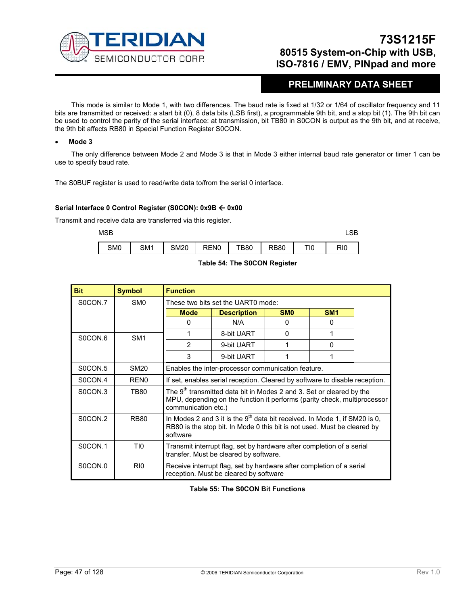

### **PRELIMINARY DATA SHEET**

This mode is similar to Mode 1, with two differences. The baud rate is fixed at 1/32 or 1/64 of oscillator frequency and 11 bits are transmitted or received: a start bit (0), 8 data bits (LSB first), a programmable 9th bit, and a stop bit (1). The 9th bit can be used to control the parity of the serial interface: at transmission, bit TB80 in S0CON is output as the 9th bit, and at receive, the 9th bit affects RB80 in Special Function Register S0CON.

#### • **Mode 3**

The only difference between Mode 2 and Mode 3 is that in Mode 3 either internal baud rate generator or timer 1 can be use to specify baud rate.

The S0BUF register is used to read/write data to/from the serial 0 interface.

#### **Serial Interface 0 Control Register (S0CON): 0x9B ← 0x00**

Transmit and receive data are transferred via this register.

 $MSB$  respectively. The contract of the contract of the contract of the contract of the contract of the contract of the contract of the contract of the contract of the contract of the contract of the contract of the contra

| SM0 | SM1 | <b>SM20</b> | REN0 | TB80 | <b>RB80</b> | TI0 | RIO |
|-----|-----|-------------|------|------|-------------|-----|-----|



| <b>Bit</b> | <b>Symbol</b>    | <b>Function</b>                                                                                                                                                                     |                                                                                                                |                 |                 |  |  |
|------------|------------------|-------------------------------------------------------------------------------------------------------------------------------------------------------------------------------------|----------------------------------------------------------------------------------------------------------------|-----------------|-----------------|--|--|
| S0CON.7    | SM <sub>0</sub>  |                                                                                                                                                                                     | These two bits set the UART0 mode:                                                                             |                 |                 |  |  |
|            |                  | <b>Mode</b>                                                                                                                                                                         | <b>Description</b>                                                                                             | SM <sub>0</sub> | SM <sub>1</sub> |  |  |
|            |                  | 0                                                                                                                                                                                   | N/A                                                                                                            | $\Omega$        | $\Omega$        |  |  |
| S0CON.6    | SM <sub>1</sub>  |                                                                                                                                                                                     | 8-bit UART                                                                                                     | $\Omega$        |                 |  |  |
|            |                  | 2                                                                                                                                                                                   | 9-bit UART                                                                                                     |                 | 0               |  |  |
|            |                  | 3                                                                                                                                                                                   | 9-bit UART                                                                                                     |                 |                 |  |  |
| S0CON.5    | <b>SM20</b>      | Enables the inter-processor communication feature.                                                                                                                                  |                                                                                                                |                 |                 |  |  |
| S0CON.4    | REN <sub>0</sub> | If set, enables serial reception. Cleared by software to disable reception.                                                                                                         |                                                                                                                |                 |                 |  |  |
| S0CON.3    | TB80             | The 9 <sup>th</sup> transmitted data bit in Modes 2 and 3. Set or cleared by the<br>MPU, depending on the function it performs (parity check, multiprocessor<br>communication etc.) |                                                                                                                |                 |                 |  |  |
| S0CON.2    | <b>RB80</b>      | In Modes 2 and 3 it is the $9th$ data bit received. In Mode 1, if SM20 is 0,<br>RB80 is the stop bit. In Mode 0 this bit is not used. Must be cleared by<br>software                |                                                                                                                |                 |                 |  |  |
| S0CON.1    | TI0              | Transmit interrupt flag, set by hardware after completion of a serial<br>transfer. Must be cleared by software.                                                                     |                                                                                                                |                 |                 |  |  |
| SOCON.0    | R <sub>I0</sub>  |                                                                                                                                                                                     | Receive interrupt flag, set by hardware after completion of a serial<br>reception. Must be cleared by software |                 |                 |  |  |

**Table 55: The S0CON Bit Functions**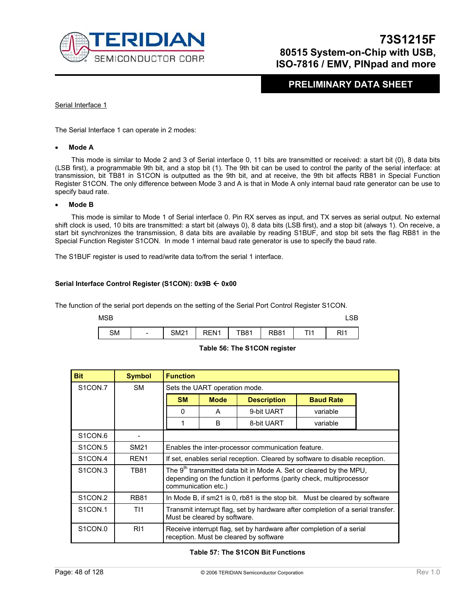

### **PRELIMINARY DATA SHEET**

### Serial Interface 1

The Serial Interface 1 can operate in 2 modes:

#### • **Mode A**

This mode is similar to Mode 2 and 3 of Serial interface 0, 11 bits are transmitted or received: a start bit (0), 8 data bits (LSB first), a programmable 9th bit, and a stop bit (1). The 9th bit can be used to control the parity of the serial interface: at transmission, bit TB81 in S1CON is outputted as the 9th bit, and at receive, the 9th bit affects RB81 in Special Function Register S1CON. The only difference between Mode 3 and A is that in Mode A only internal baud rate generator can be use to specify baud rate.

#### • **Mode B**

This mode is similar to Mode 1 of Serial interface 0. Pin RX serves as input, and TX serves as serial output. No external shift clock is used, 10 bits are transmitted: a start bit (always 0), 8 data bits (LSB first), and a stop bit (always 1). On receive, a start bit synchronizes the transmission, 8 data bits are available by reading S1BUF, and stop bit sets the flag RB81 in the Special Function Register S1CON. In mode 1 internal baud rate generator is use to specify the baud rate.

The S1BUF register is used to read/write data to/from the serial 1 interface.

### **Serial Interface Control Register (S1CON): 0x9B ← 0x00**

The function of the serial port depends on the setting of the Serial Port Control Register S1CON.

| <b>MSB</b> |                          |             |      |             |             |         |     |  |
|------------|--------------------------|-------------|------|-------------|-------------|---------|-----|--|
| <b>SM</b>  | $\overline{\phantom{a}}$ | <b>SM21</b> | REN1 | <b>TB81</b> | <b>RB81</b> | ᅮᇅ<br>. | RI1 |  |

#### **Table 56: The S1CON register**

| <b>Bit</b>                       | <b>Symbol</b>    | <b>Function</b>                                                                                                                                                              |                                                                             |                                        |                                                                      |  |  |
|----------------------------------|------------------|------------------------------------------------------------------------------------------------------------------------------------------------------------------------------|-----------------------------------------------------------------------------|----------------------------------------|----------------------------------------------------------------------|--|--|
| S <sub>1</sub> CON <sub>.7</sub> | <b>SM</b>        |                                                                                                                                                                              | Sets the UART operation mode.                                               |                                        |                                                                      |  |  |
|                                  |                  | <b>SM</b>                                                                                                                                                                    | <b>Baud Rate</b><br><b>Mode</b><br><b>Description</b>                       |                                        |                                                                      |  |  |
|                                  |                  | 0                                                                                                                                                                            | A                                                                           | 9-bit UART                             | variable                                                             |  |  |
|                                  |                  |                                                                                                                                                                              | <sub>B</sub>                                                                | 8-bit UART                             | variable                                                             |  |  |
| S <sub>1</sub> CON <sub>.6</sub> |                  |                                                                                                                                                                              |                                                                             |                                        |                                                                      |  |  |
| S <sub>1</sub> CON <sub>5</sub>  | SM21             |                                                                                                                                                                              | Enables the inter-processor communication feature.                          |                                        |                                                                      |  |  |
| S <sub>1</sub> CON <sub>.4</sub> | REN <sub>1</sub> |                                                                                                                                                                              | If set, enables serial reception. Cleared by software to disable reception. |                                        |                                                                      |  |  |
| S <sub>1</sub> CON <sub>3</sub>  | <b>TB81</b>      | The 9 <sup>th</sup> transmitted data bit in Mode A. Set or cleared by the MPU,<br>depending on the function it performs (parity check, multiprocessor<br>communication etc.) |                                                                             |                                        |                                                                      |  |  |
| S <sub>1</sub> CON <sub>2</sub>  | <b>RB81</b>      | In Mode B, if sm21 is 0, rb81 is the stop bit. Must be cleared by software                                                                                                   |                                                                             |                                        |                                                                      |  |  |
| S <sub>1</sub> CON <sub>.1</sub> | T <sub>11</sub>  | Transmit interrupt flag, set by hardware after completion of a serial transfer.<br>Must be cleared by software.                                                              |                                                                             |                                        |                                                                      |  |  |
| S <sub>1</sub> CON <sub>.0</sub> | R <sub>11</sub>  |                                                                                                                                                                              |                                                                             | reception. Must be cleared by software | Receive interrupt flag, set by hardware after completion of a serial |  |  |

#### **Table 57: The S1CON Bit Functions**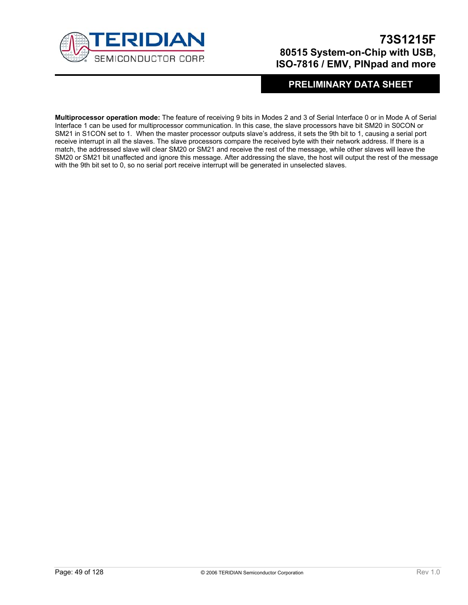

## **PRELIMINARY DATA SHEET**

**Multiprocessor operation mode:** The feature of receiving 9 bits in Modes 2 and 3 of Serial Interface 0 or in Mode A of Serial Interface 1 can be used for multiprocessor communication. In this case, the slave processors have bit SM20 in S0CON or SM21 in S1CON set to 1. When the master processor outputs slave's address, it sets the 9th bit to 1, causing a serial port receive interrupt in all the slaves. The slave processors compare the received byte with their network address. If there is a match, the addressed slave will clear SM20 or SM21 and receive the rest of the message, while other slaves will leave the SM20 or SM21 bit unaffected and ignore this message. After addressing the slave, the host will output the rest of the message with the 9th bit set to 0, so no serial port receive interrupt will be generated in unselected slaves.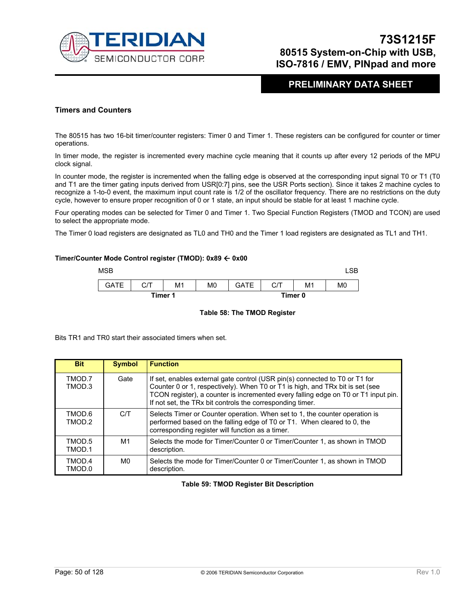

### **PRELIMINARY DATA SHEET**

### **Timers and Counters**

The 80515 has two 16-bit timer/counter registers: Timer 0 and Timer 1. These registers can be configured for counter or timer operations.

In timer mode, the register is incremented every machine cycle meaning that it counts up after every 12 periods of the MPU clock signal.

In counter mode, the register is incremented when the falling edge is observed at the corresponding input signal T0 or T1 (T0 and T1 are the timer gating inputs derived from USR[0:7] pins, see the USR Ports section). Since it takes 2 machine cycles to recognize a 1-to-0 event, the maximum input count rate is 1/2 of the oscillator frequency. There are no restrictions on the duty cycle, however to ensure proper recognition of 0 or 1 state, an input should be stable for at least 1 machine cycle.

Four operating modes can be selected for Timer 0 and Timer 1. Two Special Function Registers (TMOD and TCON) are used to select the appropriate mode.

The Timer 0 load registers are designated as TL0 and TH0 and the Timer 1 load registers are designated as TL1 and TH1.

#### **Timer/Counter Mode Control register (TMOD): 0x89** Å **0x00**



#### **Table 58: The TMOD Register**

Bits TR1 and TR0 start their associated timers when set.

| <b>Bit</b>       | <b>Symbol</b> | <b>Function</b>                                                                                                                                                                                                                                                                                                 |
|------------------|---------------|-----------------------------------------------------------------------------------------------------------------------------------------------------------------------------------------------------------------------------------------------------------------------------------------------------------------|
| TMOD.7<br>TMOD.3 | Gate          | If set, enables external gate control (USR pin(s) connected to T0 or T1 for<br>Counter 0 or 1, respectively). When T0 or T1 is high, and TRx bit is set (see<br>TCON register), a counter is incremented every falling edge on T0 or T1 input pin.<br>If not set, the TRx bit controls the corresponding timer. |
| TMOD.6<br>TMOD.2 | C/T           | Selects Timer or Counter operation. When set to 1, the counter operation is<br>performed based on the falling edge of T0 or T1. When cleared to 0, the<br>corresponding register will function as a timer.                                                                                                      |
| TMOD.5<br>TMOD.1 | M1            | Selects the mode for Timer/Counter 0 or Timer/Counter 1, as shown in TMOD<br>description.                                                                                                                                                                                                                       |
| TMOD.4<br>TMOD.0 | M0            | Selects the mode for Timer/Counter 0 or Timer/Counter 1, as shown in TMOD<br>description.                                                                                                                                                                                                                       |

### **Table 59: TMOD Register Bit Description**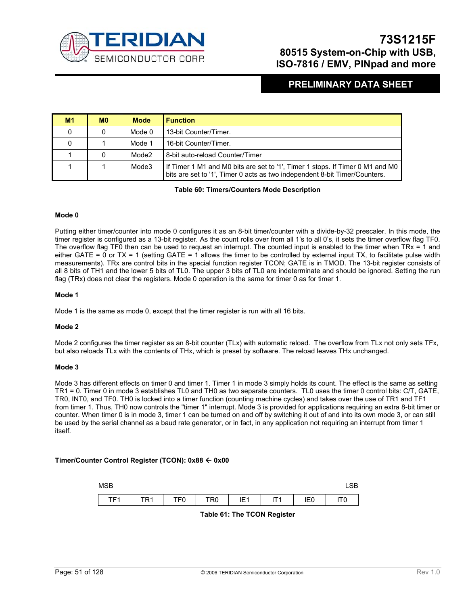

### **PRELIMINARY DATA SHEET**

| M1 | M <sub>0</sub> | <b>Mode</b> | <b>Function</b>                                                                                                                                             |
|----|----------------|-------------|-------------------------------------------------------------------------------------------------------------------------------------------------------------|
|    |                | Mode 0      | 13-bit Counter/Timer.                                                                                                                                       |
|    |                | Mode 1      | 16-bit Counter/Timer.                                                                                                                                       |
|    |                | Mode2       | 8-bit auto-reload Counter/Timer                                                                                                                             |
|    |                | Mode3       | If Timer 1 M1 and M0 bits are set to '1', Timer 1 stops. If Timer 0 M1 and M0<br>bits are set to '1', Timer 0 acts as two independent 8-bit Timer/Counters. |

**Table 60: Timers/Counters Mode Description** 

#### **Mode 0**

Putting either timer/counter into mode 0 configures it as an 8-bit timer/counter with a divide-by-32 prescaler. In this mode, the timer register is configured as a 13-bit register. As the count rolls over from all 1's to all 0's, it sets the timer overflow flag TF0. The overflow flag TF0 then can be used to request an interrupt. The counted input is enabled to the timer when  $TRx = 1$  and either GATE = 0 or  $TX = 1$  (setting GATE = 1 allows the timer to be controlled by external input TX, to facilitate pulse width measurements). TRx are control bits in the special function register TCON; GATE is in TMOD. The 13-bit register consists of all 8 bits of TH1 and the lower 5 bits of TL0. The upper 3 bits of TL0 are indeterminate and should be ignored. Setting the run flag (TRx) does not clear the registers. Mode 0 operation is the same for timer 0 as for timer 1.

### **Mode 1**

Mode 1 is the same as mode 0, except that the timer register is run with all 16 bits.

### **Mode 2**

Mode 2 configures the timer register as an 8-bit counter (TLx) with automatic reload. The overflow from TLx not only sets TFx, but also reloads TLx with the contents of THx, which is preset by software. The reload leaves THx unchanged.

#### **Mode 3**

Mode 3 has different effects on timer 0 and timer 1. Timer 1 in mode 3 simply holds its count. The effect is the same as setting TR1 = 0. Timer 0 in mode 3 establishes TL0 and TH0 as two separate counters. TL0 uses the timer 0 control bits: C/T, GATE, TR0, INT0, and TF0. TH0 is locked into a timer function (counting machine cycles) and takes over the use of TR1 and TF1 from timer 1. Thus, TH0 now controls the "timer 1" interrupt. Mode 3 is provided for applications requiring an extra 8-bit timer or counter. When timer 0 is in mode 3, timer 1 can be turned on and off by switching it out of and into its own mode 3, or can still be used by the serial channel as a baud rate generator, or in fact, in any application not requiring an interrupt from timer 1 itself.

### **Timer/Counter Control Register (TCON): 0x88** Å **0x00**

| <b>MSB</b>             |     |     |                 |                 |          |                 | $\cap$            |  |
|------------------------|-----|-----|-----------------|-----------------|----------|-----------------|-------------------|--|
| TE <sub>1</sub><br>. . | TR1 | TF0 | TR <sub>0</sub> | IE <sub>1</sub> | ITA<br>. | IE <sub>0</sub> | <b>س-</b><br>,, , |  |

**Table 61: The TCON Register**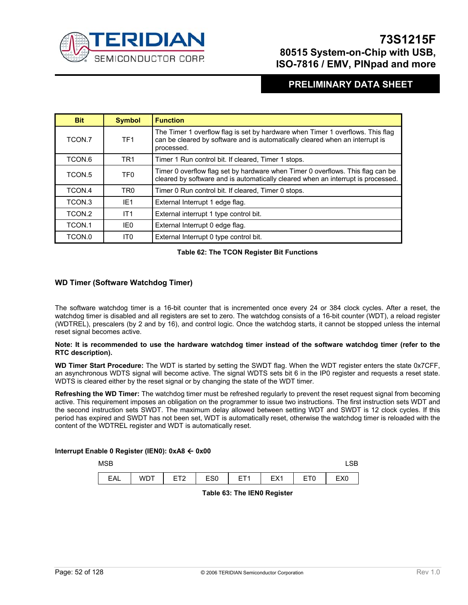

### **PRELIMINARY DATA SHEET**

| <b>Bit</b>        | <b>Symbol</b>   | <b>Function</b>                                                                                                                                                              |
|-------------------|-----------------|------------------------------------------------------------------------------------------------------------------------------------------------------------------------------|
| TCON.7            | TF <sub>1</sub> | The Timer 1 overflow flag is set by hardware when Timer 1 overflows. This flag<br>can be cleared by software and is automatically cleared when an interrupt is<br>processed. |
| TCON.6            | TR <sub>1</sub> | Timer 1 Run control bit. If cleared, Timer 1 stops.                                                                                                                          |
| TCON.5            | TF <sub>0</sub> | Timer 0 overflow flag set by hardware when Timer 0 overflows. This flag can be<br>cleared by software and is automatically cleared when an interrupt is processed.           |
| TCON.4            | TR <sub>0</sub> | Timer 0 Run control bit. If cleared, Timer 0 stops.                                                                                                                          |
| TCON <sub>3</sub> | IE <sub>1</sub> | External Interrupt 1 edge flag.                                                                                                                                              |
| TCON.2            | IT <sub>1</sub> | External interrupt 1 type control bit.                                                                                                                                       |
| TCON.1            | IE0             | External Interrupt 0 edge flag.                                                                                                                                              |
| TCON.0            | IT0             | External Interrupt 0 type control bit.                                                                                                                                       |

### **Table 62: The TCON Register Bit Functions**

### **WD Timer (Software Watchdog Timer)**

The software watchdog timer is a 16-bit counter that is incremented once every 24 or 384 clock cycles. After a reset, the watchdog timer is disabled and all registers are set to zero. The watchdog consists of a 16-bit counter (WDT), a reload register (WDTREL), prescalers (by 2 and by 16), and control logic. Once the watchdog starts, it cannot be stopped unless the internal reset signal becomes active.

#### **Note: It is recommended to use the hardware watchdog timer instead of the software watchdog timer (refer to the RTC description).**

**WD Timer Start Procedure:** The WDT is started by setting the SWDT flag. When the WDT register enters the state 0x7CFF, an asynchronous WDTS signal will become active. The signal WDTS sets bit 6 in the IP0 register and requests a reset state. WDTS is cleared either by the reset signal or by changing the state of the WDT timer.

**Refreshing the WD Timer:** The watchdog timer must be refreshed regularly to prevent the reset request signal from becoming active. This requirement imposes an obligation on the programmer to issue two instructions. The first instruction sets WDT and the second instruction sets SWDT. The maximum delay allowed between setting WDT and SWDT is 12 clock cycles. If this period has expired and SWDT has not been set, WDT is automatically reset, otherwise the watchdog timer is reloaded with the content of the WDTREL register and WDT is automatically reset.

### **Interrupt Enable 0 Register (IEN0): 0xA8** Å **0x00**

| MSB |            |                        |                 |                 |                 |                 |                 |  |
|-----|------------|------------------------|-----------------|-----------------|-----------------|-----------------|-----------------|--|
| EAL | <b>WDT</b> | FT <sub>2</sub><br>$-$ | ES <sub>0</sub> | FT <sub>1</sub> | EX <sub>1</sub> | ET <sub>0</sub> | EX <sub>0</sub> |  |

**Table 63: The IEN0 Register**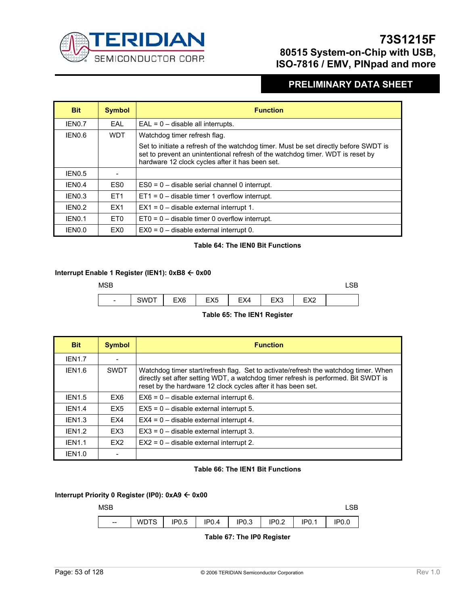

### **PRELIMINARY DATA SHEET**

| <b>Bit</b>         | <b>Symbol</b>   | <b>Function</b>                                                                                                                                                                                                           |
|--------------------|-----------------|---------------------------------------------------------------------------------------------------------------------------------------------------------------------------------------------------------------------------|
| IEN0.7             | FAI             | $EAL = 0 -$ disable all interrupts.                                                                                                                                                                                       |
| IEN0.6             | <b>WDT</b>      | Watchdog timer refresh flag.                                                                                                                                                                                              |
|                    |                 | Set to initiate a refresh of the watchdog timer. Must be set directly before SWDT is<br>set to prevent an unintentional refresh of the watchdog timer. WDT is reset by<br>hardware 12 clock cycles after it has been set. |
| IEN0.5             |                 |                                                                                                                                                                                                                           |
| IEN <sub>0.4</sub> | ES <sub>0</sub> | $ES0 = 0$ – disable serial channel 0 interrupt.                                                                                                                                                                           |
| IEN <sub>0.3</sub> | ET <sub>1</sub> | $ET1 = 0$ – disable timer 1 overflow interrupt.                                                                                                                                                                           |
| IFN <sub>0.2</sub> | FX1             | $EX1 = 0$ – disable external interrupt 1.                                                                                                                                                                                 |
| IEN <sub>0.1</sub> | ET <sub>0</sub> | $ET0 = 0$ – disable timer 0 overflow interrupt.                                                                                                                                                                           |
| IEN0.0             | EX0             | $EX0 = 0$ – disable external interrupt 0.                                                                                                                                                                                 |

### **Table 64: The IEN0 Bit Functions**

### **Interrupt Enable 1 Register (IEN1): 0xB8** Å **0x00**



### **Table 65: The IEN1 Register**

| <b>Bit</b>         | <b>Symbol</b>   | <b>Function</b>                                                                                                                                                                                                                           |
|--------------------|-----------------|-------------------------------------------------------------------------------------------------------------------------------------------------------------------------------------------------------------------------------------------|
| <b>IEN1.7</b>      |                 |                                                                                                                                                                                                                                           |
| <b>IEN1.6</b>      | <b>SWDT</b>     | Watchdog timer start/refresh flag. Set to activate/refresh the watchdog timer. When<br>directly set after setting WDT, a watchdog timer refresh is performed. Bit SWDT is<br>reset by the hardware 12 clock cycles after it has been set. |
| <b>IEN1.5</b>      | EX6             | $EX6 = 0$ – disable external interrupt 6.                                                                                                                                                                                                 |
| <b>IEN1.4</b>      | EX <sub>5</sub> | $EX5 = 0$ – disable external interrupt 5.                                                                                                                                                                                                 |
| <b>IEN1.3</b>      | EX4             | $EX4 = 0$ – disable external interrupt 4.                                                                                                                                                                                                 |
| IFN <sub>1.2</sub> | EX <sub>3</sub> | $EX3 = 0$ – disable external interrupt 3.                                                                                                                                                                                                 |
| IFN <sub>1.1</sub> | FX <sub>2</sub> | $EX2 = 0$ – disable external interrupt 2.                                                                                                                                                                                                 |
| <b>IEN1.0</b>      |                 |                                                                                                                                                                                                                                           |

### **Table 66: The IEN1 Bit Functions**

### **Interrupt Priority 0 Register (IP0): 0xA9** Å **0x00**



**Table 67: The IP0 Register**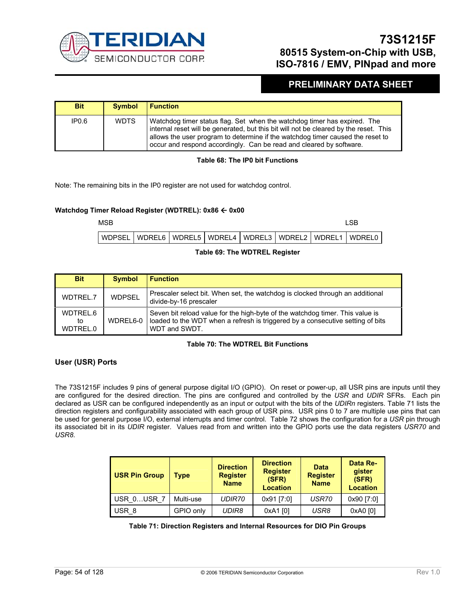

### **PRELIMINARY DATA SHEET**

| <b>Bit</b>        | <b>Symbol</b> | <b>Function</b>                                                                                                                                                                                                                                                                                                            |
|-------------------|---------------|----------------------------------------------------------------------------------------------------------------------------------------------------------------------------------------------------------------------------------------------------------------------------------------------------------------------------|
| IP <sub>0.6</sub> | <b>WDTS</b>   | Watchdog timer status flag. Set when the watchdog timer has expired. The<br>internal reset will be generated, but this bit will not be cleared by the reset. This<br>allows the user program to determine if the watchdog timer caused the reset to<br>occur and respond accordingly. Can be read and cleared by software. |

### **Table 68: The IP0 bit Functions**

Note: The remaining bits in the IP0 register are not used for watchdog control.

### **Watchdog Timer Reload Register (WDTREL): 0x86 ← 0x00**

 $MSB$  respectively. The contract of the contract of the contract of the contract of the contract of the contract of the contract of the contract of the contract of the contract of the contract of the contract of the contra WDPSEL | WDREL6 | WDREL5 | WDREL4 | WDREL3 | WDREL2 | WDREL1 | WDREL0

### **Table 69: The WDTREL Register**

| <b>Bit</b>                 | <b>Symbol</b> | <b>Function</b>                                                                                                                                                                  |
|----------------------------|---------------|----------------------------------------------------------------------------------------------------------------------------------------------------------------------------------|
| WDTREL.7                   | <b>WDPSEL</b> | Prescaler select bit. When set, the watchdog is clocked through an additional<br>divide-by-16 prescaler                                                                          |
| WDTREL.6<br>to<br>WDTREL.0 | WDREL6-0      | Seven bit reload value for the high-byte of the watchdog timer. This value is<br>loaded to the WDT when a refresh is triggered by a consecutive setting of bits<br>WDT and SWDT. |

### **Table 70: The WDTREL Bit Functions**

### **User (USR) Ports**

The 73S1215F includes 9 pins of general purpose digital I/O (GPIO). On reset or power-up, all USR pins are inputs until they are configured for the desired direction. The pins are configured and controlled by the *USR* and *UDIR* SFRs. Each pin declared as USR can be configured independently as an input or output with the bits of the *UDIRn* registers. Table 71 lists the direction registers and configurability associated with each group of USR pins. USR pins 0 to 7 are multiple use pins that can be used for general purpose I/O, external interrupts and timer control. Table 72 shows the configuration for a *USR* pin through its associated bit in its *UDIR* register. Values read from and written into the GPIO ports use the data registers *USR70* and *USR8*.

| <b>USR Pin Group</b> | Type      | <b>Direction</b><br><b>Register</b><br><b>Name</b> | <b>Direction</b><br><b>Register</b><br>(SFR)<br><b>Location</b> | <b>Data</b><br><b>Register</b><br><b>Name</b> | Data Re-<br>gister<br>(SFR)<br><b>Location</b> |
|----------------------|-----------|----------------------------------------------------|-----------------------------------------------------------------|-----------------------------------------------|------------------------------------------------|
| USR 0USR 7           | Multi-use | <b>UDIR70</b>                                      | 0x91 [7:0]                                                      | USR70                                         | 0x90 [7:0]                                     |
| USR 8                | GPIO only | UDIR8                                              | 0xA1 [0]                                                        | USR8                                          | 0xA0 [0]                                       |

### **Table 71: Direction Registers and Internal Resources for DIO Pin Groups**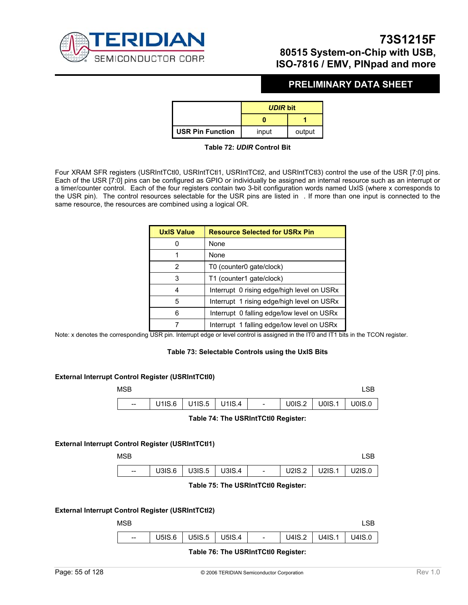

### **PRELIMINARY DATA SHEET**

|                         | <b>UDIR bit</b> |        |
|-------------------------|-----------------|--------|
|                         |                 |        |
| <b>USR Pin Function</b> | input           | output |

### **Table 72:** *UDIR* **Control Bit**

Four XRAM SFR registers (USRIntTCtI0, USRIntTCtI1, USRIntTCtI2, and USRIntTCtI3) control the use of the USR [7:0] pins. Each of the USR [7:0] pins can be configured as GPIO or individually be assigned an internal resource such as an interrupt or a timer/counter control. Each of the four registers contain two 3-bit configuration words named UxIS (where x corresponds to the USR pin). The control resources selectable for the USR pins are listed in . If more than one input is connected to the same resource, the resources are combined using a logical OR.

| <b>UxIS Value</b> | <b>Resource Selected for USRx Pin</b>      |  |  |  |  |
|-------------------|--------------------------------------------|--|--|--|--|
|                   | None                                       |  |  |  |  |
| 1                 | None                                       |  |  |  |  |
| $\overline{2}$    | T0 (counter0 gate/clock)                   |  |  |  |  |
| 3                 | T1 (counter1 gate/clock)                   |  |  |  |  |
| 4                 | Interrupt 0 rising edge/high level on USRx |  |  |  |  |
| 5                 | Interrupt 1 rising edge/high level on USRx |  |  |  |  |
| 6                 | Interrupt 0 falling edge/low level on USRx |  |  |  |  |
|                   | Interrupt 1 falling edge/low level on USRx |  |  |  |  |

Note: x denotes the corresponding USR pin. Interrupt edge or level control is assigned in the IT0 and IT1 bits in the TCON register.

#### **Table 73: Selectable Controls using the UxIS Bits**

#### **External Interrupt Control Register (USRIntTCtl0)**

| MSB                      |        |                       |                          |               |                                                                                                                                                                                                                                                       |           |
|--------------------------|--------|-----------------------|--------------------------|---------------|-------------------------------------------------------------------------------------------------------------------------------------------------------------------------------------------------------------------------------------------------------|-----------|
| $\hspace{0.05cm} \ldots$ | U1IS.6 | $ $ U1IS.5 $ $ U1IS.4 | $\overline{\phantom{a}}$ | <b>U0IS.2</b> | <b>U0IS.1</b><br><b>The Contract of the Contract of the Contract of the Contract of the Contract of the Contract of the Contract of the Contract of the Contract of the Contract of the Contract of the Contract of the Contract of the Contract </b> | $U0$ IS.0 |

#### **Table 74: The USRIntTCtl0 Register:**

### **External Interrupt Control Register (USRIntTCtl1)**

| <b>MSB</b> |                   |                |                          |        |        | _SE    |
|------------|-------------------|----------------|--------------------------|--------|--------|--------|
| $-$        | $U3IS.6$ $U3IS.5$ | $\vert$ U3IS.4 | $\overline{\phantom{a}}$ | U2IS.2 | U2IS.1 | U2IS.0 |

#### **Table 75: The USRIntTCtl0 Register:**

### **External Interrupt Control Register (USRIntTCtl2)**

| <b>MSB</b> |                          |        |                          |  |
|------------|--------------------------|--------|--------------------------|--|
| $--$       | U5IS.6   U5IS.5   U5IS.4 | $\sim$ | U4IS.2   U4IS.1   U4IS.0 |  |

#### **Table 76: The USRIntTCtl0 Register:**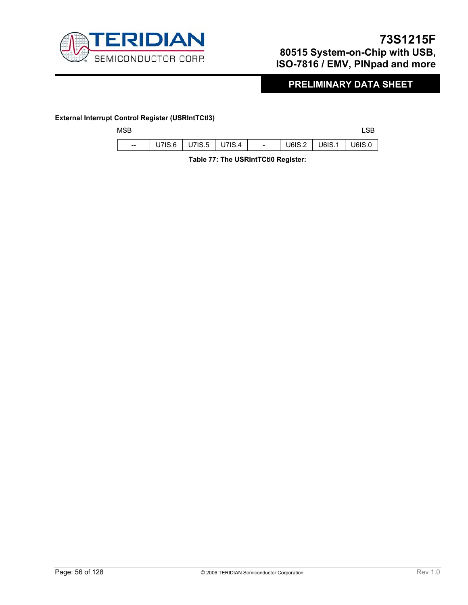

## **PRELIMINARY DATA SHEET**

### **External Interrupt Control Register (USRIntTCtl3)**

 $\overline{\phantom{a}}$ 

| MSB                                   |                          |  |        |                 | LSB |
|---------------------------------------|--------------------------|--|--------|-----------------|-----|
| $\hspace{0.05cm}$ – $\hspace{0.05cm}$ | U7IS.6   U7IS.5   U7IS.4 |  | U6IS.2 | U6IS.1   U6IS.0 |     |

**Table 77: The USRIntTCtl0 Register:**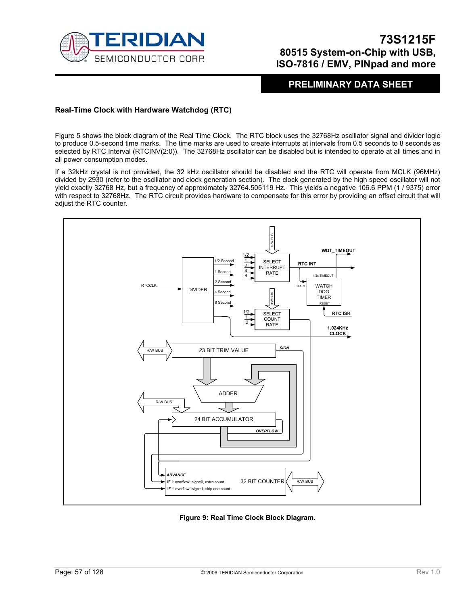

### **PRELIMINARY DATA SHEET**

### **Real-Time Clock with Hardware Watchdog (RTC)**

Figure 5 shows the block diagram of the Real Time Clock. The RTC block uses the 32768Hz oscillator signal and divider logic to produce 0.5-second time marks. The time marks are used to create interrupts at intervals from 0.5 seconds to 8 seconds as selected by RTC Interval (RTCINV(2:0)). The 32768Hz oscillator can be disabled but is intended to operate at all times and in all power consumption modes.

If a 32kHz crystal is not provided, the 32 kHz oscillator should be disabled and the RTC will operate from MCLK (96MHz) divided by 2930 (refer to the oscillator and clock generation section). The clock generated by the high speed oscillator will not yield exactly 32768 Hz, but a frequency of approximately 32764.505119 Hz. This yields a negative 106.6 PPM (1 / 9375) error with respect to 32768Hz. The RTC circuit provides hardware to compensate for this error by providing an offset circuit that will adjust the RTC counter.



**Figure 9: Real Time Clock Block Diagram.**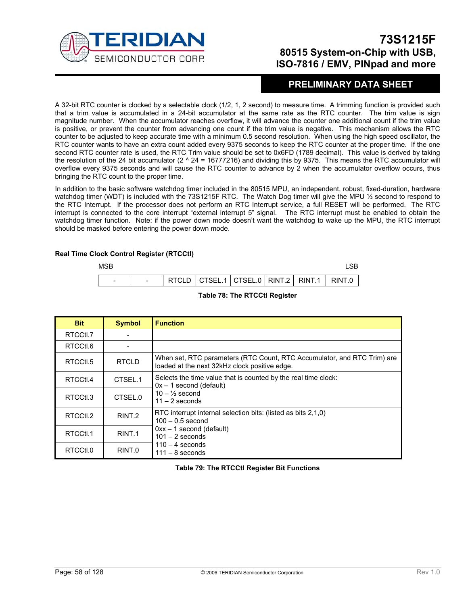

### **PRELIMINARY DATA SHEET**

A 32-bit RTC counter is clocked by a selectable clock (1/2, 1, 2 second) to measure time. A trimming function is provided such that a trim value is accumulated in a 24-bit accumulator at the same rate as the RTC counter. The trim value is sign magnitude number. When the accumulator reaches overflow, it will advance the counter one additional count if the trim value is positive, or prevent the counter from advancing one count if the trim value is negative. This mechanism allows the RTC counter to be adjusted to keep accurate time with a minimum 0.5 second resolution. When using the high speed oscillator, the RTC counter wants to have an extra count added every 9375 seconds to keep the RTC counter at the proper time. If the one second RTC counter rate is used, the RTC Trim value should be set to 0x6FD (1789 decimal). This value is derived by taking the resolution of the 24 bit accumulator ( $2 \text{ A } 24 = 16777216$ ) and dividing this by 9375. This means the RTC accumulator will overflow every 9375 seconds and will cause the RTC counter to advance by 2 when the accumulator overflow occurs, thus bringing the RTC count to the proper time.

In addition to the basic software watchdog timer included in the 80515 MPU, an independent, robust, fixed-duration, hardware watchdog timer (WDT) is included with the 73S1215F RTC. The Watch Dog timer will give the MPU 1/2 second to respond to the RTC Interrupt. If the processor does not perform an RTC Interrupt service, a full RESET will be performed. The RTC interrupt is connected to the core interrupt "external interrupt 5" signal. The RTC interrupt must be enabled to obtain the watchdog timer function. Note: if the power down mode doesn't want the watchdog to wake up the MPU, the RTC interrupt should be masked before entering the power down mode.

#### **Real Time Clock Control Register (RTCCtl)**

| MSB |  |                                                      |  |  |  |
|-----|--|------------------------------------------------------|--|--|--|
|     |  | RTCLD   CTSEL.1   CTSEL.0   RINT.2   RINT.1   RINT.0 |  |  |  |

| <b>Bit</b> | <b>Symbol</b>     | <b>Function</b>                                                                                                          |
|------------|-------------------|--------------------------------------------------------------------------------------------------------------------------|
| RTCCtl.7   |                   |                                                                                                                          |
| RTCCtl.6   |                   |                                                                                                                          |
| RTCCtl.5   | <b>RTCLD</b>      | When set, RTC parameters (RTC Count, RTC Accumulator, and RTC Trim) are<br>loaded at the next 32kHz clock positive edge. |
| RTCCtl.4   | CTSEL.1           | Selects the time value that is counted by the real time clock:<br>$0x - 1$ second (default)                              |
| RTCCtl.3   | CTSEL.0           | $10 - \frac{1}{2}$ second<br>$11 - 2$ seconds                                                                            |
| RTCCtl.2   | RINT <sub>2</sub> | RTC interrupt internal selection bits: (listed as bits 2,1,0)<br>$100 - 0.5$ second                                      |
| RTCCtl.1   | RINT.1            | $0xx - 1$ second (default)<br>$101 - 2$ seconds                                                                          |
| RTCCtl.0   | RINT.0            | $110 - 4$ seconds<br>$111 - 8$ seconds                                                                                   |

### **Table 78: The RTCCtl Register**

### **Table 79: The RTCCtl Register Bit Functions**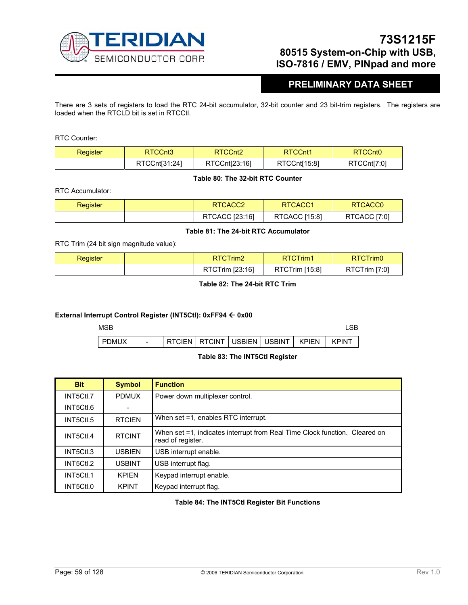

## **PRELIMINARY DATA SHEET**

There are 3 sets of registers to load the RTC 24-bit accumulator, 32-bit counter and 23 bit-trim registers. The registers are loaded when the RTCLD bit is set in RTCCtl.

RTC Counter:

| Register | RTCCnt <sub>3</sub> | RTCCnt <sub>2</sub> | RTCCnt1      | RTCCnt <sub>0</sub> |  |
|----------|---------------------|---------------------|--------------|---------------------|--|
|          | RTCCnt[31:24]       | RTCCnt[23:16]       | RTCCnt[15:8] | RTCCnt[7:0]         |  |

### **Table 80: The 32-bit RTC Counter**

RTC Accumulator:

| Register | RTCACC <sub>2</sub> | <b>RTCACC1</b> | RTCACC <sub>0</sub> |
|----------|---------------------|----------------|---------------------|
|          | RTCACC [23:16]      | RTCACC [15:8]  | RTCACC [7:0]        |

### **Table 81: The 24-bit RTC Accumulator**

RTC Trim (24 bit sign magnitude value):

| Register | RTCTrim2        | RTCTrim1              | RTCTrim0      |  |
|----------|-----------------|-----------------------|---------------|--|
|          | RTCTrim [23:16] | <b>RTCTrim [15:8]</b> | RTCTrim [7:0] |  |

### **Table 82: The 24-bit RTC Trim**

### **External Interrupt Control Register (INT5Ctl): 0xFF94** Å **0x00**

| MSB       |                          |                                                 |  |  |  |
|-----------|--------------------------|-------------------------------------------------|--|--|--|
| I PDMUX I | $\overline{\phantom{a}}$ | FRICIEN ERTCINT FUSBIEN FUSBINT F KPIEN F KPINT |  |  |  |

### **Table 83: The INT5Ctl Register**

| <b>Bit</b> | <b>Symbol</b> | <b>Function</b>                                                                                 |
|------------|---------------|-------------------------------------------------------------------------------------------------|
| INT5Ctl.7  | <b>PDMUX</b>  | Power down multiplexer control.                                                                 |
| INT5Ctl.6  |               |                                                                                                 |
| INT5Ctl.5  | <b>RTCIEN</b> | When set =1, enables RTC interrupt.                                                             |
| INT5Ctl.4  | <b>RTCINT</b> | When set =1, indicates interrupt from Real Time Clock function. Cleared on<br>read of register. |
| INT5Ctl.3  | <b>USBIEN</b> | USB interrupt enable.                                                                           |
| INT5Ctl.2  | <b>USBINT</b> | USB interrupt flag.                                                                             |
| INT5Ctl.1  | <b>KPIFN</b>  | Keypad interrupt enable.                                                                        |
| INT5Ctl.0  | <b>KPINT</b>  | Keypad interrupt flag.                                                                          |

### **Table 84: The INT5Ctl Register Bit Functions**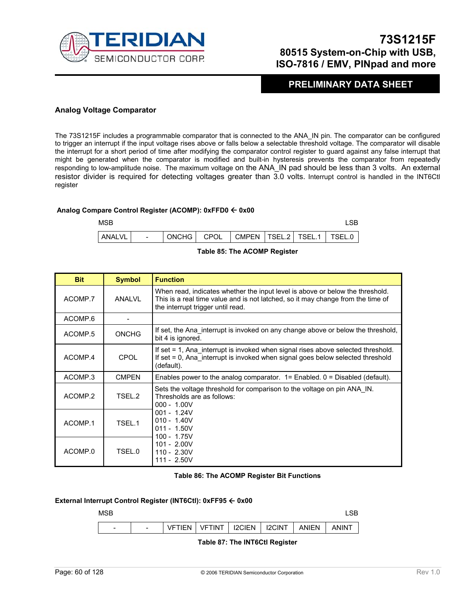

### **PRELIMINARY DATA SHEET**

### **Analog Voltage Comparator**

The 73S1215F includes a programmable comparator that is connected to the ANA\_IN pin. The comparator can be configured to trigger an interrupt if the input voltage rises above or falls below a selectable threshold voltage. The comparator will disable the interrupt for a short period of time after modifying the comparator control register to guard against any false interrupt that might be generated when the comparator is modified and built-in hysteresis prevents the comparator from repeatedly responding to low-amplitude noise. The maximum voltage on the ANA\_IN pad should be less than 3 volts. An external resistor divider is required for detecting voltages greater than 3.0 volts. Interrupt control is handled in the INT6Ctl register

### **Analog Compare Control Register (ACOMP): 0xFFD0** Å **0x00**





| <b>Bit</b>         | <b>Symbol</b>     | <b>Function</b>                                                                                                                                                                                       |  |  |  |  |
|--------------------|-------------------|-------------------------------------------------------------------------------------------------------------------------------------------------------------------------------------------------------|--|--|--|--|
| ACOMP.7            | ANALVL            | When read, indicates whether the input level is above or below the threshold.<br>This is a real time value and is not latched, so it may change from the time of<br>the interrupt trigger until read. |  |  |  |  |
| ACOMP.6            |                   |                                                                                                                                                                                                       |  |  |  |  |
| ACOMP.5            | <b>ONCHG</b>      | If set, the Ana interrupt is invoked on any change above or below the threshold,<br>bit 4 is ignored.                                                                                                 |  |  |  |  |
| ACOMP.4            | CPOL              | If set = 1, Ana_interrupt is invoked when signal rises above selected threshold.<br>If set = 0, Ana interrupt is invoked when signal goes below selected threshold<br>(default).                      |  |  |  |  |
| ACOMP <sub>3</sub> | <b>CMPEN</b>      | Enables power to the analog comparator. $1 =$ Enabled. $0 =$ Disabled (default).                                                                                                                      |  |  |  |  |
| ACOMP.2            | TSFL <sub>2</sub> | Sets the voltage threshold for comparison to the voltage on pin ANA IN.<br>Thresholds are as follows:<br>$000 - 1.00V$                                                                                |  |  |  |  |
| ACOMP.1            | TSEL.1            | $001 - 1.24V$<br>$010 - 1.40V$<br>$011 - 1.50V$<br>$100 - 1.75V$                                                                                                                                      |  |  |  |  |
| ACOMP.0            | TSEL.0            | $101 - 2.00V$<br>$110 - 2.30V$<br>$111 - 2.50V$                                                                                                                                                       |  |  |  |  |

### **Table 86: The ACOMP Register Bit Functions**

### **External Interrupt Control Register (INT6Ctl): 0xFF95** Å **0x00**



### **Table 87: The INT6Ctl Register**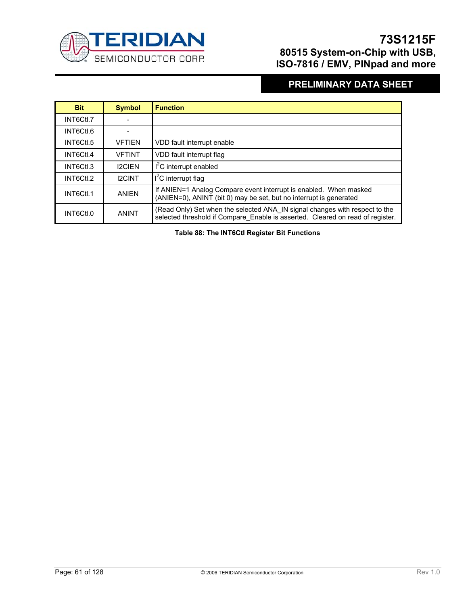

## **PRELIMINARY DATA SHEET**

| <b>Bit</b> | <b>Symbol</b> | <b>Function</b>                                                                                                                                               |
|------------|---------------|---------------------------------------------------------------------------------------------------------------------------------------------------------------|
| INT6Ctl.7  |               |                                                                                                                                                               |
| INT6Ctl.6  |               |                                                                                                                                                               |
| INT6Ctl.5  | <b>VFTIEN</b> | VDD fault interrupt enable                                                                                                                                    |
| INT6Ctl.4  | <b>VFTINT</b> | VDD fault interrupt flag                                                                                                                                      |
| INT6Ctl.3  | <b>I2CIEN</b> | $I2C$ interrupt enabled                                                                                                                                       |
| INT6Ctl.2  | <b>I2CINT</b> | $I2C$ interrupt flag                                                                                                                                          |
| INT6Ctl.1  | <b>ANIEN</b>  | If ANIEN=1 Analog Compare event interrupt is enabled. When masked<br>(ANIEN=0), ANINT (bit 0) may be set, but no interrupt is generated                       |
| INT6Ctl.0  | <b>ANINT</b>  | (Read Only) Set when the selected ANA IN signal changes with respect to the<br>selected threshold if Compare Enable is asserted. Cleared on read of register. |

**Table 88: The INT6Ctl Register Bit Functions**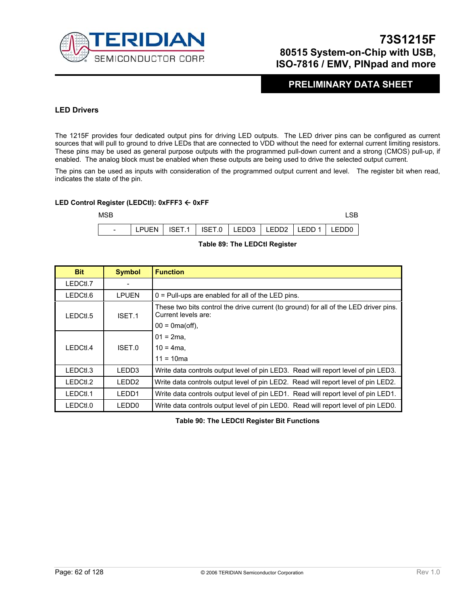

### **PRELIMINARY DATA SHEET**

### **LED Drivers**

The 1215F provides four dedicated output pins for driving LED outputs. The LED driver pins can be configured as current sources that will pull to ground to drive LEDs that are connected to VDD without the need for external current limiting resistors. These pins may be used as general purpose outputs with the programmed pull-down current and a strong (CMOS) pull-up, if enabled. The analog block must be enabled when these outputs are being used to drive the selected output current.

The pins can be used as inputs with consideration of the programmed output current and level. The register bit when read, indicates the state of the pin.

#### **LED Control Register (LEDCtl): 0xFFF3** Å **0xFF**



### **Table 89: The LEDCtl Register**

| <b>Bit</b> | <b>Symbol</b> | <b>Function</b>                                                                                             |
|------------|---------------|-------------------------------------------------------------------------------------------------------------|
| LEDCtl.7   |               |                                                                                                             |
| LEDCtl.6   | <b>LPUEN</b>  | $0 =$ Pull-ups are enabled for all of the LED pins.                                                         |
| LEDCtl.5   | ISET.1        | These two bits control the drive current (to ground) for all of the LED driver pins.<br>Current levels are: |
|            |               | $00 = 0$ ma(off),                                                                                           |
|            |               | $01 = 2ma$ .                                                                                                |
| LEDCtl.4   | ISET.0        | $10 = 4$ ma,                                                                                                |
|            |               | $11 = 10ma$                                                                                                 |
| LEDCtl.3   | LEDD3         | Write data controls output level of pin LED3. Read will report level of pin LED3.                           |
| LEDCtl.2   | LEDD2         | Write data controls output level of pin LED2. Read will report level of pin LED2.                           |
| LEDCtl.1   | LEDD1         | Write data controls output level of pin LED1. Read will report level of pin LED1.                           |
| LEDCtl.0   | LEDD0         | Write data controls output level of pin LED0. Read will report level of pin LED0.                           |

**Table 90: The LEDCtl Register Bit Functions**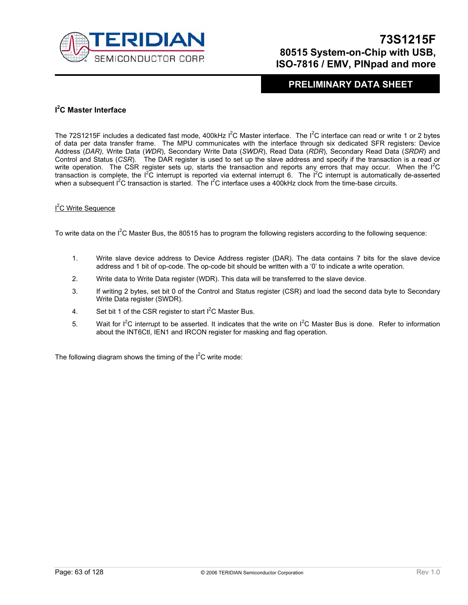

### **PRELIMINARY DATA SHEET**

### **I 2 C Master Interface**

The 72S1215F includes a dedicated fast mode, 400kHz  $1^2C$  Master interface. The  $1^2C$  interface can read or write 1 or 2 bytes of data per data transfer frame. The MPU communicates with the interface through six dedicated SFR registers: Device Address (*DAR),* Write Data (*WDR*), Secondary Write Data (*SWDR*), Read Data (*RDR*), Secondary Read Data (*SRDR*) and Control and Status (*CSR*). The DAR register is used to set up the slave address and specify if the transaction is a read or write operation. The CSR register sets up, starts the transaction and reports any errors that may occur. When the I<sup>2</sup>C transaction is complete, the  $1^2C$  interrupt is reported via external interrupt 6. The  $1^2C$  interrupt is automatically de-asserted when a subsequent I<sup>2</sup>C transaction is started. The I<sup>2</sup>C interface uses a 400kHz clock from the time-base circuits.

### <sup>2</sup>C Write Sequence

To write data on the  $I^2C$  Master Bus, the 80515 has to program the following registers according to the following sequence:

- 1. Write slave device address to Device Address register (DAR). The data contains 7 bits for the slave device address and 1 bit of op-code. The op-code bit should be written with a '0' to indicate a write operation.
- 2. Write data to Write Data register (WDR). This data will be transferred to the slave device.
- 3. If writing 2 bytes, set bit 0 of the Control and Status register (CSR) and load the second data byte to Secondary Write Data register (SWDR).
- 4. Set bit 1 of the CSR register to start  $I^2C$  Master Bus.
- 5. Wait for  $I^2C$  interrupt to be asserted. It indicates that the write on  $I^2C$  Master Bus is done. Refer to information about the INT6Ctl, IEN1 and IRCON register for masking and flag operation.

The following diagram shows the timing of the  $I<sup>2</sup>C$  write mode: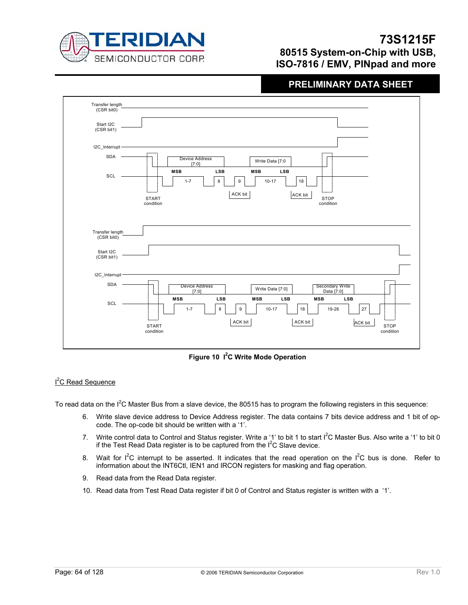

## **PRELIMINARY DATA SHEET**



**Figure 10 I2 C Write Mode Operation** 

### <sup>2</sup>C Read Sequence

To read data on the  $I^2C$  Master Bus from a slave device, the 80515 has to program the following registers in this sequence:

- 6. Write slave device address to Device Address register. The data contains 7 bits device address and 1 bit of opcode. The op-code bit should be written with a '1'.
- 7. Write control data to Control and Status register. Write a '1' to bit 1 to start  $I^2C$  Master Bus. Also write a '1' to bit 0 if the Test Read Data register is to be captured from the  $I<sup>2</sup>C$  Slave device.
- 8. Wait for  $I^2C$  interrupt to be asserted. It indicates that the read operation on the  $I^2C$  bus is done. Refer to information about the INT6Ctl, IEN1 and IRCON registers for masking and flag operation.
- 9. Read data from the Read Data register.
- 10. Read data from Test Read Data register if bit 0 of Control and Status register is written with a '1'.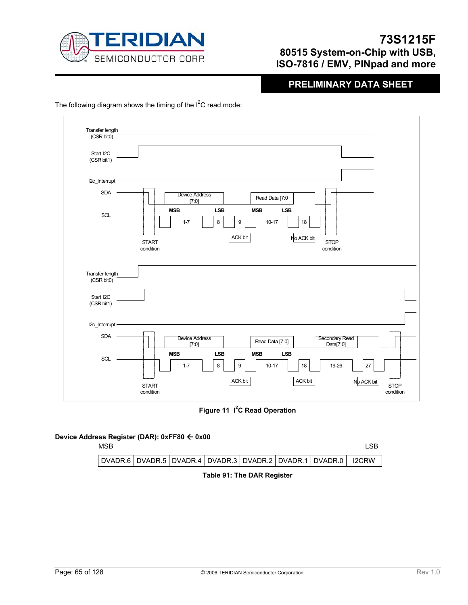

## **PRELIMINARY DATA SHEET**

The following diagram shows the timing of the  $I^2C$  read mode:

| Transfer length<br>(CSR bit0) |                                                                                               |
|-------------------------------|-----------------------------------------------------------------------------------------------|
| Start I2C<br>(CSR bit1)       |                                                                                               |
| I2c_Interrupt -               |                                                                                               |
| <b>SDA</b>                    | <b>Device Address</b><br>Read Data [7:0<br>[7:0]                                              |
| SCL                           | <b>LSB</b><br><b>MSB</b><br><b>LSB</b><br><b>MSB</b><br>8<br>$1 - 7$<br>$10 - 17$<br>9<br>18  |
|                               | ACK bit<br>No ACK bit<br><b>STOP</b><br><b>START</b><br>condition<br>condition                |
| Transfer length<br>(CSR bit0) |                                                                                               |
| Start I2C<br>(CSR bit1)       |                                                                                               |
| I2c_Interrupt                 |                                                                                               |
| <b>SDA</b>                    | <b>Device Address</b><br>Secondary Read<br>Read Data [7:0]<br>[7:0]<br>Data[7:0]              |
| <b>SCL</b>                    | <b>MSB</b><br>LSB<br><b>MSB</b><br>LSB<br>$1 - 7$<br>8<br>9<br>27<br>$10 - 17$<br>18<br>19-26 |
|                               | ACK bit<br>ACK bit<br>$ND$ ACK bit<br><b>STOP</b><br><b>START</b><br>condition<br>condition   |

**Figure 11 I<sup>2</sup>C Read Operation** 

### **Device Address Register (DAR): 0xFF80** Å **0x00**

| DVADR.6   DVADR.5   DVADR.4   DVADR.3   DVADR.2   DVADR.1   DVADR.0      I2CRW | <b>MSB</b> |  |  |  | -SB |
|--------------------------------------------------------------------------------|------------|--|--|--|-----|
|                                                                                |            |  |  |  |     |

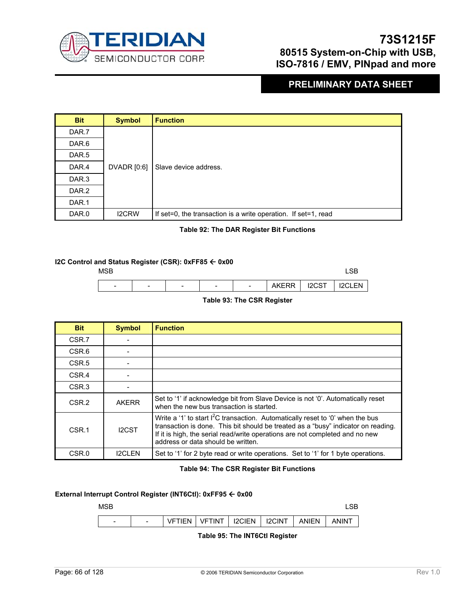

### **PRELIMINARY DATA SHEET**

| <b>Bit</b>       | <b>Symbol</b> | <b>Function</b>                                                |
|------------------|---------------|----------------------------------------------------------------|
| DAR.7            |               |                                                                |
| DAR.6            |               |                                                                |
| DAR.5            |               |                                                                |
| DAR.4            | DVADR [0:6]   | Slave device address.                                          |
| DAR <sub>3</sub> |               |                                                                |
| DAR.2            |               |                                                                |
| DAR.1            |               |                                                                |
| DAR.0            | <b>I2CRW</b>  | If set=0, the transaction is a write operation. If set=1, read |

### **Table 92: The DAR Register Bit Functions**

### **I2C Control and Status Register (CSR): 0xFF85 ← 0x00**



### **Table 93: The CSR Register**

| <b>Bit</b>        | <b>Symbol</b> | <b>Function</b>                                                                                                                                                                                                                                                                                       |
|-------------------|---------------|-------------------------------------------------------------------------------------------------------------------------------------------------------------------------------------------------------------------------------------------------------------------------------------------------------|
| CSR.7             |               |                                                                                                                                                                                                                                                                                                       |
| CSR.6             |               |                                                                                                                                                                                                                                                                                                       |
| CSR <sub>.5</sub> |               |                                                                                                                                                                                                                                                                                                       |
| CSR.4             |               |                                                                                                                                                                                                                                                                                                       |
| CSR <sub>3</sub>  |               |                                                                                                                                                                                                                                                                                                       |
| CSR <sub>.2</sub> | <b>AKERR</b>  | Set to '1' if acknowledge bit from Slave Device is not '0'. Automatically reset<br>when the new bus transaction is started.                                                                                                                                                                           |
| CSR.1             | <b>I2CST</b>  | Write a '1' to start I <sup>2</sup> C transaction. Automatically reset to '0' when the bus<br>transaction is done. This bit should be treated as a "busy" indicator on reading.<br>If it is high, the serial read/write operations are not completed and no new<br>address or data should be written. |
| CSR.0             | <b>I2CLEN</b> | Set to '1' for 2 byte read or write operations. Set to '1' for 1 byte operations.                                                                                                                                                                                                                     |

### **Table 94: The CSR Register Bit Functions**

### **External Interrupt Control Register (INT6Ctl): 0xFF95** Å **0x00**



**Table 95: The INT6Ctl Register**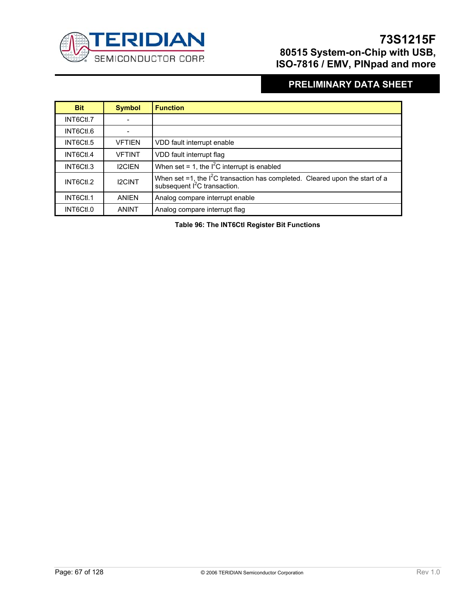

## **PRELIMINARY DATA SHEET**

| <b>Bit</b> | <b>Symbol</b> | <b>Function</b>                                                                                                            |
|------------|---------------|----------------------------------------------------------------------------------------------------------------------------|
| INT6Ctl.7  |               |                                                                                                                            |
| INT6Ctl.6  |               |                                                                                                                            |
| INT6Ctl.5  | <b>VFTIEN</b> | VDD fault interrupt enable                                                                                                 |
| INT6Ctl.4  | <b>VFTINT</b> | VDD fault interrupt flag                                                                                                   |
| INT6Ctl.3  | <b>I2CIEN</b> | When set = 1, the $I^2C$ interrupt is enabled                                                                              |
| INT6Ctl.2  | <b>I2CINT</b> | When set =1, the $I^2C$ transaction has completed. Cleared upon the start of a<br>subsequent l <sup>2</sup> C transaction. |
| INT6Ctl.1  | <b>ANIFN</b>  | Analog compare interrupt enable                                                                                            |
| INT6Ctl.0  | <b>ANINT</b>  | Analog compare interrupt flag                                                                                              |

**Table 96: The INT6Ctl Register Bit Functions**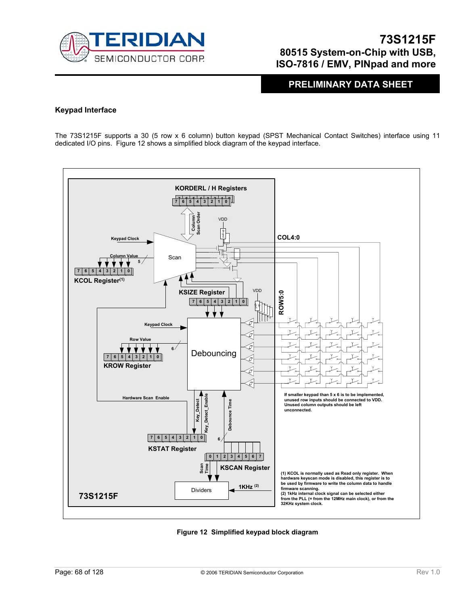

**PRELIMINARY DATA SHEET** 

### **Keypad Interface**

The 73S1215F supports a 30 (5 row x 6 column) button keypad (SPST Mechanical Contact Switches) interface using 11 dedicated I/O pins. Figure 12 shows a simplified block diagram of the keypad interface.



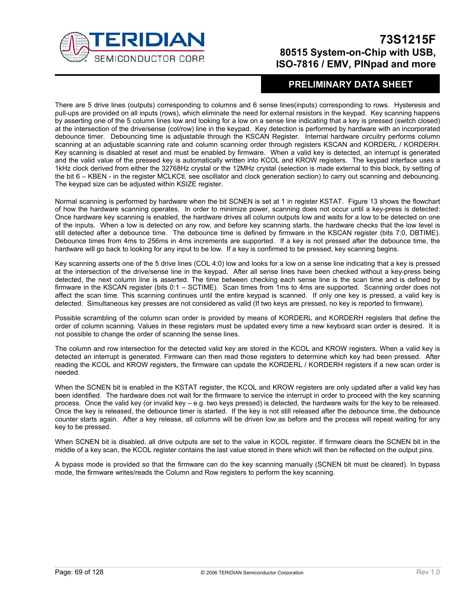

### **PRELIMINARY DATA SHEET**

There are 5 drive lines (outputs) corresponding to columns and 6 sense lines(inputs) corresponding to rows. Hysteresis and pull-ups are provided on all inputs (rows), which eliminate the need for external resistors in the keypad. Key scanning happens by asserting one of the 5 column lines low and looking for a low on a sense line indicating that a key is pressed (switch closed) at the intersection of the drive/sense (col/row) line in the keypad. Key detection is performed by hardware with an incorporated debounce timer. Debouncing time is adjustable through the KSCAN Register. Internal hardware circuitry performs column scanning at an adjustable scanning rate and column scanning order through registers KSCAN and KORDERL / KORDERH. Key scanning is disabled at reset and must be enabled by firmware. When a valid key is detected, an interrupt is generated and the valid value of the pressed key is automatically written into KCOL and KROW registers. The keypad interface uses a 1kHz clock derived from either the 32768Hz crystal or the 12MHz crystal (selection is made external to this block, by setting of the bit 6 – KBEN - in the register MCLKCtl, see oscillator and clock generation section) to carry out scanning and debouncing. The keypad size can be adjusted within KSIZE register.

Normal scanning is performed by hardware when the bit SCNEN is set at 1 in register KSTAT. Figure 13 shows the flowchart of how the hardware scanning operates. In order to minimize power, scanning does not occur until a key-press is detected: Once hardware key scanning is enabled, the hardware drives all column outputs low and waits for a low to be detected on one of the inputs. When a low is detected on any row, and before key scanning starts, the hardware checks that the low level is still detected after a debounce time. The debounce time is defined by firmware in the KSCAN register (bits 7:0, DBTIME). Debounce times from 4ms to 256ms in 4ms increments are supported. If a key is not pressed after the debounce time, the hardware will go back to looking for any input to be low. If a key is confirmed to be pressed, key scanning begins.

Key scanning asserts one of the 5 drive lines (COL 4:0) low and looks for a low on a sense line indicating that a key is pressed at the intersection of the drive/sense line in the keypad. After all sense lines have been checked without a key-press being detected, the next column line is asserted. The time between checking each sense line is the scan time and is defined by firmware in the KSCAN register (bits 0:1 – SCTIME). Scan times from 1ms to 4ms are supported. Scanning order does not affect the scan time. This scanning continues until the entire keypad is scanned. If only one key is pressed, a valid key is detected. Simultaneous key presses are not considered as valid (If two keys are pressed, no key is reported to firmware).

Possible scrambling of the column scan order is provided by means of KORDERL and KORDERH registers that define the order of column scanning. Values in these registers must be updated every time a new keyboard scan order is desired. It is not possible to change the order of scanning the sense lines.

The column and row intersection for the detected valid key are stored in the KCOL and KROW registers. When a valid key is detected an interrupt is generated. Firmware can then read those registers to determine which key had been pressed. After reading the KCOL and KROW registers, the firmware can update the KORDERL / KORDERH registers if a new scan order is needed.

When the SCNEN bit is enabled in the KSTAT register, the KCOL and KROW registers are only updated after a valid key has been identified. The hardware does not wait for the firmware to service the interrupt in order to proceed with the key scanning process. Once the valid key (or invalid key – e.g. two keys pressed) is detected, the hardware waits for the key to be released. Once the key is released, the debounce timer is started. If the key is not still released after the debounce time, the debounce counter starts again. After a key release, all columns will be driven low as before and the process will repeat waiting for any key to be pressed.

When SCNEN bit is disabled, all drive outputs are set to the value in KCOL register. If firmware clears the SCNEN bit in the middle of a key scan, the KCOL register contains the last value stored in there which will then be reflected on the output pins.

A bypass mode is provided so that the firmware can do the key scanning manually (SCNEN bit must be cleared). In bypass mode, the firmware writes/reads the Column and Row registers to perform the key scanning.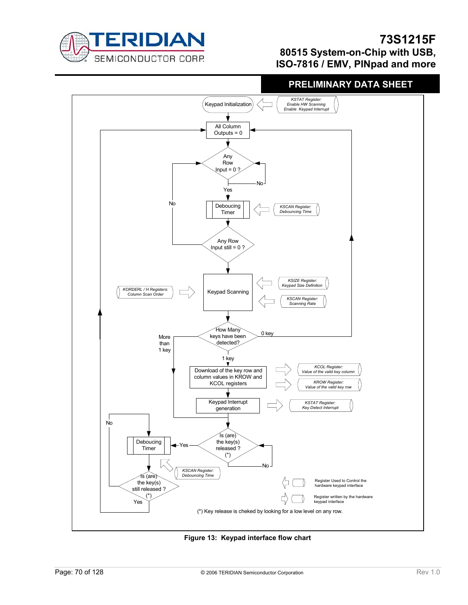





**Figure 13: Keypad interface flow chart**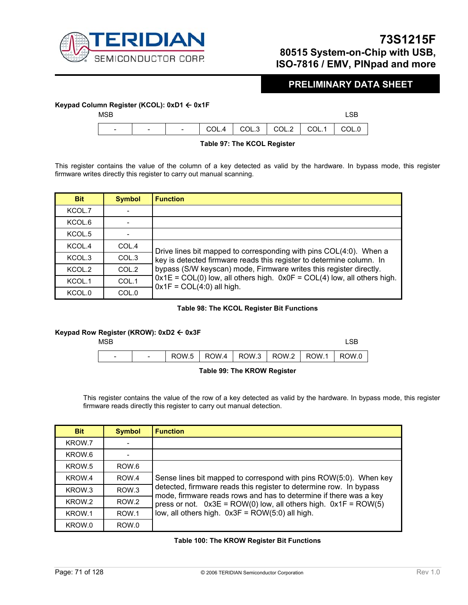

### **PRELIMINARY DATA SHEET**

### **Keypad Column Register (KCOL): 0xD1** Å **0x1F**

| <b>MSB</b>               |                          |  |                                                                                                                         |  |
|--------------------------|--------------------------|--|-------------------------------------------------------------------------------------------------------------------------|--|
| $\overline{\phantom{0}}$ | $\overline{\phantom{a}}$ |  | $\overline{1}$ $\overline{1}$ COL.4 $\overline{1}$ COL.3 $\overline{1}$ COL.2 $\overline{1}$ COL.1 $\overline{1}$ COL.0 |  |
|                          |                          |  |                                                                                                                         |  |

**Table 97: The KCOL Register** 

This register contains the value of the column of a key detected as valid by the hardware. In bypass mode, this register firmware writes directly this register to carry out manual scanning.

| <b>Bit</b> | <b>Symbol</b> | <b>Function</b>                                                                                            |  |  |  |  |
|------------|---------------|------------------------------------------------------------------------------------------------------------|--|--|--|--|
| KCOL.7     |               |                                                                                                            |  |  |  |  |
| KCOL.6     |               |                                                                                                            |  |  |  |  |
| KCOL.5     |               |                                                                                                            |  |  |  |  |
| KCOL.4     | COL.4         | Drive lines bit mapped to corresponding with pins COL(4:0). When a                                         |  |  |  |  |
| KCOL.3     | COL.3         | key is detected firmware reads this register to determine column. In                                       |  |  |  |  |
| KCOL.2     | COL.2         | bypass (S/W keyscan) mode, Firmware writes this register directly.                                         |  |  |  |  |
| KCOL.1     | COL.1         | $0x1E = COL(0)$ low, all others high. $0x0F = COL(4)$ low, all others high.<br>$0x1F = COL(4:0)$ all high. |  |  |  |  |
| KCOL.0     | COL.0         |                                                                                                            |  |  |  |  |

### **Table 98: The KCOL Register Bit Functions**

### **Keypad Row Register (KROW): 0xD2** Å **0x3F**



### **Table 99: The KROW Register**

This register contains the value of the row of a key detected as valid by the hardware. In bypass mode, this register firmware reads directly this register to carry out manual detection.

| <b>Bit</b>        | <b>Symbol</b>    | <b>Function</b>                                                                                                                                                                                                                                                   |  |  |  |  |  |
|-------------------|------------------|-------------------------------------------------------------------------------------------------------------------------------------------------------------------------------------------------------------------------------------------------------------------|--|--|--|--|--|
| KROW.7            |                  |                                                                                                                                                                                                                                                                   |  |  |  |  |  |
| KROW.6            |                  |                                                                                                                                                                                                                                                                   |  |  |  |  |  |
| KROW.5            | ROW.6            |                                                                                                                                                                                                                                                                   |  |  |  |  |  |
| KROW.4            | ROW.4            | Sense lines bit mapped to correspond with pins ROW(5:0). When key                                                                                                                                                                                                 |  |  |  |  |  |
| KROW.3            | ROW.3            | detected, firmware reads this register to determine row. In bypass<br>mode, firmware reads rows and has to determine if there was a key<br>press or not. $0x3E = ROW(0)$ low, all others high. $0x1F = ROW(5)$<br>low, all others high. 0x3F = ROW(5:0) all high. |  |  |  |  |  |
| KROW <sub>2</sub> | ROW <sub>2</sub> |                                                                                                                                                                                                                                                                   |  |  |  |  |  |
| KROW.1            | ROW.1            |                                                                                                                                                                                                                                                                   |  |  |  |  |  |
| KROW.0            | ROW.0            |                                                                                                                                                                                                                                                                   |  |  |  |  |  |

### **Table 100: The KROW Register Bit Functions**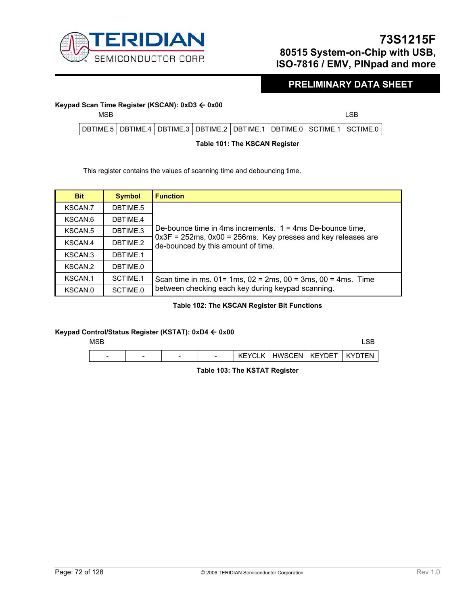

### **PRELIMINARY DATA SHEET**

# **Keypad Scan Time Register (KSCAN): 0xD3 ← 0x00**<br>MSB

| <b>MSB</b> |                                                                                       |  |  |  |
|------------|---------------------------------------------------------------------------------------|--|--|--|
|            | DBTIME.5   DBTIME.4   DBTIME.3   DBTIME.2   DBTIME.1   DBTIME.0   SCTIME.1   SCTIME.0 |  |  |  |
|            |                                                                                       |  |  |  |

### **Table 101: The KSCAN Register**

This register contains the values of scanning time and debouncing time.

| <b>Bit</b> | <b>Symbol</b> | <b>Function</b>                                                                                                                                                          |  |  |
|------------|---------------|--------------------------------------------------------------------------------------------------------------------------------------------------------------------------|--|--|
| KSCAN.7    | DBTIME.5      |                                                                                                                                                                          |  |  |
| KSCAN.6    | DBTIME.4      |                                                                                                                                                                          |  |  |
| KSCAN.5    | DBTIME.3      | De-bounce time in 4ms increments. $1 = 4$ ms De-bounce time,<br>$0x3F = 252ms$ , $0x00 = 256ms$ . Key presses and key releases are<br>de-bounced by this amount of time. |  |  |
| KSCAN.4    | DBTIME.2      |                                                                                                                                                                          |  |  |
| KSCAN.3    | DBTIME.1      |                                                                                                                                                                          |  |  |
| KSCAN.2    | DBTIME.0      |                                                                                                                                                                          |  |  |
| KSCAN.1    | SCTIME.1      | Scan time in ms. $01 = 1$ ms, $02 = 2$ ms, $00 = 3$ ms, $00 = 4$ ms. Time                                                                                                |  |  |
| KSCAN.0    | SCTIME.0      | between checking each key during keypad scanning.                                                                                                                        |  |  |

### **Table 102: The KSCAN Register Bit Functions**

### **Keypad Control/Status Register (KSTAT): 0xD4** Å **0x00**

| <b>MSB</b> |                          |                          |                          |         |          |        | LSB        |
|------------|--------------------------|--------------------------|--------------------------|---------|----------|--------|------------|
| -          | $\overline{\phantom{a}}$ | $\overline{\phantom{0}}$ | $\overline{\phantom{0}}$ | KEYCI K | HWSCEN I | KEYDET | <b>TFN</b> |

**Table 103: The KSTAT Register**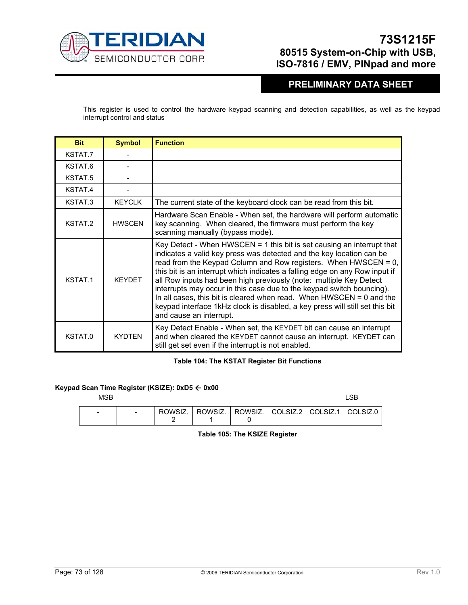

### **PRELIMINARY DATA SHEET**

This register is used to control the hardware keypad scanning and detection capabilities, as well as the keypad interrupt control and status

| <b>Bit</b>         | <b>Symbol</b> | <b>Function</b>                                                                                                                                                                                                                                                                                                                                                                                                                                                                                                                                                                                                                        |
|--------------------|---------------|----------------------------------------------------------------------------------------------------------------------------------------------------------------------------------------------------------------------------------------------------------------------------------------------------------------------------------------------------------------------------------------------------------------------------------------------------------------------------------------------------------------------------------------------------------------------------------------------------------------------------------------|
| KSTAT.7            |               |                                                                                                                                                                                                                                                                                                                                                                                                                                                                                                                                                                                                                                        |
| KSTAT.6            |               |                                                                                                                                                                                                                                                                                                                                                                                                                                                                                                                                                                                                                                        |
| KSTAT <sub>5</sub> |               |                                                                                                                                                                                                                                                                                                                                                                                                                                                                                                                                                                                                                                        |
| KSTAT.4            |               |                                                                                                                                                                                                                                                                                                                                                                                                                                                                                                                                                                                                                                        |
| KSTAT.3            | <b>KEYCLK</b> | The current state of the keyboard clock can be read from this bit.                                                                                                                                                                                                                                                                                                                                                                                                                                                                                                                                                                     |
| KSTAT.2            | <b>HWSCEN</b> | Hardware Scan Enable - When set, the hardware will perform automatic<br>key scanning. When cleared, the firmware must perform the key<br>scanning manually (bypass mode).                                                                                                                                                                                                                                                                                                                                                                                                                                                              |
| KSTAT <sub>1</sub> | <b>KFYDFT</b> | Key Detect - When $HWSCEN = 1$ this bit is set causing an interrupt that<br>indicates a valid key press was detected and the key location can be<br>read from the Keypad Column and Row registers. When HWSCEN = 0,<br>this bit is an interrupt which indicates a falling edge on any Row input if<br>all Row inputs had been high previously (note: multiple Key Detect<br>interrupts may occur in this case due to the keypad switch bouncing).<br>In all cases, this bit is cleared when read. When $HWSCEN = 0$ and the<br>keypad interface 1kHz clock is disabled, a key press will still set this bit<br>and cause an interrupt. |
| KSTAT.0            | <b>KYDTEN</b> | Key Detect Enable - When set, the KEYDET bit can cause an interrupt<br>and when cleared the KEYDET cannot cause an interrupt. KEYDET can<br>still get set even if the interrupt is not enabled.                                                                                                                                                                                                                                                                                                                                                                                                                                        |

#### **Table 104: The KSTAT Register Bit Functions**

#### **Keypad Scan Time Register (KSIZE): 0xD5** Å **0x00**

 $MSB$  respectively. The contract of the contract of the contract of the contract of the contract of the contract of the contract of the contract of the contract of the contract of the contract of the contract of the contra

| - | $\overline{\phantom{0}}$ |  | ROWSIZ.   ROWSIZ.   ROWSIZ.   COLSIZ.2   COLSIZ.1   COLSIZ.0 |  |  |
|---|--------------------------|--|--------------------------------------------------------------|--|--|
|   |                          |  |                                                              |  |  |

**Table 105: The KSIZE Register**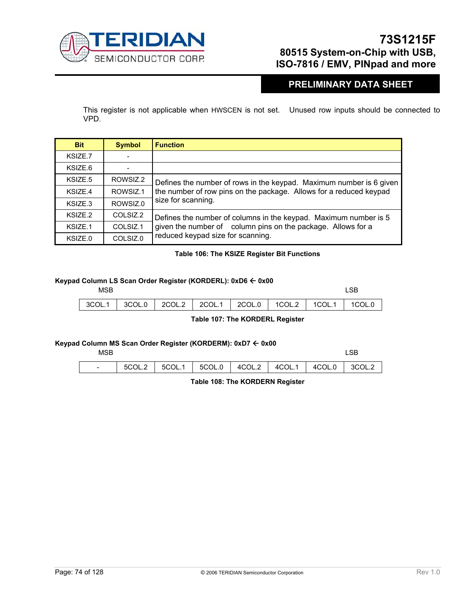

### **PRELIMINARY DATA SHEET**

This register is not applicable when HWSCEN is not set. Unused row inputs should be connected to VPD.

| <b>Bit</b> | <b>Symbol</b> | <b>Function</b>                                                     |  |  |  |
|------------|---------------|---------------------------------------------------------------------|--|--|--|
| KSIZE.7    |               |                                                                     |  |  |  |
| KSIZE.6    |               |                                                                     |  |  |  |
| KSIZE.5    | ROWSIZ.2      | Defines the number of rows in the keypad. Maximum number is 6 given |  |  |  |
| KSIZE.4    | ROWSIZ.1      | the number of row pins on the package. Allows for a reduced keypad  |  |  |  |
| KSIZE.3    | ROWSIZ.0      | size for scanning.                                                  |  |  |  |
| KSIZE.2    | COLSIZ.2      | Defines the number of columns in the keypad. Maximum number is 5    |  |  |  |
| KSIZE.1    | COLSIZ.1      | given the number of column pins on the package. Allows for a        |  |  |  |
| KSIZE.0    | COLSIZ.0      | reduced keypad size for scanning.                                   |  |  |  |

#### **Table 106: The KSIZE Register Bit Functions**

#### **Keypad Column LS Scan Order Register (KORDERL): 0xD6** Å **0x00**

| MSB |                                                                       |  |  | _SB |
|-----|-----------------------------------------------------------------------|--|--|-----|
|     | 3COL.1   3COL.0   2COL.2   2COL.1   2COL.0   1COL.2   1COL.1   1COL.0 |  |  |     |

**Table 107: The KORDERL Register** 

#### **Keypad Column MS Scan Order Register (KORDERM): 0xD7** Å **0x00**

| <b>MSB</b> | <b>LSB</b> |
|------------|------------|
|            | _____      |

| $5$ COL.2 $\,$ 5COL.1 $\,$ 5COL.0 $\,$ 4COL.2 $\,$ 4COL.1 $\,$ 4COL.0 $\,$ 3COL.2 |  |  |  |  |
|-----------------------------------------------------------------------------------|--|--|--|--|
|                                                                                   |  |  |  |  |

**Table 108: The KORDERN Register**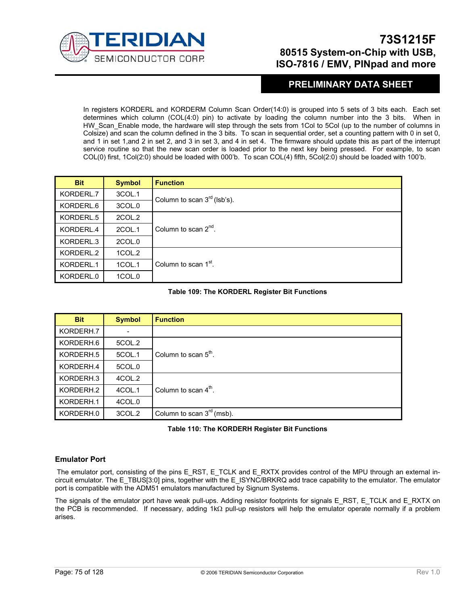

### **PRELIMINARY DATA SHEET**

In registers KORDERL and KORDERM Column Scan Order(14:0) is grouped into 5 sets of 3 bits each. Each set determines which column (COL(4:0) pin) to activate by loading the column number into the 3 bits. When in HW\_Scan\_Enable mode, the hardware will step through the sets from 1Col to 5Col (up to the number of columns in Colsize) and scan the column defined in the 3 bits. To scan in sequential order, set a counting pattern with 0 in set 0, and 1 in set 1,and 2 in set 2, and 3 in set 3, and 4 in set 4. The firmware should update this as part of the interrupt service routine so that the new scan order is loaded prior to the next key being pressed. For example, to scan COL(0) first, 1Col(2:0) should be loaded with 000'b. To scan COL(4) fifth, 5Col(2:0) should be loaded with 100'b.

| <b>Bit</b> | <b>Symbol</b> | <b>Function</b>                  |  |
|------------|---------------|----------------------------------|--|
| KORDERL.7  | 3COL.1        | Column to scan $3rd$ (lsb's).    |  |
| KORDERL.6  | 3COL.0        |                                  |  |
| KORDERL.5  | 2COL.2        |                                  |  |
| KORDERL.4  | 2COL.1        | Column to scan $2^{nd}$ .        |  |
| KORDERL.3  | 2COL.0        |                                  |  |
| KORDERL.2  | 1COL.2        |                                  |  |
| KORDERL.1  | 1COL.1        | Column to scan 1 <sup>st</sup> . |  |
| KORDERL.0  | 1COL.0        |                                  |  |

#### **Table 109: The KORDERL Register Bit Functions**

| <b>Bit</b> | <b>Symbol</b> | <b>Function</b>                |
|------------|---------------|--------------------------------|
| KORDERH.7  |               |                                |
| KORDERH.6  | 5COL.2        |                                |
| KORDERH.5  | 5COL.1        | Column to scan $5th$ .         |
| KORDERH.4  | 5COL.0        |                                |
| KORDERH.3  | 4COL.2        |                                |
| KORDERH.2  | 4COL.1        | Column to scan $4th$ .         |
| KORDERH.1  | 4COL.0        |                                |
| KORDERH.0  | 3COL.2        | Column to scan $3^{rd}$ (msb). |

#### **Table 110: The KORDERH Register Bit Functions**

#### **Emulator Port**

The emulator port, consisting of the pins E\_RST, E\_TCLK and E\_RXTX provides control of the MPU through an external incircuit emulator. The E\_TBUS[3:0] pins, together with the E\_ISYNC/BRKRQ add trace capability to the emulator. The emulator port is compatible with the ADM51 emulators manufactured by Signum Systems.

The signals of the emulator port have weak pull-ups. Adding resistor footprints for signals E\_RST, E\_TCLK and E\_RXTX on the PCB is recommended. If necessary, adding 1kΩ pull-up resistors will help the emulator operate normally if a problem arises.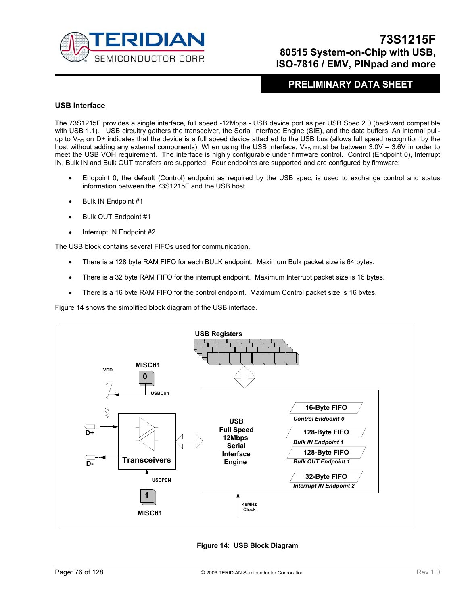

### **PRELIMINARY DATA SHEET**

#### **USB Interface**

The 73S1215F provides a single interface, full speed -12Mbps - USB device port as per USB Spec 2.0 (backward compatible with USB 1.1). USB circuitry gathers the transceiver, the Serial Interface Engine (SIE), and the data buffers. An internal pullup to  $V_{DD}$  on D+ indicates that the device is a full speed device attached to the USB bus (allows full speed recognition by the host without adding any external components). When using the USB interface,  $V_{\text{PD}}$  must be between 3.0V – 3.6V in order to meet the USB VOH requirement. The interface is highly configurable under firmware control. Control (Endpoint 0), Interrupt IN, Bulk IN and Bulk OUT transfers are supported. Four endpoints are supported and are configured by firmware:

- Endpoint 0, the default (Control) endpoint as required by the USB spec, is used to exchange control and status information between the 73S1215F and the USB host.
- Bulk IN Endpoint #1
- Bulk OUT Endpoint #1
- Interrupt IN Endpoint #2

The USB block contains several FIFOs used for communication.

- There is a 128 byte RAM FIFO for each BULK endpoint. Maximum Bulk packet size is 64 bytes.
- There is a 32 byte RAM FIFO for the interrupt endpoint. Maximum Interrupt packet size is 16 bytes.
- There is a 16 byte RAM FIFO for the control endpoint. Maximum Control packet size is 16 bytes.

Figure 14 shows the simplified block diagram of the USB interface.



**Figure 14: USB Block Diagram**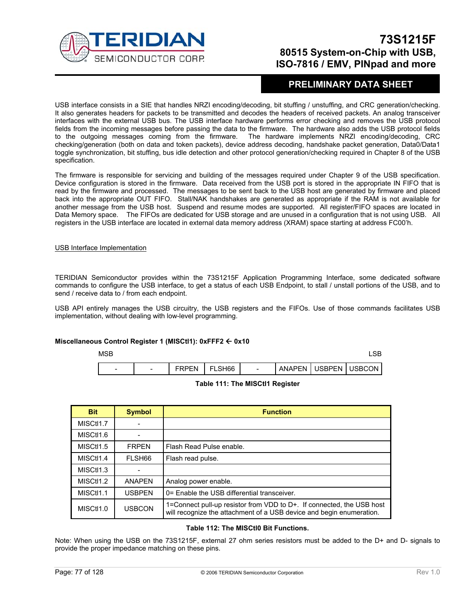

### **PRELIMINARY DATA SHEET**

USB interface consists in a SIE that handles NRZI encoding/decoding, bit stuffing / unstuffing, and CRC generation/checking. It also generates headers for packets to be transmitted and decodes the headers of received packets. An analog transceiver interfaces with the external USB bus. The USB interface hardware performs error checking and removes the USB protocol fields from the incoming messages before passing the data to the firmware. The hardware also adds the USB protocol fields to the outgoing messages coming from the firmware. The hardware implements NRZI encoding/decoding, CRC checking/generation (both on data and token packets), device address decoding, handshake packet generation, Data0/Data1 toggle synchronization, bit stuffing, bus idle detection and other protocol generation/checking required in Chapter 8 of the USB specification.

The firmware is responsible for servicing and building of the messages required under Chapter 9 of the USB specification. Device configuration is stored in the firmware. Data received from the USB port is stored in the appropriate IN FIFO that is read by the firmware and processed. The messages to be sent back to the USB host are generated by firmware and placed back into the appropriate OUT FIFO. Stall/NAK handshakes are generated as appropriate if the RAM is not available for another message from the USB host. Suspend and resume modes are supported. All register/FIFO spaces are located in Data Memory space. The FIFOs are dedicated for USB storage and are unused in a configuration that is not using USB. All registers in the USB interface are located in external data memory address (XRAM) space starting at address FC00'h.

#### USB Interface Implementation

TERIDIAN Semiconductor provides within the 73S1215F Application Programming Interface, some dedicated software commands to configure the USB interface, to get a status of each USB Endpoint, to stall / unstall portions of the USB, and to send / receive data to / from each endpoint.

USB API entirely manages the USB circuitry, the USB registers and the FIFOs. Use of those commands facilitates USB implementation, without dealing with low-level programming.

#### **Miscellaneous Control Register 1 (MISCtl1): 0xFFF2** Å **0x10**

| <b>MSB</b> |                          |              |        |                          |                          |  |
|------------|--------------------------|--------------|--------|--------------------------|--------------------------|--|
| -          | $\overline{\phantom{0}}$ | <b>FRPFN</b> | FLSH66 | $\overline{\phantom{a}}$ | ANAPEN   USBPEN   USBCON |  |

#### **Table 111: The MISCtl1 Register**

| <b>Bit</b>             | <b>Symbol</b>      | <b>Function</b>                                                                                                                               |
|------------------------|--------------------|-----------------------------------------------------------------------------------------------------------------------------------------------|
| MISC <sub>t11.7</sub>  |                    |                                                                                                                                               |
| MISCt <sub>1.6</sub>   |                    |                                                                                                                                               |
| MISC <sub>t11.5</sub>  | <b>FRPFN</b>       | Flash Read Pulse enable.                                                                                                                      |
| MISC <sub>t11.4</sub>  | FLSH <sub>66</sub> | Flash read pulse.                                                                                                                             |
| MISC <sub>tl</sub> 1.3 |                    |                                                                                                                                               |
| MISC <sub>t11</sub> .2 | <b>ANAPFN</b>      | Analog power enable.                                                                                                                          |
| MISC <sub>t11.1</sub>  | <b>USBPEN</b>      | 0= Enable the USB differential transceiver.                                                                                                   |
| MISC <sub>t11.0</sub>  | <b>USBCON</b>      | 1=Connect pull-up resistor from VDD to D+. If connected, the USB host<br>will recognize the attachment of a USB device and begin enumeration. |

#### **Table 112: The MISCtl0 Bit Functions.**

Note: When using the USB on the 73S1215F, external 27 ohm series resistors must be added to the D+ and D- signals to provide the proper impedance matching on these pins.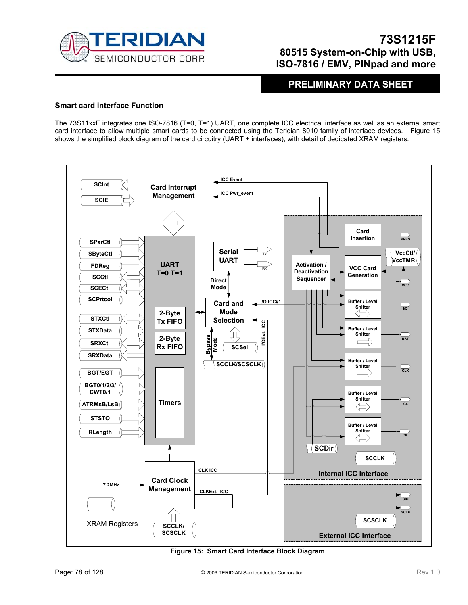

**PRELIMINARY DATA SHEET** 

#### **Smart card interface Function**

The 73S11xxF integrates one ISO-7816 (T=0, T=1) UART, one complete ICC electrical interface as well as an external smart card interface to allow multiple smart cards to be connected using the Teridian 8010 family of interface devices. Figure 15 shows the simplified block diagram of the card circuitry (UART + interfaces), with detail of dedicated XRAM registers.



**Figure 15: Smart Card Interface Block Diagram**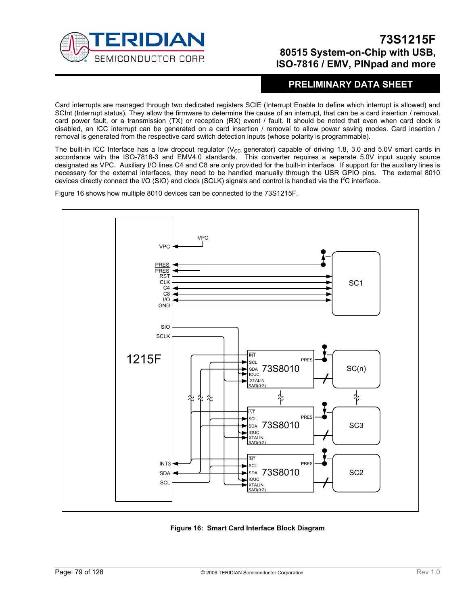

### **PRELIMINARY DATA SHEET**

Card interrupts are managed through two dedicated registers SCIE (Interrupt Enable to define which interrupt is allowed) and SCInt (Interrupt status). They allow the firmware to determine the cause of an interrupt, that can be a card insertion / removal, card power fault, or a transmission (TX) or reception (RX) event / fault. It should be noted that even when card clock is disabled, an ICC interrupt can be generated on a card insertion / removal to allow power saving modes. Card insertion / removal is generated from the respective card switch detection inputs (whose polarity is programmable).

The built-in ICC Interface has a low dropout regulator ( $V_{CC}$  generator) capable of driving 1.8, 3.0 and 5.0V smart cards in accordance with the ISO-7816-3 and EMV4.0 standards. This converter requires a separate 5.0V input supply source designated as VPC. Auxiliary I/O lines C4 and C8 are only provided for the built-in interface. If support for the auxiliary lines is necessary for the external interfaces, they need to be handled manually through the USR GPIO pins. The external 8010 devices directly connect the I/O (SIO) and clock (SCLK) signals and control is handled via the  $I^2C$  interface.

Figure 16 shows how multiple 8010 devices can be connected to the 73S1215F.



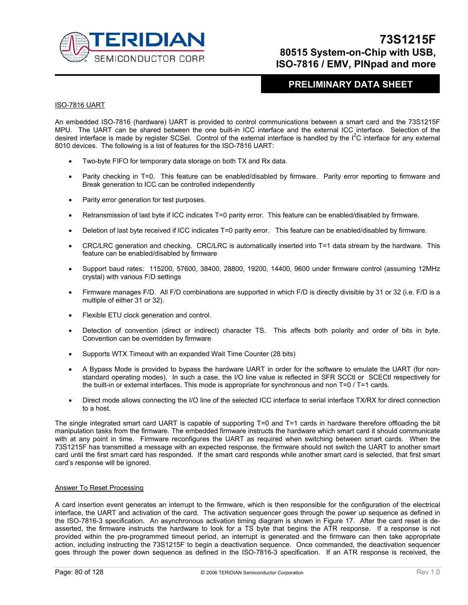

### **PRELIMINARY DATA SHEET**

#### ISO-7816 UART

An embedded ISO-7816 (hardware) UART is provided to control communications between a smart card and the 73S1215F MPU. The UART can be shared between the one built-in ICC interface and the external ICC interface. Selection of the desired interface is made by register SCSel. Control of the external interface is handled by the  $I^2C$  interface for any external 8010 devices. The following is a list of features for the ISO-7816 UART:

- Two-byte FIFO for temporary data storage on both TX and Rx data.
- Parity checking in T=0. This feature can be enabled/disabled by firmware. Parity error reporting to firmware and Break generation to ICC can be controlled independently
- Parity error generation for test purposes.
- Retransmission of last byte if ICC indicates T=0 parity error. This feature can be enabled/disabled by firmware.
- Deletion of last byte received if ICC indicates T=0 parity error. This feature can be enabled/disabled by firmware.
- CRC/LRC generation and checking. CRC/LRC is automatically inserted into T=1 data stream by the hardware. This feature can be enabled/disabled by firmware
- Support baud rates: 115200, 57600, 38400, 28800, 19200, 14400, 9600 under firmware control (assuming 12MHz crystal) with various F/D settings
- Firmware manages F/D. All F/D combinations are supported in which F/D is directly divisible by 31 or 32 (i.e. F/D is a multiple of either 31 or 32).
- Flexible ETU clock generation and control.
- Detection of convention (direct or indirect) character TS. This affects both polarity and order of bits in byte. Convention can be overridden by firmware
- Supports WTX Timeout with an expanded Wait Time Counter (28 bits)
- A Bypass Mode is provided to bypass the hardware UART in order for the software to emulate the UART (for nonstandard operating modes). In such a case, the I/O line value is reflected in SFR SCCtl or SCECtl respectively for the built-in or external interfaces. This mode is appropriate for synchronous and non T=0 / T=1 cards.
- Direct mode allows connecting the I/O line of the selected ICC interface to serial interface TX/RX for direct connection to a host.

The single integrated smart card UART is capable of supporting T=0 and T=1 cards in hardware therefore offloading the bit manipulation tasks from the firmware. The embedded firmware instructs the hardware which smart card it should communicate with at any point in time. Firmware reconfigures the UART as required when switching between smart cards. When the 73S1215F has transmitted a message with an expected response, the firmware should not switch the UART to another smart card until the first smart card has responded. If the smart card responds while another smart card is selected, that first smart card's response will be ignored.

#### Answer To Reset Processing

A card insertion event generates an interrupt to the firmware, which is then responsible for the configuration of the electrical interface, the UART and activation of the card. The activation sequencer goes through the power up sequence as defined in the ISO-7816-3 specification. An asynchronous activation timing diagram is shown in Figure 17. After the card reset is deasserted, the firmware instructs the hardware to look for a TS byte that begins the ATR response. If a response is not provided within the pre-programmed timeout period, an interrupt is generated and the firmware can then take appropriate action, including instructing the 73S1215F to begin a deactivation sequence. Once commanded, the deactivation sequencer goes through the power down sequence as defined in the ISO-7816-3 specification. If an ATR response is received, the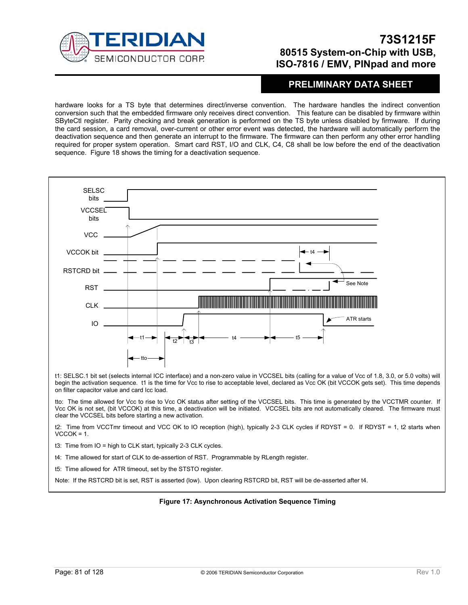

### **PRELIMINARY DATA SHEET**

hardware looks for a TS byte that determines direct/inverse convention. The hardware handles the indirect convention conversion such that the embedded firmware only receives direct convention. This feature can be disabled by firmware within SByteCtl register. Parity checking and break generation is performed on the TS byte unless disabled by firmware. If during the card session, a card removal, over-current or other error event was detected, the hardware will automatically perform the deactivation sequence and then generate an interrupt to the firmware. The firmware can then perform any other error handling required for proper system operation. Smart card RST, I/O and CLK, C4, C8 shall be low before the end of the deactivation sequence. Figure 18 shows the timing for a deactivation sequence.



Vcc OK is not set, (bit VCCOK) at this time, a deactivation will be initiated. VCCSEL bits are not automatically cleared. The firmware must clear the VCCSEL bits before starting a new activation.

t2: Time from VCCTmr timeout and VCC OK to IO reception (high), typically 2-3 CLK cycles if RDYST = 0. If RDYST = 1, t2 starts when  $VCCOK = 1$ .

t3: Time from IO = high to CLK start, typically 2-3 CLK cycles.

t4: Time allowed for start of CLK to de-assertion of RST. Programmable by RLength register.

t5: Time allowed for ATR timeout, set by the STSTO register.

Note: If the RSTCRD bit is set, RST is asserted (low). Upon clearing RSTCRD bit, RST will be de-asserted after t4.

#### **Figure 17: Asynchronous Activation Sequence Timing**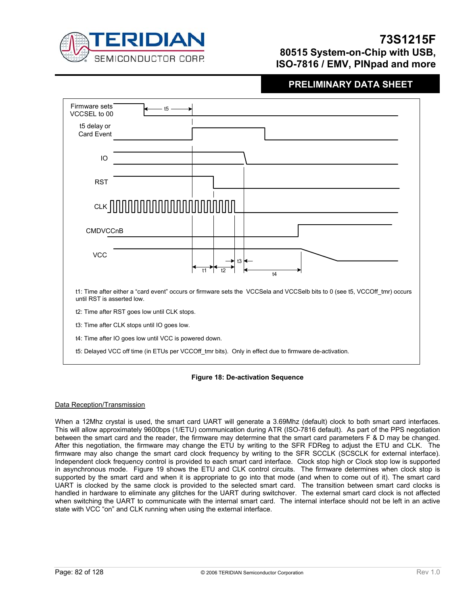

## **PRELIMINARY DATA SHEET**



#### **Figure 18: De-activation Sequence**

#### Data Reception/Transmission

When a 12Mhz crystal is used, the smart card UART will generate a 3.69Mhz (default) clock to both smart card interfaces. This will allow approximately 9600bps (1/ETU) communication during ATR (ISO-7816 default). As part of the PPS negotiation between the smart card and the reader, the firmware may determine that the smart card parameters F & D may be changed. After this negotiation, the firmware may change the ETU by writing to the SFR FDReg to adjust the ETU and CLK. The firmware may also change the smart card clock frequency by writing to the SFR SCCLK (SCSCLK for external interface). Independent clock frequency control is provided to each smart card interface. Clock stop high or Clock stop low is supported in asynchronous mode. Figure 19 shows the ETU and CLK control circuits. The firmware determines when clock stop is supported by the smart card and when it is appropriate to go into that mode (and when to come out of it). The smart card UART is clocked by the same clock is provided to the selected smart card. The transition between smart card clocks is handled in hardware to eliminate any glitches for the UART during switchover. The external smart card clock is not affected when switching the UART to communicate with the internal smart card. The internal interface should not be left in an active state with VCC "on" and CLK running when using the external interface.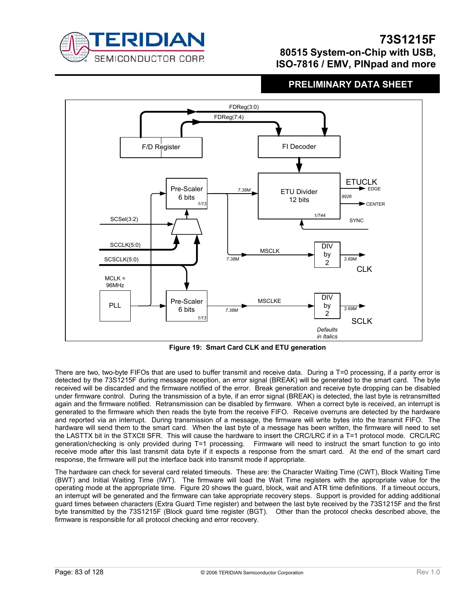

### **PRELIMINARY DATA SHEET**



**Figure 19: Smart Card CLK and ETU generation** 

There are two, two-byte FIFOs that are used to buffer transmit and receive data. During a T=0 processing, if a parity error is detected by the 73S1215F during message reception, an error signal (BREAK) will be generated to the smart card. The byte received will be discarded and the firmware notified of the error. Break generation and receive byte dropping can be disabled under firmware control. During the transmission of a byte, if an error signal (BREAK) is detected, the last byte is retransmitted again and the firmware notified. Retransmission can be disabled by firmware. When a correct byte is received, an interrupt is generated to the firmware which then reads the byte from the receive FIFO. Receive overruns are detected by the hardware and reported via an interrupt. During transmission of a message, the firmware will write bytes into the transmit FIFO. The hardware will send them to the smart card. When the last byte of a message has been written, the firmware will need to set the LASTTX bit in the STXCtl SFR. This will cause the hardware to insert the CRC/LRC if in a T=1 protocol mode. CRC/LRC generation/checking is only provided during T=1 processing. Firmware will need to instruct the smart function to go into receive mode after this last transmit data byte if it expects a response from the smart card. At the end of the smart card response, the firmware will put the interface back into transmit mode if appropriate.

The hardware can check for several card related timeouts. These are: the Character Waiting Time (CWT), Block Waiting Time (BWT) and Initial Waiting Time (IWT). The firmware will load the Wait Time registers with the appropriate value for the operating mode at the appropriate time. Figure 20 shows the guard, block, wait and ATR time definitions. If a timeout occurs, an interrupt will be generated and the firmware can take appropriate recovery steps. Support is provided for adding additional guard times between characters (Extra Guard Time register) and between the last byte received by the 73S1215F and the first byte transmitted by the 73S1215F (Block guard time register (BGT). Other than the protocol checks described above, the firmware is responsible for all protocol checking and error recovery.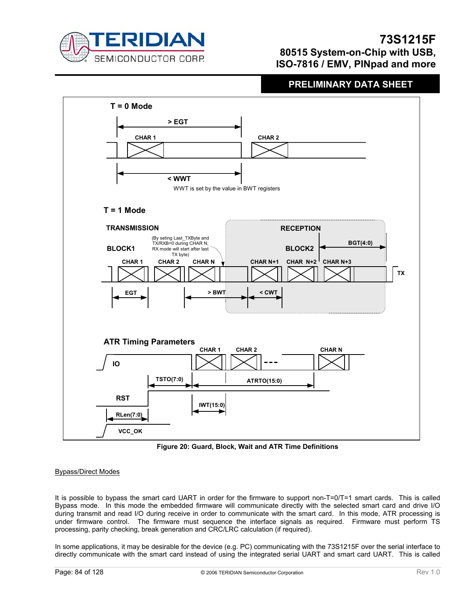

### **PRELIMINARY DATA SHEET**



**Figure 20: Guard, Block, Wait and ATR Time Definitions** 

#### Bypass/Direct Modes

It is possible to bypass the smart card UART in order for the firmware to support non-T=0/T=1 smart cards. This is called Bypass mode. In this mode the embedded firmware will communicate directly with the selected smart card and drive I/O during transmit and read I/O during receive in order to communicate with the smart card. In this mode, ATR processing is under firmware control. The firmware must sequence the interface signals as required. Firmware must perform TS processing, parity checking, break generation and CRC/LRC calculation (if required).

In some applications, it may be desirable for the device (e.g. PC) communicating with the 73S1215F over the serial interface to directly communicate with the smart card instead of using the integrated serial UART and smart card UART. This is called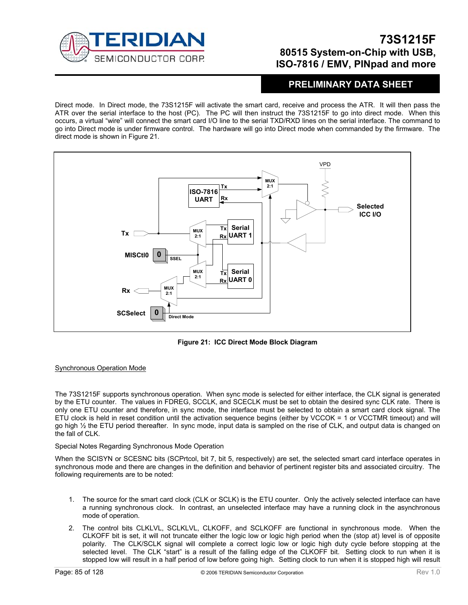

### **PRELIMINARY DATA SHEET**

Direct mode. In Direct mode, the 73S1215F will activate the smart card, receive and process the ATR. It will then pass the ATR over the serial interface to the host (PC). The PC will then instruct the 73S1215F to go into direct mode. When this occurs, a virtual "wire" will connect the smart card I/O line to the serial TXD/RXD lines on the serial interface. The command to go into Direct mode is under firmware control. The hardware will go into Direct mode when commanded by the firmware. The direct mode is shown in Figure 21.



**Figure 21: ICC Direct Mode Block Diagram** 

#### Synchronous Operation Mode

The 73S1215F supports synchronous operation. When sync mode is selected for either interface, the CLK signal is generated by the ETU counter. The values in FDREG, SCCLK, and SCECLK must be set to obtain the desired sync CLK rate. There is only one ETU counter and therefore, in sync mode, the interface must be selected to obtain a smart card clock signal. The ETU clock is held in reset condition until the activation sequence begins (either by VCCOK = 1 or VCCTMR timeout) and will go high ½ the ETU period thereafter. In sync mode, input data is sampled on the rise of CLK, and output data is changed on the fall of CLK.

#### Special Notes Regarding Synchronous Mode Operation

When the SCISYN or SCESNC bits (SCPrtcol, bit 7, bit 5, respectively) are set, the selected smart card interface operates in synchronous mode and there are changes in the definition and behavior of pertinent register bits and associated circuitry. The following requirements are to be noted:

- 1. The source for the smart card clock (CLK or SCLK) is the ETU counter. Only the actively selected interface can have a running synchronous clock. In contrast, an unselected interface may have a running clock in the asynchronous mode of operation.
- 2. The control bits CLKLVL, SCLKLVL, CLKOFF, and SCLKOFF are functional in synchronous mode. When the CLKOFF bit is set, it will not truncate either the logic low or logic high period when the (stop at) level is of opposite polarity. The CLK/SCLK signal will complete a correct logic low or logic high duty cycle before stopping at the selected level. The CLK "start" is a result of the falling edge of the CLKOFF bit. Setting clock to run when it is stopped low will result in a half period of low before going high. Setting clock to run when it is stopped high will result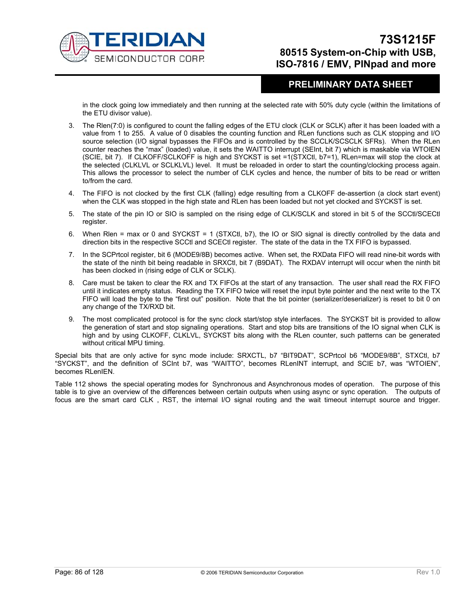

### **PRELIMINARY DATA SHEET**

in the clock going low immediately and then running at the selected rate with 50% duty cycle (within the limitations of the ETU divisor value).

- 3. The Rlen(7:0) is configured to count the falling edges of the ETU clock (CLK or SCLK) after it has been loaded with a value from 1 to 255. A value of 0 disables the counting function and RLen functions such as CLK stopping and I/O source selection (I/O signal bypasses the FIFOs and is controlled by the SCCLK/SCSCLK SFRs). When the RLen counter reaches the "max" (loaded) value, it sets the WAITTO interrupt (SEInt, bit 7) which is maskable via WTOIEN (SCIE, bit 7). If CLKOFF/SCLKOFF is high and SYCKST is set =1(STXCtl, b7=1), RLen=max will stop the clock at the selected (CLKLVL or SCLKLVL) level. It must be reloaded in order to start the counting/clocking process again. This allows the processor to select the number of CLK cycles and hence, the number of bits to be read or written to/from the card.
- 4. The FIFO is not clocked by the first CLK (falling) edge resulting from a CLKOFF de-assertion (a clock start event) when the CLK was stopped in the high state and RLen has been loaded but not yet clocked and SYCKST is set.
- 5. The state of the pin IO or SIO is sampled on the rising edge of CLK/SCLK and stored in bit 5 of the SCCtl/SCECtl register.
- 6. When Rlen = max or 0 and SYCKST = 1 (STXCtl, b7), the IO or SIO signal is directly controlled by the data and direction bits in the respective SCCtl and SCECtl register. The state of the data in the TX FIFO is bypassed.
- 7. In the SCPrtcol register, bit 6 (MODE9/8B) becomes active. When set, the RXData FIFO will read nine-bit words with the state of the ninth bit being readable in SRXCtl, bit 7 (B9DAT). The RXDAV interrupt will occur when the ninth bit has been clocked in (rising edge of CLK or SCLK).
- 8. Care must be taken to clear the RX and TX FIFOs at the start of any transaction. The user shall read the RX FIFO until it indicates empty status. Reading the TX FIFO twice will reset the input byte pointer and the next write to the TX FIFO will load the byte to the "first out" position. Note that the bit pointer (serializer/deserializer) is reset to bit 0 on any change of the TX/RXD bit.
- 9. The most complicated protocol is for the sync clock start/stop style interfaces. The SYCKST bit is provided to allow the generation of start and stop signaling operations. Start and stop bits are transitions of the IO signal when CLK is high and by using CLKOFF, CLKLVL, SYCKST bits along with the RLen counter, such patterns can be generated without critical MPU timing.

Special bits that are only active for sync mode include: SRXCTL, b7 "BIT9DAT", SCPrtcol b6 "MODE9/8B", STXCtl, b7 "SYCKST", and the definition of SCInt b7, was "WAITTO", becomes RLenINT interrupt, and SCIE b7, was "WTOIEN", becomes RLenIFN.

Table 112 shows the special operating modes for Synchronous and Asynchronous modes of operation. The purpose of this table is to give an overview of the differences between certain outputs when using async or sync operation. The outputs of focus are the smart card CLK , RST, the internal I/O signal routing and the wait timeout interrupt source and trigger.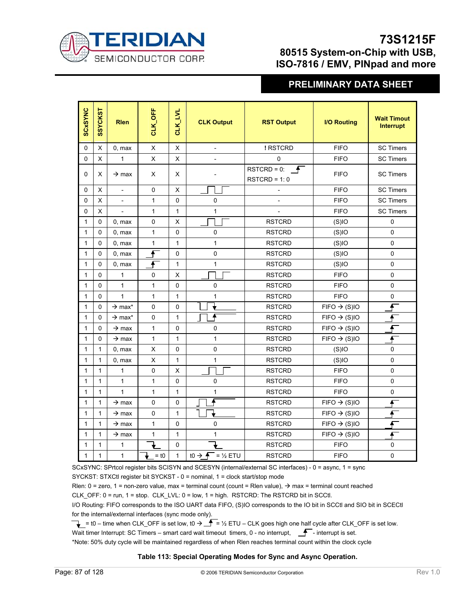

# **PRELIMINARY DATA SHEET**

| <b>SCxSYNC</b> | <b>SSYCKST</b> | <b>Rlen</b>                    | CLK_OFF            | <b>CLK_LVL</b> | <b>CLK Output</b>                  | <b>RST Output</b>                                     | <b>I/O Routing</b>       | <b>Wait Timout</b><br><b>Interrupt</b> |
|----------------|----------------|--------------------------------|--------------------|----------------|------------------------------------|-------------------------------------------------------|--------------------------|----------------------------------------|
| $\pmb{0}$      | X              | 0, max                         | X                  | X              |                                    | ! RSTCRD                                              | <b>FIFO</b>              | <b>SC Timers</b>                       |
| $\Omega$       | X              | $\mathbf{1}$                   | X                  | X              |                                    | 0                                                     | <b>FIFO</b>              | <b>SC Timers</b>                       |
| 0              | X              | $\rightarrow$ max              | X                  | X              |                                    | RSTCRD = 0: $\overline{\mathbf{P}}$<br>$RSTCRD = 1:0$ | <b>FIFO</b>              | <b>SC Timers</b>                       |
| 0              | X              | $\overline{a}$                 | 0                  | X              |                                    |                                                       | <b>FIFO</b>              | <b>SC Timers</b>                       |
| 0              | X              |                                | 1                  | 0              | 0                                  |                                                       | <b>FIFO</b>              | <b>SC Timers</b>                       |
| 0              | X              |                                | $\mathbf{1}$       | 1              | 1                                  |                                                       | <b>FIFO</b>              | <b>SC Timers</b>                       |
| $\mathbf{1}$   | 0              | 0, max                         | 0                  | X              |                                    | <b>RSTCRD</b>                                         | (S)IO                    | 0                                      |
| $\mathbf{1}$   | 0              | 0, max                         | 1                  | 0              | 0                                  | <b>RSTCRD</b>                                         | (S)IO                    | 0                                      |
| $\mathbf{1}$   | 0              | 0, max                         | 1                  | 1              | 1                                  | <b>RSTCRD</b>                                         | (S)IO                    | $\pmb{0}$                              |
| $\mathbf{1}$   | 0              | 0, max                         | $\overline{f}$     | 0              | 0                                  | <b>RSTCRD</b>                                         | (S)IO                    | 0                                      |
| $\mathbf{1}$   | $\Omega$       | 0, max                         | €                  | 1              | 1                                  | <b>RSTCRD</b>                                         | (S)IO                    | $\mathsf 0$                            |
| $\mathbf{1}$   | $\Omega$       | $\mathbf{1}$                   | 0                  | X              |                                    | <b>RSTCRD</b>                                         | <b>FIFO</b>              | $\mathsf 0$                            |
| $\mathbf{1}$   | 0              | $\mathbf{1}$                   | 1                  | 0              | 0                                  | <b>RSTCRD</b>                                         | <b>FIFO</b>              | $\pmb{0}$                              |
| $\mathbf{1}$   | 0              | $\mathbf{1}$                   | $\mathbf{1}$       | $\mathbf{1}$   | 1                                  | <b>RSTCRD</b>                                         | <b>FIFO</b>              | $\pmb{0}$                              |
| $\mathbf{1}$   | 0              | $\rightarrow$ max <sup>*</sup> | 0                  | 0              |                                    | <b>RSTCRD</b>                                         | $FIFO \rightarrow (S)IO$ | f                                      |
| $\mathbf{1}$   | 0              | $\rightarrow$ max <sup>*</sup> | 0                  | 1              |                                    | <b>RSTCRD</b>                                         | $FIFO \rightarrow (S)IO$ |                                        |
| $\mathbf{1}$   | 0              | $\rightarrow$ max              | 1                  | 0              | 0                                  | <b>RSTCRD</b>                                         | $FIFO \rightarrow (S)IO$ |                                        |
| $\mathbf{1}$   | 0              | $\rightarrow$ max              | 1                  | $\mathbf{1}$   | $\mathbf{1}$                       | <b>RSTCRD</b>                                         | $FIFO \rightarrow (S)IO$ | f                                      |
| $\mathbf{1}$   | $\mathbf{1}$   | 0, max                         | X                  | 0              | 0                                  | <b>RSTCRD</b>                                         | (S)IO                    | 0                                      |
| $\mathbf{1}$   | $\mathbf{1}$   | 0, max                         | X                  | $\mathbf{1}$   | 1                                  | <b>RSTCRD</b>                                         | (S)IO                    | 0                                      |
| $\mathbf{1}$   | 1              | $\mathbf{1}$                   | 0                  | X              |                                    | <b>RSTCRD</b>                                         | <b>FIFO</b>              | $\pmb{0}$                              |
| $\mathbf{1}$   | $\mathbf{1}$   | $\mathbf{1}$                   | 1                  | 0              | 0                                  | <b>RSTCRD</b>                                         | <b>FIFO</b>              | $\pmb{0}$                              |
| $\mathbf{1}$   | $\mathbf{1}$   | $\mathbf{1}$                   | 1                  | $\mathbf{1}$   | 1                                  | <b>RSTCRD</b>                                         | <b>FIFO</b>              | $\pmb{0}$                              |
| $\mathbf{1}$   | $\mathbf{1}$   | $\rightarrow$ max              | 0                  | 0              |                                    | <b>RSTCRD</b>                                         | $FIFO \rightarrow (S)IO$ | ∱                                      |
| $\mathbf{1}$   | $\mathbf{1}$   | $\rightarrow$ max              | 0                  | $\mathbf{1}$   |                                    | <b>RSTCRD</b>                                         | $FIFO \rightarrow (S)IO$ | Æ                                      |
| 1              | 1              | $\rightarrow$ max              | 1                  | 0              | 0                                  | <b>RSTCRD</b>                                         | $FIFO \rightarrow (S)IO$ |                                        |
| $\mathbf{1}$   | 1              | $\rightarrow$ max              | 1                  | 1              | 1                                  | <b>RSTCRD</b>                                         | $FIFO \rightarrow (S)IO$ |                                        |
| 1              | 1              | 1                              |                    | 0              |                                    | <b>RSTCRD</b>                                         | <b>FIFO</b>              | 0                                      |
| $\mathbf{1}$   | $\mathbf{1}$   | $\mathbf{1}$                   | $=$ t <sub>0</sub> | $\mathbf{1}$   | to $\rightarrow \bullet$ = 1/2 ETU | <b>RSTCRD</b>                                         | <b>FIFO</b>              | $\pmb{0}$                              |

SCxSYNC: SPrtcol register bits SCISYN and SCESYN (internal/external SC interfaces) - 0 = async, 1 = sync SYCKST: STXCtl register bit SYCKST - 0 = nominal, 1 = clock start/stop mode

Rlen: 0 = zero, 1 = non-zero value, max = terminal count (count = Rlen value),  $\rightarrow$  max = terminal count reached

CLK\_OFF: 0 = run, 1 = stop. CLK\_LVL: 0 = low, 1 = high. RSTCRD: The RSTCRD bit in SCCtl.

I/O Routing: FIFO corresponds to the ISO UART data FIFO, (S)IO corresponds to the IO bit in SCCtl and SIO bit in SCECtl for the internal/external interfaces (sync mode only).

 $\rightarrow$  = t0 – time when CLK\_OFF is set low, t0  $\rightarrow$   $\rightarrow$  = ½ ETU – CLK goes high one half cycle after CLK\_OFF is set low.

Wait timer Interrupt: SC Timers – smart card wait timeout timers, 0 - no interrupt,  $\Gamma$  - interrupt is set.

\*Note: 50% duty cycle will be maintained regardless of when Rlen reaches terminal count within the clock cycle

#### **Table 113: Special Operating Modes for Sync and Async Operation.**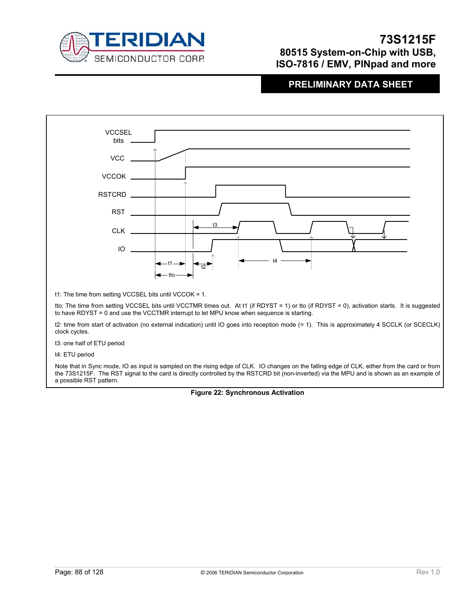

### **PRELIMINARY DATA SHEET**



t4: ETU period

Note that in Sync mode, IO as input is sampled on the rising edge of CLK. IO changes on the falling edge of CLK, either from the card or from the 73S1215F. The RST signal to the card is directly controlled by the RSTCRD bit (non-inverted) via the MPU and is shown as an example of a possible RST pattern.

**Figure 22: Synchronous Activation**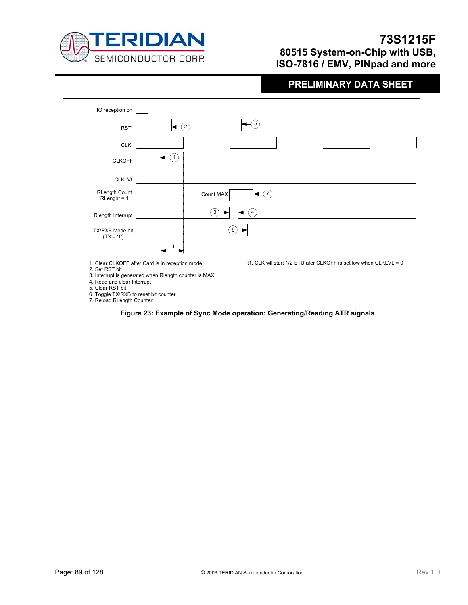

| IO reception on                                                                                                                         |                                                                                                                                                                               |
|-----------------------------------------------------------------------------------------------------------------------------------------|-------------------------------------------------------------------------------------------------------------------------------------------------------------------------------|
| <b>RST</b>                                                                                                                              | 5                                                                                                                                                                             |
| <b>CLK</b>                                                                                                                              |                                                                                                                                                                               |
| <b>CLKOFF</b>                                                                                                                           |                                                                                                                                                                               |
| <b>CLKLVL</b>                                                                                                                           |                                                                                                                                                                               |
| <b>RLength Count</b><br>$RLength = 1$                                                                                                   | Count MAX                                                                                                                                                                     |
| Rlength Interrupt                                                                                                                       | 3                                                                                                                                                                             |
| TX/RXB Mode bit<br>$(TX = '1')$                                                                                                         |                                                                                                                                                                               |
|                                                                                                                                         | t1                                                                                                                                                                            |
| 2. Set RST bit<br>4. Read and clear Interrupt<br>5. Clear RST bit<br>6. Toggle TX/RXB to reset bit counter<br>7. Reload RLength Counter | t1. CLK will start 1/2 ETU afer CLKOFF is set low when CLKLVL = 0<br>1. Clear CLKOFF after Card is in reception mode<br>3. Interrupt is generated when Rlength counter is MAX |

**Figure 23: Example of Sync Mode operation: Generating/Reading ATR signals**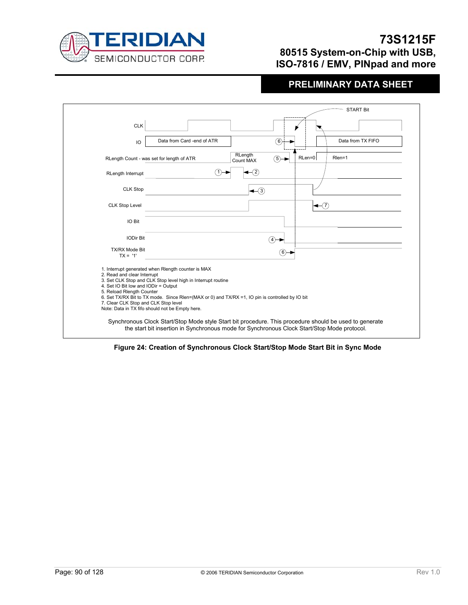

|                                                                                                                                                                                                                                                                                                                                                                                                                      |                                                                                                                                                                                                       |                                              |               |                          | <b>START Bit</b>  |  |
|----------------------------------------------------------------------------------------------------------------------------------------------------------------------------------------------------------------------------------------------------------------------------------------------------------------------------------------------------------------------------------------------------------------------|-------------------------------------------------------------------------------------------------------------------------------------------------------------------------------------------------------|----------------------------------------------|---------------|--------------------------|-------------------|--|
| <b>CLK</b>                                                                                                                                                                                                                                                                                                                                                                                                           |                                                                                                                                                                                                       |                                              |               |                          |                   |  |
| IO                                                                                                                                                                                                                                                                                                                                                                                                                   | Data from Card -end of ATR                                                                                                                                                                            |                                              | (6)           |                          | Data from TX FIFO |  |
|                                                                                                                                                                                                                                                                                                                                                                                                                      | RLength Count - was set for length of ATR                                                                                                                                                             | RLength<br>Count MAX                         | (5)-          | RLen=0                   | Rlen=1            |  |
| RLength Interrupt                                                                                                                                                                                                                                                                                                                                                                                                    |                                                                                                                                                                                                       | $\left( 2\right)$                            |               |                          |                   |  |
| <b>CLK Stop</b>                                                                                                                                                                                                                                                                                                                                                                                                      |                                                                                                                                                                                                       | $\blacktriangleleft$ $\widehat{\phantom{a}}$ |               |                          |                   |  |
| <b>CLK Stop Level</b>                                                                                                                                                                                                                                                                                                                                                                                                |                                                                                                                                                                                                       |                                              |               | $\blacktriangleleft$ (7) |                   |  |
| IO Bit                                                                                                                                                                                                                                                                                                                                                                                                               |                                                                                                                                                                                                       |                                              |               |                          |                   |  |
| <b>IODir Bit</b>                                                                                                                                                                                                                                                                                                                                                                                                     |                                                                                                                                                                                                       |                                              | $^{\prime}$ 4 |                          |                   |  |
| <b>TX/RX Mode Bit</b><br>$TX = '1'$                                                                                                                                                                                                                                                                                                                                                                                  | (6)⊣                                                                                                                                                                                                  |                                              |               |                          |                   |  |
| 1. Interrupt generated when Rlength counter is MAX<br>2. Read and clear Interrupt<br>3. Set CLK Stop and CLK Stop level high in Interrupt routine<br>4. Set IO Bit low and IODir = Output<br>5. Reload Riength Counter<br>6. Set TX/RX Bit to TX mode. Since Rlen=(MAX or 0) and TX/RX =1, IO pin is controlled by IO bit<br>7. Clear CLK Stop and CLK Stop level<br>Note: Data in TX fifo should not be Empty here. |                                                                                                                                                                                                       |                                              |               |                          |                   |  |
|                                                                                                                                                                                                                                                                                                                                                                                                                      | Synchronous Clock Start/Stop Mode style Start bit procedure. This procedure should be used to generate<br>the start bit insertion in Synchronous mode for Synchronous Clock Start/Stop Mode protocol. |                                              |               |                          |                   |  |

**Figure 24: Creation of Synchronous Clock Start/Stop Mode Start Bit in Sync Mode**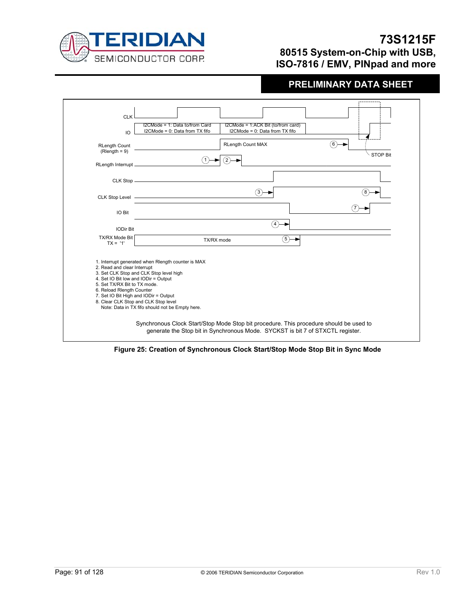



**Figure 25: Creation of Synchronous Clock Start/Stop Mode Stop Bit in Sync Mode**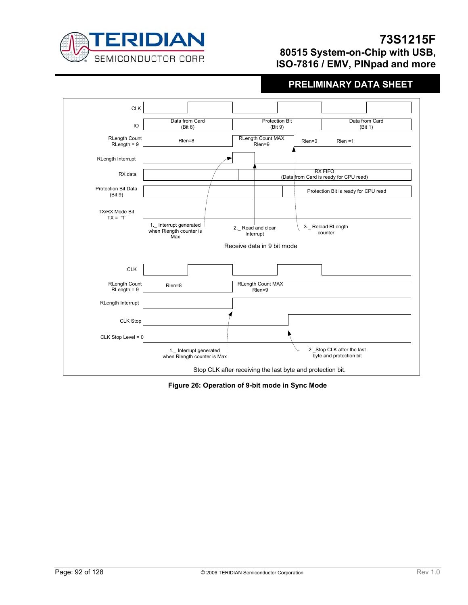



**Figure 26: Operation of 9-bit mode in Sync Mode**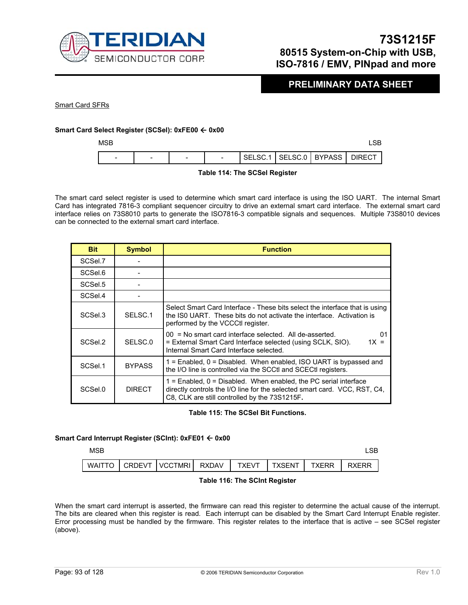

### **PRELIMINARY DATA SHEET**

Smart Card SFRs

#### **Smart Card Select Register (SCSel): 0xFE00** Å **0x00**

 $MSB$  and  $MSB$  and  $MSB$  and  $MSB$  and  $MSB$  and  $MSB$  and  $MSB$  and  $MSB$  and  $MSB$  and  $MSB$  and  $MSB$  and  $MSB$  and  $MSB$  and  $MSB$  and  $MSB$  and  $MSB$  and  $MSB$  and  $MSB$  and  $MSB$  and  $MSB$  and  $MSB$  and  $MSB$  and  $MSB$  and  $MSB$  and  $MSB$ 

| SELSC.1   SELSC.0   BYPASS   DIRECT<br>$\sim$<br>$\overline{\phantom{a}}$<br>$\overline{\phantom{a}}$<br>- |  |  |  |  |
|------------------------------------------------------------------------------------------------------------|--|--|--|--|
|                                                                                                            |  |  |  |  |

#### **Table 114: The SCSel Register**

The smart card select register is used to determine which smart card interface is using the ISO UART. The internal Smart Card has integrated 7816-3 compliant sequencer circuitry to drive an external smart card interface. The external smart card interface relies on 73S8010 parts to generate the ISO7816-3 compatible signals and sequences. Multiple 73S8010 devices can be connected to the external smart card interface.

| <b>Bit</b> | <b>Symbol</b> | <b>Function</b>                                                                                                                                                                                    |
|------------|---------------|----------------------------------------------------------------------------------------------------------------------------------------------------------------------------------------------------|
| SCSel.7    |               |                                                                                                                                                                                                    |
| SCSel.6    |               |                                                                                                                                                                                                    |
| SCSel.5    |               |                                                                                                                                                                                                    |
| SCSel.4    |               |                                                                                                                                                                                                    |
| SCSel.3    | SELSC.1       | Select Smart Card Interface - These bits select the interface that is using<br>the ISO UART. These bits do not activate the interface. Activation is<br>performed by the VCCCtl register.          |
| SCSel.2    | SELSC.0       | $00 = No$ smart card interface selected. All de-asserted.<br>01<br>= External Smart Card Interface selected (using SCLK, SIO).<br>$1X =$<br>Internal Smart Card Interface selected.                |
| SCSel.1    | <b>BYPASS</b> | $1$ = Enabled, $0$ = Disabled. When enabled, ISO UART is bypassed and<br>the I/O line is controlled via the SCCtI and SCECtI registers.                                                            |
| SCSel.0    | <b>DIRECT</b> | $1$ = Enabled, $0$ = Disabled. When enabled, the PC serial interface<br>directly controls the I/O line for the selected smart card. VCC, RST, C4,<br>C8, CLK are still controlled by the 73S1215F. |

#### **Table 115: The SCSel Bit Functions.**

#### **Smart Card Interrupt Register (SCInt): 0xFE01** Å **0x00**

 $MSB$  and  $MSB$  and  $MSB$  and  $MSB$  and  $MSB$  and  $MSB$  and  $MSB$  and  $MSB$  and  $MSB$  and  $MSB$  and  $MSB$  and  $MSB$  and  $MSB$  and  $MSB$  and  $MSB$  and  $MSB$  and  $MSB$  and  $MSB$  and  $MSB$  and  $MSB$  and  $MSB$  and  $MSB$  and  $MSB$  and  $MSB$  and  $MSB$ 

|  | WAITTO I CRDEVT I VCCTMRI I RXDAV I 1 | <b>TXEVT</b> | $T$ I TXSENT I $\sim$ | <b>TXFRR</b> | <b>RXFRR</b> |
|--|---------------------------------------|--------------|-----------------------|--------------|--------------|

#### **Table 116: The SCInt Register**

When the smart card interrupt is asserted, the firmware can read this register to determine the actual cause of the interrupt. The bits are cleared when this register is read. Each interrupt can be disabled by the Smart Card Interrupt Enable register. Error processing must be handled by the firmware. This register relates to the interface that is active – see SCSel register (above).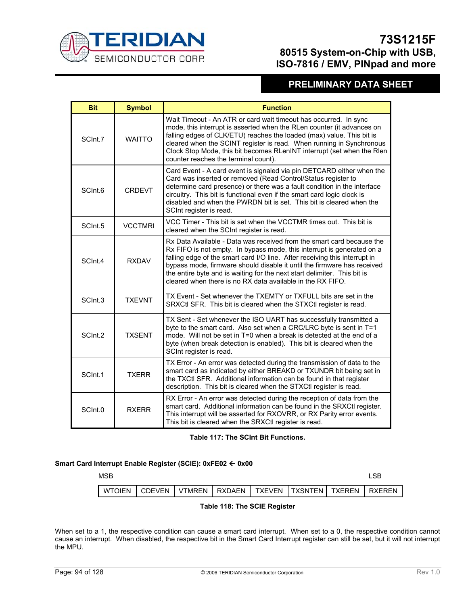

## **PRELIMINARY DATA SHEET**

| <b>Bit</b> | <b>Symbol</b>  | <b>Function</b>                                                                                                                                                                                                                                                                                                                                                                                                                                    |
|------------|----------------|----------------------------------------------------------------------------------------------------------------------------------------------------------------------------------------------------------------------------------------------------------------------------------------------------------------------------------------------------------------------------------------------------------------------------------------------------|
| SCInt.7    | <b>WAITTO</b>  | Wait Timeout - An ATR or card wait timeout has occurred. In sync<br>mode, this interrupt is asserted when the RLen counter (it advances on<br>falling edges of CLK/ETU) reaches the loaded (max) value. This bit is<br>cleared when the SCINT register is read. When running in Synchronous<br>Clock Stop Mode, this bit becomes RLenINT interrupt (set when the Rlen<br>counter reaches the terminal count).                                      |
| SCInt.6    | <b>CRDEVT</b>  | Card Event - A card event is signaled via pin DETCARD either when the<br>Card was inserted or removed (Read Control/Status register to<br>determine card presence) or there was a fault condition in the interface<br>circuitry. This bit is functional even if the smart card logic clock is<br>disabled and when the PWRDN bit is set. This bit is cleared when the<br>SCInt register is read.                                                   |
| SCInt.5    | <b>VCCTMRI</b> | VCC Timer - This bit is set when the VCCTMR times out. This bit is<br>cleared when the SCInt register is read.                                                                                                                                                                                                                                                                                                                                     |
| SCInt.4    | <b>RXDAV</b>   | Rx Data Available - Data was received from the smart card because the<br>Rx FIFO is not empty. In bypass mode, this interrupt is generated on a<br>falling edge of the smart card I/O line. After receiving this interrupt in<br>bypass mode, firmware should disable it until the firmware has received<br>the entire byte and is waiting for the next start delimiter. This bit is<br>cleared when there is no RX data available in the RX FIFO. |
| SCInt.3    | <b>TXEVNT</b>  | TX Event - Set whenever the TXEMTY or TXFULL bits are set in the<br>SRXCtl SFR. This bit is cleared when the STXCtl register is read.                                                                                                                                                                                                                                                                                                              |
| SCInt.2    | <b>TXSENT</b>  | TX Sent - Set whenever the ISO UART has successfully transmitted a<br>byte to the smart card. Also set when a CRC/LRC byte is sent in T=1<br>mode. Will not be set in T=0 when a break is detected at the end of a<br>byte (when break detection is enabled). This bit is cleared when the<br>SCInt register is read.                                                                                                                              |
| SCInt.1    | <b>TXERR</b>   | TX Error - An error was detected during the transmission of data to the<br>smart card as indicated by either BREAKD or TXUNDR bit being set in<br>the TXCtl SFR. Additional information can be found in that register<br>description. This bit is cleared when the STXCtl register is read.                                                                                                                                                        |
| SCInt.0    | <b>RXERR</b>   | RX Error - An error was detected during the reception of data from the<br>smart card. Additional information can be found in the SRXCtl register.<br>This interrupt will be asserted for RXOVRR, or RX Parity error events.<br>This bit is cleared when the SRXCtl register is read.                                                                                                                                                               |

#### **Table 117: The SCInt Bit Functions.**

#### **Smart Card Interrupt Enable Register (SCIE): 0xFE02** Å **0x00**

| <b>MSB</b> |  |  |                                                                        | .SB |
|------------|--|--|------------------------------------------------------------------------|-----|
|            |  |  | WTOIEN   CDEVEN   VTMREN   RXDAEN   TXEVEN   TXSNTEN   TXEREN   RXEREN |     |
|            |  |  |                                                                        |     |

 **Table 118: The SCIE Register** 

When set to a 1, the respective condition can cause a smart card interrupt. When set to a 0, the respective condition cannot cause an interrupt. When disabled, the respective bit in the Smart Card Interrupt register can still be set, but it will not interrupt the MPU.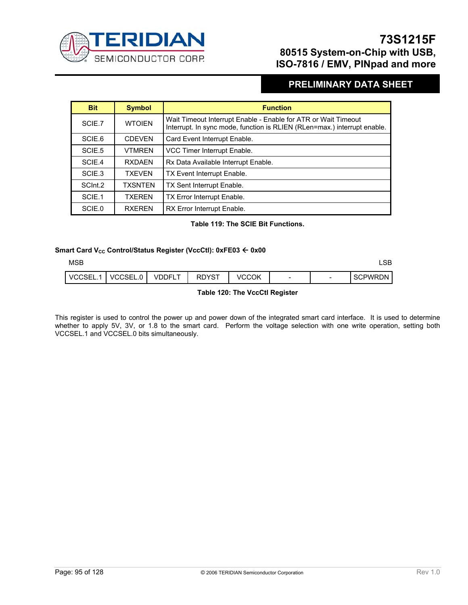

## **PRELIMINARY DATA SHEET**

| <b>Bit</b> | <b>Symbol</b> | <b>Function</b>                                                                                                                            |
|------------|---------------|--------------------------------------------------------------------------------------------------------------------------------------------|
| SCIE.7     | <b>WTOIEN</b> | Wait Timeout Interrupt Enable - Enable for ATR or Wait Timeout<br>Interrupt. In sync mode, function is RLIEN (RLen=max.) interrupt enable. |
| SCIE.6     | <b>CDEVEN</b> | Card Event Interrupt Enable.                                                                                                               |
| SCIE.5     | <b>VTMRFN</b> | VCC Timer Interrupt Enable.                                                                                                                |
| SCIE.4     | <b>RXDAFN</b> | Rx Data Available Interrupt Enable.                                                                                                        |
| SCIE.3     | <b>TXFVFN</b> | TX Event Interrupt Enable.                                                                                                                 |
| SCInt.2    | TXSNTEN       | TX Sent Interrupt Enable.                                                                                                                  |
| SCIE.1     | <b>TXFRFN</b> | TX Error Interrupt Enable.                                                                                                                 |
| SCIE.0     | <b>RXFRFN</b> | RX Error Interrupt Enable.                                                                                                                 |

#### **Table 119: The SCIE Bit Functions.**

#### **Smart Card V<sub>cc</sub> Control/Status Register (VccCtl): 0xFE03 ← 0x00**

| <b>MSB</b> |          |        |              |              |   |                          | ∟SB            |
|------------|----------|--------|--------------|--------------|---|--------------------------|----------------|
| VCCSEL.    | VCCSEL.0 | VDDFLT | <b>RDYST</b> | <b>VCCOK</b> | - | $\overline{\phantom{0}}$ | <b>SCPWRDN</b> |

#### **Table 120: The VccCtl Register**

This register is used to control the power up and power down of the integrated smart card interface. It is used to determine whether to apply 5V, 3V, or 1.8 to the smart card. Perform the voltage selection with one write operation, setting both VCCSEL.1 and VCCSEL.0 bits simultaneously.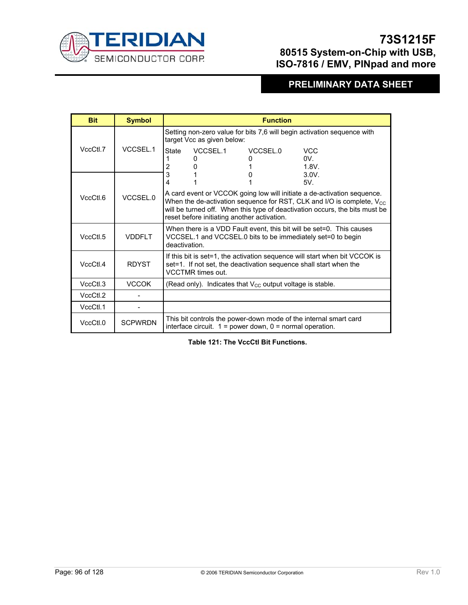

## **PRELIMINARY DATA SHEET**

| <b>Bit</b> | <b>Symbol</b>  | <b>Function</b>                                                                                                                                                                                                                                                                            |  |  |  |  |
|------------|----------------|--------------------------------------------------------------------------------------------------------------------------------------------------------------------------------------------------------------------------------------------------------------------------------------------|--|--|--|--|
|            |                | Setting non-zero value for bits 7,6 will begin activation sequence with<br>target Vcc as given below:                                                                                                                                                                                      |  |  |  |  |
| VccCtl.7   | VCCSEL.1       | VCCSEL.1<br>VCCSEL.0<br><b>VCC</b><br>State<br>$0V_{-}$<br>0<br>2<br>1.8V.                                                                                                                                                                                                                 |  |  |  |  |
|            |                | 3<br>3.0V <sub>1</sub><br>4<br>5V <sub>1</sub>                                                                                                                                                                                                                                             |  |  |  |  |
| VccCtl.6   | VCCSEL.0       | A card event or VCCOK going low will initiate a de-activation sequence.<br>When the de-activation sequence for RST, CLK and I/O is complete, $V_{\text{CC}}$<br>will be turned off. When this type of deactivation occurs, the bits must be<br>reset before initiating another activation. |  |  |  |  |
| VccCtl.5   | <b>VDDFIT</b>  | When there is a VDD Fault event, this bit will be set=0. This causes<br>VCCSEL.1 and VCCSEL.0 bits to be immediately set=0 to begin<br>deactivation.                                                                                                                                       |  |  |  |  |
| VccCH.4    | <b>RDYST</b>   | If this bit is set=1, the activation sequence will start when bit VCCOK is<br>set=1. If not set, the deactivation sequence shall start when the<br><b>VCCTMR</b> times out.                                                                                                                |  |  |  |  |
| VccCtL3    | <b>VCCOK</b>   | (Read only). Indicates that $V_{CC}$ output voltage is stable.                                                                                                                                                                                                                             |  |  |  |  |
| VccCtl.2   |                |                                                                                                                                                                                                                                                                                            |  |  |  |  |
| VccCtl.1   |                |                                                                                                                                                                                                                                                                                            |  |  |  |  |
| VccCtl.0   | <b>SCPWRDN</b> | This bit controls the power-down mode of the internal smart card<br>interface circuit. $1 = power$ down, $0 = normal$ operation.                                                                                                                                                           |  |  |  |  |

**Table 121: The VccCtl Bit Functions.**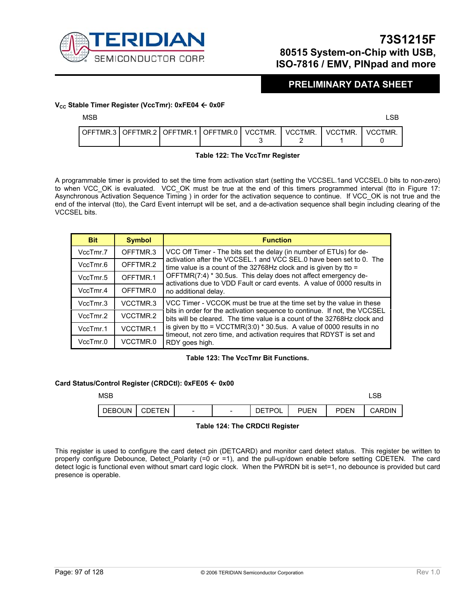

### **PRELIMINARY DATA SHEET**

#### **V<sub>cc</sub> Stable Timer Register (VccTmr): 0xFE04 ← 0x0F**

| <b>MSB</b> |  |  |  | <b>~~</b><br>∟∪∟ |
|------------|--|--|--|------------------|
|            |  |  |  |                  |

|  | OFFTMR.3 OFFTMR.2 OFFTMR.1 OFFTMR.0 VCCTMR. | VCCTMR. | VCCTMR. | VCCTMR. |
|--|---------------------------------------------|---------|---------|---------|
|  |                                             |         |         |         |

#### **Table 122: The VccTmr Register**

A programmable timer is provided to set the time from activation start (setting the VCCSEL.1and VCCSEL.0 bits to non-zero) to when VCC\_OK is evaluated. VCC\_OK must be true at the end of this timers programmed interval (tto in Figure 17: Asynchronous Activation Sequence Timing ) in order for the activation sequence to continue. If VCC\_OK is not true and the end of the interval (tto), the Card Event interrupt will be set, and a de-activation sequence shall begin including clearing of the VCCSEL bits.

| <b>Bit</b> | <b>Symbol</b> | <b>Function</b>                                                                                                                                       |
|------------|---------------|-------------------------------------------------------------------------------------------------------------------------------------------------------|
| VccTmr.7   | OFFTMR.3      | VCC Off Timer - The bits set the delay (in number of ETUs) for de-                                                                                    |
| VccTmr.6   | OFFTMR.2      | activation after the VCCSEL.1 and VCC SEL.0 have been set to 0. The<br>time value is a count of the 32768Hz clock and is given by tto $=$             |
| VccTmr.5   | OFFTMR.1      | OFFTMR(7:4) * 30.5us. This delay does not affect emergency de-<br>activations due to VDD Fault or card events. A value of 0000 results in             |
| VccTmr.4   | OFFTMR.0      | no additional delay.                                                                                                                                  |
| VccTmr.3   | VCCTMR.3      | VCC Timer - VCCOK must be true at the time set by the value in these                                                                                  |
| VccTmr.2   | VCCTMR.2      | bits in order for the activation sequence to continue. If not, the VCCSEL<br>bits will be cleared. The time value is a count of the 32768Hz clock and |
| VccTmr.1   | VCCTMR.1      | is given by tto = $VCCTMR(3:0) * 30.5us$ . A value of 0000 results in no<br>timeout, not zero time, and activation requires that RDYST is set and     |
| VccTmr.0   | VCCTMR.0      | RDY goes high.                                                                                                                                        |

#### **Table 123: The VccTmr Bit Functions.**

#### **Card Status/Control Register (CRDCtl): 0xFE05** Å **0x00**

| <b>MSB</b>    |        |   |                          |               |             |             | LSB    |
|---------------|--------|---|--------------------------|---------------|-------------|-------------|--------|
| <b>DEBOUN</b> | CDETEN | - | $\overline{\phantom{0}}$ | <b>DETPOL</b> | <b>PUEN</b> | <b>PDEN</b> | CARDIN |

#### **Table 124: The CRDCtl Register**

This register is used to configure the card detect pin (DETCARD) and monitor card detect status. This register be written to properly configure Debounce, Detect Polarity (=0 or =1), and the pull-up/down enable before setting CDETEN. The card detect logic is functional even without smart card logic clock. When the PWRDN bit is set=1, no debounce is provided but card presence is operable.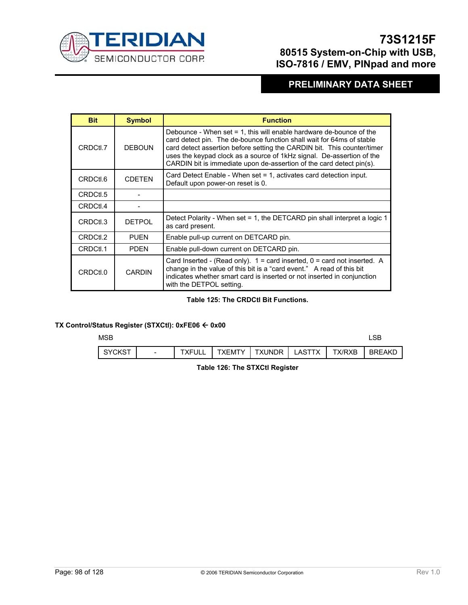

## **PRELIMINARY DATA SHEET**

| <b>Bit</b> | <b>Symbol</b> | <b>Function</b>                                                                                                                                                                                                                                                                                                                                                             |
|------------|---------------|-----------------------------------------------------------------------------------------------------------------------------------------------------------------------------------------------------------------------------------------------------------------------------------------------------------------------------------------------------------------------------|
| CRDCtl.7   | <b>DEBOUN</b> | Debounce - When set $= 1$ , this will enable hardware de-bounce of the<br>card detect pin. The de-bounce function shall wait for 64ms of stable<br>card detect assertion before setting the CARDIN bit. This counter/timer<br>uses the keypad clock as a source of 1kHz signal. De-assertion of the<br>CARDIN bit is immediate upon de-assertion of the card detect pin(s). |
| CRDCtl.6   | <b>CDETEN</b> | Card Detect Enable - When set = 1, activates card detection input.<br>Default upon power-on reset is 0.                                                                                                                                                                                                                                                                     |
| CRDCtl.5   |               |                                                                                                                                                                                                                                                                                                                                                                             |
| CRDCtl.4   |               |                                                                                                                                                                                                                                                                                                                                                                             |
| CRDCtl.3   | <b>DETPOL</b> | Detect Polarity - When set = 1, the DETCARD pin shall interpret a logic 1<br>as card present.                                                                                                                                                                                                                                                                               |
| CRDCtl.2   | <b>PUEN</b>   | Enable pull-up current on DETCARD pin.                                                                                                                                                                                                                                                                                                                                      |
| CRDCtl.1   | <b>PDFN</b>   | Enable pull-down current on DETCARD pin.                                                                                                                                                                                                                                                                                                                                    |
| CRDCtl.0   | <b>CARDIN</b> | Card Inserted - (Read only). $1 = \text{card}$ inserted, $0 = \text{card}$ not inserted. A<br>change in the value of this bit is a "card event." A read of this bit<br>indicates whether smart card is inserted or not inserted in conjunction<br>with the DETPOL setting.                                                                                                  |

#### **Table 125: The CRDCtl Bit Functions.**

#### **TX Control/Status Register (STXCtl): 0xFE06** Å **0x00**

#### $MSB$  and  $MSB$  and  $MSB$  and  $MSB$  and  $MSB$  and  $MSB$  and  $MSB$  and  $MSB$  and  $MSB$  and  $MSB$  and  $MSB$  and  $MSB$  and  $MSB$  and  $MSB$  and  $MSB$  and  $MSB$  and  $MSB$  and  $MSB$  and  $MSB$  and  $MSB$  and  $MSB$  and  $MSB$  and  $MSB$  and  $MSB$  and  $MSB$

| SYCKS <sup>-</sup> | $\overline{\phantom{0}}$ | <b>TXFULL</b> | `XFMTY | <b>TXUNDR</b> | ΤХ<br>_AST | TX/RXB | <b>BREAKL</b> |
|--------------------|--------------------------|---------------|--------|---------------|------------|--------|---------------|

 **Table 126: The STXCtl Register**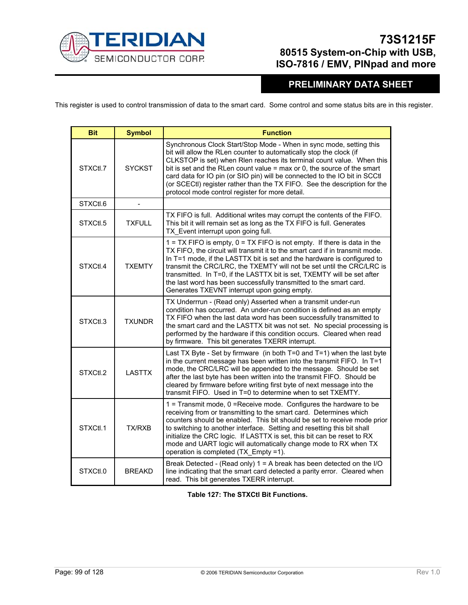

# **PRELIMINARY DATA SHEET**

This register is used to control transmission of data to the smart card. Some control and some status bits are in this register.

| <b>Bit</b> | <b>Symbol</b> | <b>Function</b>                                                                                                                                                                                                                                                                                                                                                                                                                                                                                                |
|------------|---------------|----------------------------------------------------------------------------------------------------------------------------------------------------------------------------------------------------------------------------------------------------------------------------------------------------------------------------------------------------------------------------------------------------------------------------------------------------------------------------------------------------------------|
| STXCtl.7   | <b>SYCKST</b> | Synchronous Clock Start/Stop Mode - When in sync mode, setting this<br>bit will allow the RLen counter to automatically stop the clock (if<br>CLKSTOP is set) when Rlen reaches its terminal count value. When this<br>bit is set and the RLen count value $=$ max or 0, the source of the smart<br>card data for IO pin (or SIO pin) will be connected to the IO bit in SCCtI<br>(or SCECtl) register rather than the TX FIFO. See the description for the<br>protocol mode control register for more detail. |
| STXCtl.6   |               |                                                                                                                                                                                                                                                                                                                                                                                                                                                                                                                |
| STXCtl.5   | <b>TXFULL</b> | TX FIFO is full. Additional writes may corrupt the contents of the FIFO.<br>This bit it will remain set as long as the TX FIFO is full. Generates<br>TX Event interrupt upon going full.                                                                                                                                                                                                                                                                                                                       |
| STXCtl.4   | <b>TXEMTY</b> | 1 = TX FIFO is empty, 0 = TX FIFO is not empty. If there is data in the<br>TX FIFO, the circuit will transmit it to the smart card if in transmit mode.<br>In T=1 mode, if the LASTTX bit is set and the hardware is configured to<br>transmit the CRC/LRC, the TXEMTY will not be set until the CRC/LRC is<br>transmitted. In T=0, if the LASTTX bit is set, TXEMTY will be set after<br>the last word has been successfully transmitted to the smart card.<br>Generates TXEVNT interrupt upon going empty.   |
| STXCtl.3   | <b>TXUNDR</b> | TX Underrrun - (Read only) Asserted when a transmit under-run<br>condition has occurred. An under-run condition is defined as an empty<br>TX FIFO when the last data word has been successfully transmitted to<br>the smart card and the LASTTX bit was not set. No special processing is<br>performed by the hardware if this condition occurs. Cleared when read<br>by firmware. This bit generates TXERR interrupt.                                                                                         |
| STXCtl.2   | <b>LASTTX</b> | Last TX Byte - Set by firmware (in both $T=0$ and $T=1$ ) when the last byte<br>in the current message has been written into the transmit FIFO. In T=1<br>mode, the CRC/LRC will be appended to the message. Should be set<br>after the last byte has been written into the transmit FIFO. Should be<br>cleared by firmware before writing first byte of next message into the<br>transmit FIFO. Used in T=0 to determine when to set TXEMTY.                                                                  |
| STXCtl.1   | TX/RXB        | 1 = Transmit mode, 0 = Receive mode. Configures the hardware to be<br>receiving from or transmitting to the smart card. Determines which<br>counters should be enabled. This bit should be set to receive mode prior<br>to switching to another interface. Setting and resetting this bit shall<br>initialize the CRC logic. If LASTTX is set, this bit can be reset to RX<br>mode and UART logic will automatically change mode to RX when TX<br>operation is completed (TX Empty =1).                        |
| STXCtl.0   | <b>BREAKD</b> | Break Detected - (Read only) 1 = A break has been detected on the I/O<br>line indicating that the smart card detected a parity error. Cleared when<br>read. This bit generates TXERR interrupt.                                                                                                                                                                                                                                                                                                                |

**Table 127: The STXCtl Bit Functions.**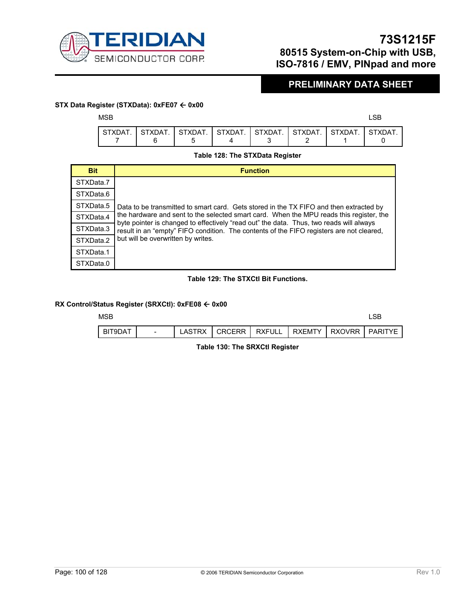

## **PRELIMINARY DATA SHEET**

#### **STX Data Register (STXData): 0xFE07** Å **0x00**

 $MSB$  and  $MSB$  and  $MSB$  and  $MSB$  and  $MSB$  and  $MSB$  and  $MSB$  and  $MSB$  and  $MSB$  and  $MSB$  and  $MSB$  and  $MSB$  and  $MSB$  and  $MSB$  and  $MSB$  and  $MSB$  and  $MSB$  and  $MSB$  and  $MSB$  and  $MSB$  and  $MSB$  and  $MSB$  and  $MSB$  and  $MSB$  and  $MSB$ 

|  | stxdat. I stxdat. I stxdat. I stxdat. I stxdat. I stxdat. I stxdat. I stxdat |  |  |
|--|------------------------------------------------------------------------------|--|--|
|  |                                                                              |  |  |

#### **Table 128: The STXData Register**

| <b>Bit</b> | <b>Function</b>                                                                                                                                                                    |
|------------|------------------------------------------------------------------------------------------------------------------------------------------------------------------------------------|
| STXData.7  |                                                                                                                                                                                    |
| STXData.6  |                                                                                                                                                                                    |
| STXData.5  | Data to be transmitted to smart card. Gets stored in the TX FIFO and then extracted by                                                                                             |
| STXData.4  | the hardware and sent to the selected smart card. When the MPU reads this register, the<br>byte pointer is changed to effectively "read out" the data. Thus, two reads will always |
| STXData.3  | result in an "empty" FIFO condition. The contents of the FIFO registers are not cleared,                                                                                           |
| STXData.2  | but will be overwritten by writes.                                                                                                                                                 |
| STXData.1  |                                                                                                                                                                                    |
| STXData.0  |                                                                                                                                                                                    |

#### **Table 129: The STXCtl Bit Functions.**

#### **RX Control/Status Register (SRXCtl): 0xFE08** Å **0x00**

| <b>MSB</b> |                          |        |                 |        |                     | .SB     |
|------------|--------------------------|--------|-----------------|--------|---------------------|---------|
| BIT9DAT    | $\overline{\phantom{0}}$ | LASTRX | <b>CRCERR I</b> | RXFULL | I RXEMTY I RXOVRR I | PARITYF |

 **Table 130: The SRXCtl Register**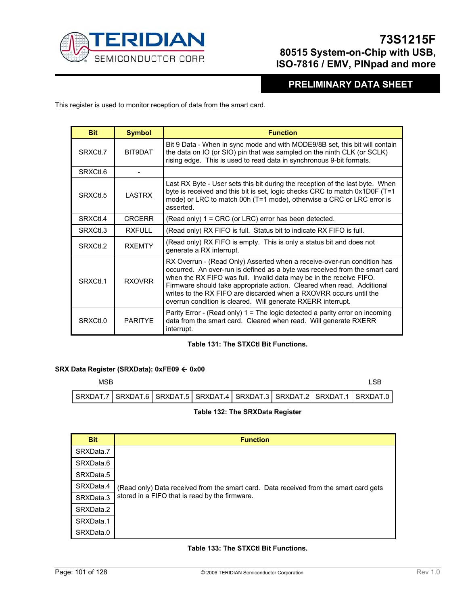

### **PRELIMINARY DATA SHEET**

This register is used to monitor reception of data from the smart card.

| <b>Bit</b> | <b>Symbol</b>  | <b>Function</b>                                                                                                                                                                                                                                                                                                                                                                                                                               |
|------------|----------------|-----------------------------------------------------------------------------------------------------------------------------------------------------------------------------------------------------------------------------------------------------------------------------------------------------------------------------------------------------------------------------------------------------------------------------------------------|
| SRXCtl.7   | BIT9DAT        | Bit 9 Data - When in sync mode and with MODE9/8B set, this bit will contain<br>the data on IO (or SIO) pin that was sampled on the ninth CLK (or SCLK)<br>rising edge. This is used to read data in synchronous 9-bit formats.                                                                                                                                                                                                                |
| SRXCtl.6   |                |                                                                                                                                                                                                                                                                                                                                                                                                                                               |
| SRXCtl.5   | <b>LASTRX</b>  | Last RX Byte - User sets this bit during the reception of the last byte. When<br>byte is received and this bit is set, logic checks CRC to match 0x1D0F (T=1<br>mode) or LRC to match 00h (T=1 mode), otherwise a CRC or LRC error is<br>asserted.                                                                                                                                                                                            |
| SRXCtl.4   | <b>CRCERR</b>  | (Read only) $1 = CRC$ (or LRC) error has been detected.                                                                                                                                                                                                                                                                                                                                                                                       |
| SRXCtl.3   | RXFULL         | (Read only) RX FIFO is full. Status bit to indicate RX FIFO is full.                                                                                                                                                                                                                                                                                                                                                                          |
| SRXCtl.2   | <b>RXFMTY</b>  | (Read only) RX FIFO is empty. This is only a status bit and does not<br>generate a RX interrupt.                                                                                                                                                                                                                                                                                                                                              |
| SRXCtl.1   | <b>RXOVRR</b>  | RX Overrun - (Read Only) Asserted when a receive-over-run condition has<br>occurred. An over-run is defined as a byte was received from the smart card<br>when the RX FIFO was full. Invalid data may be in the receive FIFO.<br>Firmware should take appropriate action. Cleared when read. Additional<br>writes to the RX FIFO are discarded when a RXOVRR occurs until the<br>overrun condition is cleared. Will generate RXERR interrupt. |
| SRXCtl.0   | <b>PARITYF</b> | Parity Error - (Read only) $1 =$ The logic detected a parity error on incoming<br>data from the smart card. Cleared when read. Will generate RXERR<br>interrupt.                                                                                                                                                                                                                                                                              |

#### **Table 131: The STXCtl Bit Functions.**

#### **SRX Data Register (SRXData): 0xFE09** Å **0x00**

| MSB                                                                                   |  |  |  | I SB |
|---------------------------------------------------------------------------------------|--|--|--|------|
| SRXDAT.7   SRXDAT.6   SRXDAT.5   SRXDAT.4   SRXDAT.3   SRXDAT.2   SRXDAT.1   SRXDAT.0 |  |  |  |      |

#### **Table 132: The SRXData Register**

| <b>Bit</b> | <b>Function</b>                                                                       |
|------------|---------------------------------------------------------------------------------------|
| SRXData.7  |                                                                                       |
| SRXData.6  |                                                                                       |
| SRXData.5  |                                                                                       |
| SRXData.4  | (Read only) Data received from the smart card. Data received from the smart card gets |
| SRXData.3  | stored in a FIFO that is read by the firmware.                                        |
| SRXData.2  |                                                                                       |
| SRXData.1  |                                                                                       |
| SRXData.0  |                                                                                       |

#### **Table 133: The STXCtl Bit Functions.**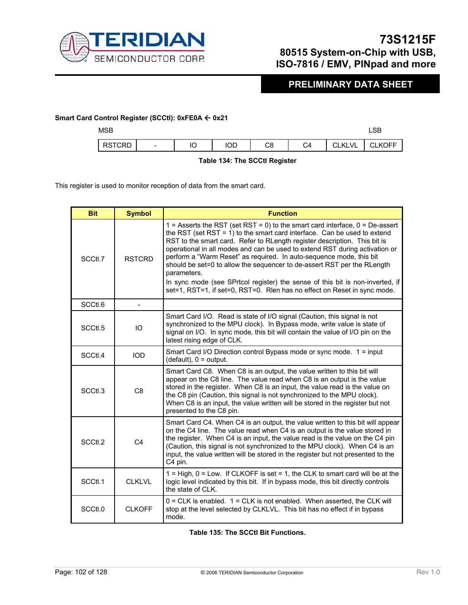

# **PRELIMINARY DATA SHEET**

#### Smart Card Control Register (SCCtI): 0xFE0A ← 0x21

| <b>MSB</b>    |                          |    |     |    |    |               | <b>CD</b><br>LSB |
|---------------|--------------------------|----|-----|----|----|---------------|------------------|
| <b>RSTCRD</b> | $\overline{\phantom{a}}$ | IO | IOD | C8 | C4 | <b>CLKLVL</b> | JLKOFF           |

 **Table 134: The SCCtl Register** 

This register is used to monitor reception of data from the smart card.

| <b>Bit</b> | <b>Symbol</b>  | <b>Function</b>                                                                                                                                                                                                                                                                                                                                                                                                                                                                                                                                                                                                                                       |
|------------|----------------|-------------------------------------------------------------------------------------------------------------------------------------------------------------------------------------------------------------------------------------------------------------------------------------------------------------------------------------------------------------------------------------------------------------------------------------------------------------------------------------------------------------------------------------------------------------------------------------------------------------------------------------------------------|
| SCCtl.7    | <b>RSTCRD</b>  | 1 = Asserts the RST (set RST = 0) to the smart card interface, $0 = De$ -assert<br>the RST (set RST = 1) to the smart card interface. Can be used to extend<br>RST to the smart card. Refer to RLength register description. This bit is<br>operational in all modes and can be used to extend RST during activation or<br>perform a "Warm Reset" as required. In auto-sequence mode, this bit<br>should be set=0 to allow the sequencer to de-assert RST per the RLength<br>parameters.<br>In sync mode (see SPrtcol register) the sense of this bit is non-inverted, if<br>set=1, RST=1, if set=0, RST=0. Rlen has no effect on Reset in sync mode. |
| SCCtl.6    |                |                                                                                                                                                                                                                                                                                                                                                                                                                                                                                                                                                                                                                                                       |
| SCCtl.5    | IO             | Smart Card I/O. Read is state of I/O signal (Caution, this signal is not<br>synchronized to the MPU clock). In Bypass mode, write value is state of<br>signal on I/O. In sync mode, this bit will contain the value of I/O pin on the<br>latest rising edge of CLK.                                                                                                                                                                                                                                                                                                                                                                                   |
| SCCtl.4    | <b>IOD</b>     | Smart Card I/O Direction control Bypass mode or sync mode. 1 = input<br>$(default), 0 = output.$                                                                                                                                                                                                                                                                                                                                                                                                                                                                                                                                                      |
| SCCtl.3    | C <sub>8</sub> | Smart Card C8. When C8 is an output, the value written to this bit will<br>appear on the C8 line. The value read when C8 is an output is the value<br>stored in the register. When C8 is an input, the value read is the value on<br>the C8 pin (Caution, this signal is not synchronized to the MPU clock).<br>When C8 is an input, the value written will be stored in the register but not<br>presented to the C8 pin.                                                                                                                                                                                                                             |
| SCCtl.2    | C <sub>4</sub> | Smart Card C4. When C4 is an output, the value written to this bit will appear<br>on the C4 line. The value read when C4 is an output is the value stored in<br>the register. When C4 is an input, the value read is the value on the C4 pin<br>(Caution, this signal is not synchronized to the MPU clock). When C4 is an<br>input, the value written will be stored in the register but not presented to the<br>C4 pin.                                                                                                                                                                                                                             |
| SCCtl.1    | <b>CLKLVL</b>  | $1 = High$ , $0 = Low$ . If CLKOFF is set = 1, the CLK to smart card will be at the<br>logic level indicated by this bit. If in bypass mode, this bit directly controls<br>the state of CLK.                                                                                                                                                                                                                                                                                                                                                                                                                                                          |
| SCCtl.0    | <b>CLKOFF</b>  | $0 = CLK$ is enabled. $1 = CLK$ is not enabled. When asserted, the CLK will<br>stop at the level selected by CLKLVL. This bit has no effect if in bypass<br>mode.                                                                                                                                                                                                                                                                                                                                                                                                                                                                                     |

**Table 135: The SCCtl Bit Functions.**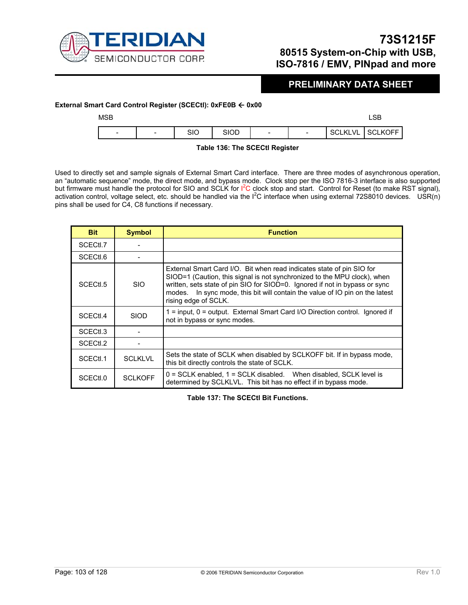

### **PRELIMINARY DATA SHEET**

#### **External Smart Card Control Register (SCECtI): 0xFE0B ← 0x00**

| <b>MSB</b>               |                          |     |             |                          |                          |                | LSB            |
|--------------------------|--------------------------|-----|-------------|--------------------------|--------------------------|----------------|----------------|
| $\overline{\phantom{0}}$ | $\overline{\phantom{0}}$ | SIO | <b>SIOD</b> | $\overline{\phantom{a}}$ | $\overline{\phantom{0}}$ | <b>SCLKLVL</b> | <b>SCLKOFF</b> |

#### **Table 136: The SCECtl Register**

Used to directly set and sample signals of External Smart Card interface. There are three modes of asynchronous operation, an "automatic sequence" mode, the direct mode, and bypass mode. Clock stop per the ISO 7816-3 interface is also supported but firmware must handle the protocol for SIO and SCLK for I<sup>2</sup>C clock stop and start. Control for Reset (to make RST signal), activation control, voltage select, etc. should be handled via the  $1^2C$  interface when using external 72S8010 devices. USR(n) pins shall be used for C4, C8 functions if necessary.

| <b>Bit</b>           | <b>Symbol</b>  | <b>Function</b>                                                                                                                                                                                                                                                                                                                             |
|----------------------|----------------|---------------------------------------------------------------------------------------------------------------------------------------------------------------------------------------------------------------------------------------------------------------------------------------------------------------------------------------------|
| SCECtl.7             |                |                                                                                                                                                                                                                                                                                                                                             |
| SCECtl.6             |                |                                                                                                                                                                                                                                                                                                                                             |
| SCECtl.5             | <b>SIO</b>     | External Smart Card I/O. Bit when read indicates state of pin SIO for<br>SIOD=1 (Caution, this signal is not synchronized to the MPU clock), when<br>written, sets state of pin SIO for SIOD=0. Ignored if not in bypass or sync<br>In sync mode, this bit will contain the value of IO pin on the latest<br>modes.<br>rising edge of SCLK. |
| SCECt <sub>l.4</sub> | <b>SIOD</b>    | 1 = input, 0 = output. External Smart Card I/O Direction control. Ignored if<br>not in bypass or sync modes.                                                                                                                                                                                                                                |
| SCECtl.3             |                |                                                                                                                                                                                                                                                                                                                                             |
| SCECtl.2             |                |                                                                                                                                                                                                                                                                                                                                             |
| SCECtl.1             | <b>SCLKLVL</b> | Sets the state of SCLK when disabled by SCLKOFF bit. If in bypass mode,<br>this bit directly controls the state of SCLK.                                                                                                                                                                                                                    |
| SCEC <sub>tl.0</sub> | <b>SCLKOFF</b> | $0 = \text{SCLK}$ enabled, $1 = \text{SCLK}$ disabled. When disabled, SCLK level is<br>determined by SCLKLVL. This bit has no effect if in bypass mode.                                                                                                                                                                                     |

**Table 137: The SCECtl Bit Functions.**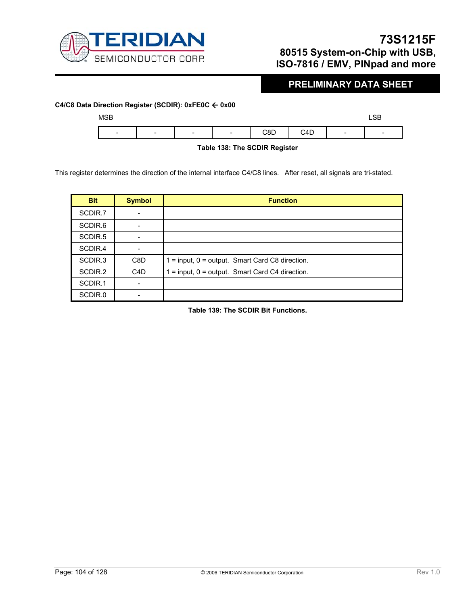

# **PRELIMINARY DATA SHEET**

 $\overline{\phantom{a}}$ 

# **C4/C8 Data Direction Register (SCDIR): 0xFE0C** Å **0x00**   $MSB$  and  $MSB$  and  $MSB$  and  $MSB$  and  $MSB$  and  $MSB$  and  $MSB$  and  $MSB$  and  $MSB$  and  $MSB$  and  $MSB$  and  $MSB$  and  $MSB$  and  $MSB$  and  $MSB$  and  $MSB$  and  $MSB$  and  $MSB$  and  $MSB$  and  $MSB$  and  $MSB$  and  $MSB$  and  $MSB$  and  $MSB$  and  $MSB$

| ን4D<br>$\cdot$<br>$\sim$<br>-<br>-<br>$\overline{\phantom{a}}$<br>-<br>-<br>∼י |  |
|--------------------------------------------------------------------------------|--|

 **Table 138: The SCDIR Register** 

This register determines the direction of the internal interface C4/C8 lines. After reset, all signals are tri-stated.

| <b>Bit</b>          | <b>Symbol</b>    | <b>Function</b>                                       |
|---------------------|------------------|-------------------------------------------------------|
| SCDIR.7             |                  |                                                       |
| SCDIR <sub>.6</sub> | -                |                                                       |
| SCDIR <sub>.5</sub> |                  |                                                       |
| SCDIR.4             |                  |                                                       |
| SCDIR <sub>3</sub>  | C8D              | $1 =$ input, $0 =$ output. Smart Card C8 direction.   |
| SCDIR <sub>.2</sub> | C <sub>4</sub> D | $1 = input$ , $0 = output$ . Smart Card C4 direction. |
| SCDIR.1             |                  |                                                       |
| SCDIR.0             |                  |                                                       |

**Table 139: The SCDIR Bit Functions.**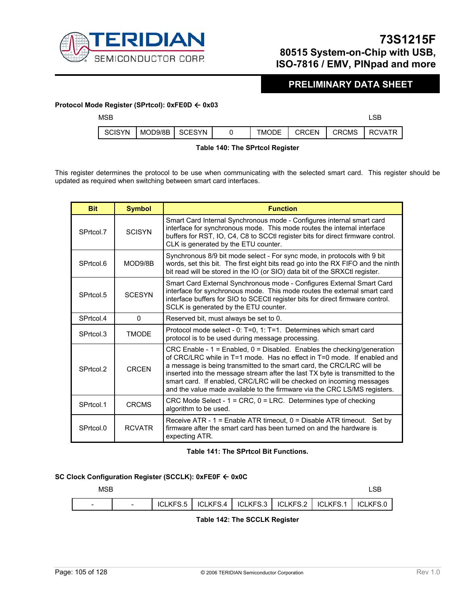

### **PRELIMINARY DATA SHEET**

#### **Protocol Mode Register (SPrtcol): 0xFE0D** Å **0x03**

| <b>MSB</b>    |           |        |              |              |              | ∟SB           |
|---------------|-----------|--------|--------------|--------------|--------------|---------------|
| <b>SCISYN</b> | MOD9/8B I | SCESYN | <b>TMODE</b> | <b>CRCEN</b> | <b>CRCMS</b> | <b>RCVATR</b> |

#### **Table 140: The SPrtcol Register**

This register determines the protocol to be use when communicating with the selected smart card. This register should be updated as required when switching between smart card interfaces.

| <b>Bit</b> | <b>Symbol</b> | <b>Function</b>                                                                                                                                                                                                                                                                                                                                                                                                                                                       |
|------------|---------------|-----------------------------------------------------------------------------------------------------------------------------------------------------------------------------------------------------------------------------------------------------------------------------------------------------------------------------------------------------------------------------------------------------------------------------------------------------------------------|
| SPrtcol.7  | <b>SCISYN</b> | Smart Card Internal Synchronous mode - Configures internal smart card<br>interface for synchronous mode. This mode routes the internal interface<br>buffers for RST, IO, C4, C8 to SCCtI register bits for direct firmware control.<br>CLK is generated by the ETU counter.                                                                                                                                                                                           |
| SPrtcol.6  | MOD9/8B       | Synchronous 8/9 bit mode select - For sync mode, in protocols with 9 bit<br>words, set this bit. The first eight bits read go into the RX FIFO and the ninth<br>bit read will be stored in the IO (or SIO) data bit of the SRXCtl register.                                                                                                                                                                                                                           |
| SPrtcol.5  | <b>SCESYN</b> | Smart Card External Synchronous mode - Configures External Smart Card<br>interface for synchronous mode. This mode routes the external smart card<br>interface buffers for SIO to SCECtI register bits for direct firmware control.<br>SCLK is generated by the ETU counter.                                                                                                                                                                                          |
| SPrtcol.4  | $\Omega$      | Reserved bit, must always be set to 0.                                                                                                                                                                                                                                                                                                                                                                                                                                |
| SPrtcol.3  | <b>TMODE</b>  | Protocol mode select - 0: T=0, 1: T=1. Determines which smart card<br>protocol is to be used during message processing.                                                                                                                                                                                                                                                                                                                                               |
| SPrtcol.2  | <b>CRCFN</b>  | CRC Enable - $1 =$ Enabled, $0 =$ Disabled. Enables the checking/generation<br>of CRC/LRC while in T=1 mode. Has no effect in T=0 mode. If enabled and<br>a message is being transmitted to the smart card, the CRC/LRC will be<br>inserted into the message stream after the last TX byte is transmitted to the<br>smart card. If enabled, CRC/LRC will be checked on incoming messages<br>and the value made available to the firmware via the CRC LS/MS registers. |
| SPrtcol.1  | <b>CRCMS</b>  | CRC Mode Select - $1 = CRC$ , $0 = LRC$ . Determines type of checking<br>algorithm to be used.                                                                                                                                                                                                                                                                                                                                                                        |
| SPrtcol.0  | <b>RCVATR</b> | Receive ATR - $1 =$ Enable ATR timeout, $0 =$ Disable ATR timeout. Set by<br>firmware after the smart card has been turned on and the hardware is<br>expecting ATR.                                                                                                                                                                                                                                                                                                   |

#### **Table 141: The SPrtcol Bit Functions.**

#### **SC Clock Configuration Register (SCCLK): 0xFE0F** Å **0x0C**



#### **Table 142: The SCCLK Register**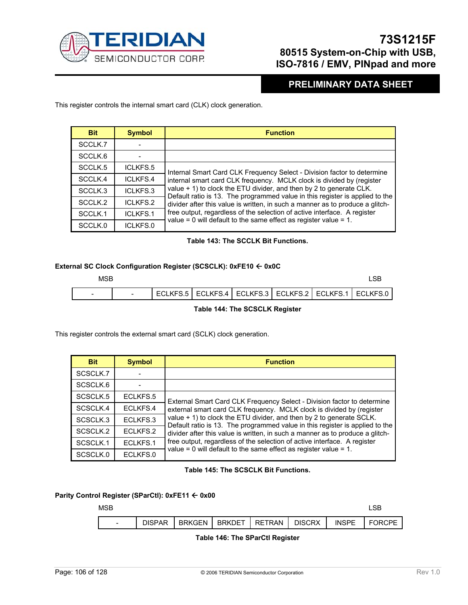

### **PRELIMINARY DATA SHEET**

This register controls the internal smart card (CLK) clock generation.

| <b>Bit</b>          | <b>Symbol</b>   | <b>Function</b>                                                                                                                                     |
|---------------------|-----------------|-----------------------------------------------------------------------------------------------------------------------------------------------------|
| SCCLK.7             |                 |                                                                                                                                                     |
| SCCLK.6             |                 |                                                                                                                                                     |
| SCCLK <sub>.5</sub> | ICLKFS.5        | Internal Smart Card CLK Frequency Select - Division factor to determine                                                                             |
| SCCLK.4             | ICLKFS.4        | internal smart card CLK frequency. MCLK clock is divided by (register                                                                               |
| SCCLK.3             | ICLKFS.3        | value + 1) to clock the ETU divider, and then by 2 to generate CLK.<br>Default ratio is 13. The programmed value in this register is applied to the |
| SCCLK <sub>.2</sub> | ICLKFS.2        | divider after this value is written, in such a manner as to produce a glitch-                                                                       |
| SCCLK.1             | <b>ICLKFS.1</b> | free output, regardless of the selection of active interface. A register                                                                            |
| SCCLK.0             | ICLKFS.0        | value = $0$ will default to the same effect as register value = $1$ .                                                                               |

#### **Table 143: The SCCLK Bit Functions.**

#### **External SC Clock Configuration Register (SCSCLK): 0xFE10** Å **0x0C**

| MSB                      |  |  |  |                                                                 |
|--------------------------|--|--|--|-----------------------------------------------------------------|
| $\overline{\phantom{0}}$ |  |  |  | ECLKFS.5   ECLKFS.4   ECLKFS.3   ECLKFS.2   ECLKFS.1   ECLKFS.0 |
|                          |  |  |  |                                                                 |

#### **Table 144: The SCSCLK Register**

This register controls the external smart card (SCLK) clock generation.

| <b>Bit</b> | <b>Symbol</b> | <b>Function</b>                                                                                                                                      |
|------------|---------------|------------------------------------------------------------------------------------------------------------------------------------------------------|
| SCSCLK.7   |               |                                                                                                                                                      |
| SCSCLK.6   |               |                                                                                                                                                      |
| SCSCLK.5   | ECLKFS.5      | External Smart Card CLK Frequency Select - Division factor to determine                                                                              |
| SCSCLK.4   | ECLKFS.4      | external smart card CLK frequency. MCLK clock is divided by (register                                                                                |
| SCSCLK.3   | ECLKFS.3      | value + 1) to clock the ETU divider, and then by 2 to generate SCLK.<br>Default ratio is 13. The programmed value in this register is applied to the |
| SCSCLK.2   | ECLKFS.2      | divider after this value is written, in such a manner as to produce a glitch-                                                                        |
| SCSCLK.1   | ECLKFS.1      | free output, regardless of the selection of active interface. A register                                                                             |
| SCSCLK.0   | ECLKFS.0      | value = 0 will default to the same effect as register value = $1$ .                                                                                  |

#### **Table 145: The SCSCLK Bit Functions.**

#### **Parity Control Register (SParCtl): 0xFE11** Å **0x00**

| <b>MSB</b>               |               |        |               |        |               |              | _SB    |
|--------------------------|---------------|--------|---------------|--------|---------------|--------------|--------|
| $\overline{\phantom{0}}$ | <b>DISPAR</b> | BRKGEN | <b>BRKDET</b> | RETRAN | <b>DISCRX</b> | <b>INSPE</b> | FORCPE |

#### **Table 146: The SParCtl Register**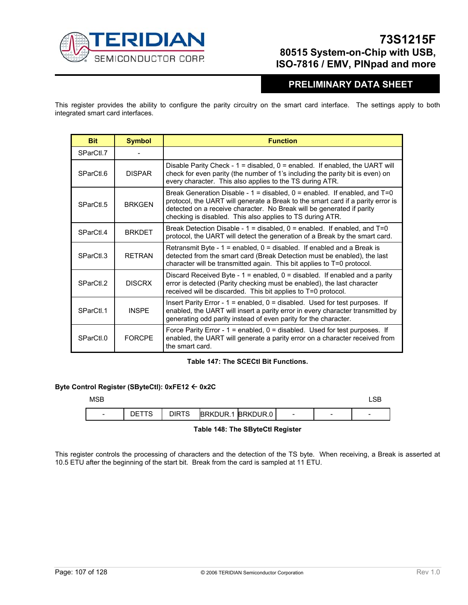

# **PRELIMINARY DATA SHEET**

This register provides the ability to configure the parity circuitry on the smart card interface. The settings apply to both integrated smart card interfaces.

| <b>Bit</b>           | <b>Symbol</b> | <b>Function</b>                                                                                                                                                                                                                                                                                            |
|----------------------|---------------|------------------------------------------------------------------------------------------------------------------------------------------------------------------------------------------------------------------------------------------------------------------------------------------------------------|
| SParCtl.7            |               |                                                                                                                                                                                                                                                                                                            |
| SParCtl.6            | <b>DISPAR</b> | Disable Parity Check - $1 =$ disabled, $0 =$ enabled. If enabled, the UART will<br>check for even parity (the number of 1's including the parity bit is even) on<br>every character. This also applies to the TS during ATR.                                                                               |
| SParCtl.5            | <b>BRKGFN</b> | Break Generation Disable - $1 =$ disabled, $0 =$ enabled. If enabled, and $T = 0$<br>protocol, the UART will generate a Break to the smart card if a parity error is<br>detected on a receive character. No Break will be generated if parity<br>checking is disabled. This also applies to TS during ATR. |
| SParCtl.4            | <b>BRKDFT</b> | Break Detection Disable - $1 =$ disabled, $0 =$ enabled. If enabled, and $T = 0$<br>protocol, the UART will detect the generation of a Break by the smart card.                                                                                                                                            |
| SParCtl.3            | <b>RFTRAN</b> | Retransmit Byte - $1$ = enabled, $0$ = disabled. If enabled and a Break is<br>detected from the smart card (Break Detection must be enabled), the last<br>character will be transmitted again. This bit applies to T=0 protocol.                                                                           |
| SParCtL <sub>2</sub> | <b>DISCRX</b> | Discard Received Byte - $1 =$ enabled, $0 =$ disabled. If enabled and a parity<br>error is detected (Parity checking must be enabled), the last character<br>received will be discarded. This bit applies to T=0 protocol.                                                                                 |
| SParCtl.1            | <b>INSPE</b>  | Insert Parity Error - $1$ = enabled, $0$ = disabled. Used for test purposes. If<br>enabled, the UART will insert a parity error in every character transmitted by<br>generating odd parity instead of even parity for the character.                                                                       |
| SParCtl.0            | <b>FORCPF</b> | Force Parity Error - $1$ = enabled, $0$ = disabled. Used for test purposes. If<br>enabled, the UART will generate a parity error on a character received from<br>the smart card.                                                                                                                           |

#### **Table 147: The SCECtl Bit Functions.**

#### **Byte Control Register (SByteCtl): 0xFE12** Å **0x2C**

| <b>MSB</b>               |             |              |          |          |                          |   | ے ت                      |
|--------------------------|-------------|--------------|----------|----------|--------------------------|---|--------------------------|
| $\overline{\phantom{0}}$ | DE '<br>ט ו | <b>DIRTS</b> | BRKDUR.1 | BRKDUR.0 | $\overline{\phantom{0}}$ | - | $\overline{\phantom{a}}$ |

 **Table 148: The SByteCtl Register** 

This register controls the processing of characters and the detection of the TS byte. When receiving, a Break is asserted at 10.5 ETU after the beginning of the start bit. Break from the card is sampled at 11 ETU.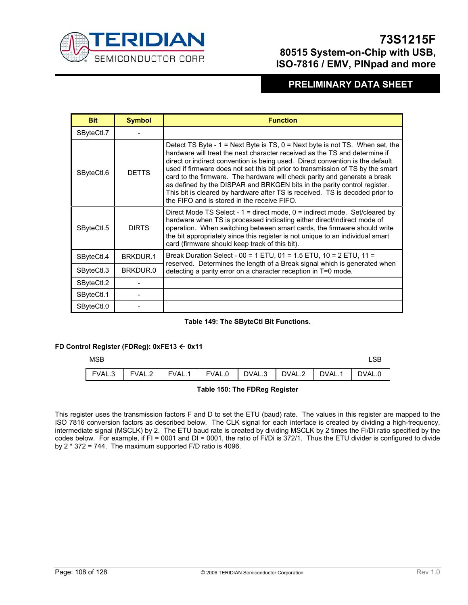

### **PRELIMINARY DATA SHEET**

| <b>Bit</b> | <b>Symbol</b> | <b>Function</b>                                                                                                                                                                                                                                                                                                                                                                                                                                                                                                                                                                                                            |  |  |  |  |
|------------|---------------|----------------------------------------------------------------------------------------------------------------------------------------------------------------------------------------------------------------------------------------------------------------------------------------------------------------------------------------------------------------------------------------------------------------------------------------------------------------------------------------------------------------------------------------------------------------------------------------------------------------------------|--|--|--|--|
| SByteCtl.7 |               |                                                                                                                                                                                                                                                                                                                                                                                                                                                                                                                                                                                                                            |  |  |  |  |
| SByteCtl.6 | <b>DETTS</b>  | Detect TS Byte - $1 =$ Next Byte is TS, $0 =$ Next byte is not TS. When set, the<br>hardware will treat the next character received as the TS and determine if<br>direct or indirect convention is being used. Direct convention is the default<br>used if firmware does not set this bit prior to transmission of TS by the smart<br>card to the firmware. The hardware will check parity and generate a break<br>as defined by the DISPAR and BRKGEN bits in the parity control register.<br>This bit is cleared by hardware after TS is received. TS is decoded prior to<br>the FIFO and is stored in the receive FIFO. |  |  |  |  |
| SByteCtl.5 | <b>DIRTS</b>  | Direct Mode TS Select - $1 =$ direct mode, $0 =$ indirect mode. Set/cleared by<br>hardware when TS is processed indicating either direct/indirect mode of<br>operation. When switching between smart cards, the firmware should write<br>the bit appropriately since this register is not unique to an individual smart<br>card (firmware should keep track of this bit).                                                                                                                                                                                                                                                  |  |  |  |  |
| SByteCtl.4 | BRKDUR.1      | Break Duration Select - 00 = 1 ETU, 01 = 1.5 ETU, 10 = 2 ETU, 11 =<br>reserved. Determines the length of a Break signal which is generated when                                                                                                                                                                                                                                                                                                                                                                                                                                                                            |  |  |  |  |
| SByteCtl.3 | BRKDUR.0      | detecting a parity error on a character reception in T=0 mode.                                                                                                                                                                                                                                                                                                                                                                                                                                                                                                                                                             |  |  |  |  |
| SByteCtl.2 |               |                                                                                                                                                                                                                                                                                                                                                                                                                                                                                                                                                                                                                            |  |  |  |  |
| SByteCtl.1 |               |                                                                                                                                                                                                                                                                                                                                                                                                                                                                                                                                                                                                                            |  |  |  |  |
| SByteCtl.0 |               |                                                                                                                                                                                                                                                                                                                                                                                                                                                                                                                                                                                                                            |  |  |  |  |

#### **Table 149: The SByteCtl Bit Functions.**

#### **FD Control Register (FDReg): 0xFE13** Å **0x11**

| <b>MSB</b>                                                            |  |  |  |  |
|-----------------------------------------------------------------------|--|--|--|--|
| FVAL.3   FVAL.2   FVAL.1   FVAL.0   DVAL.3   DVAL.2   DVAL.1   DVAL.0 |  |  |  |  |

#### **Table 150: The FDReg Register**

This register uses the transmission factors F and D to set the ETU (baud) rate. The values in this register are mapped to the ISO 7816 conversion factors as described below. The CLK signal for each interface is created by dividing a high-frequency, intermediate signal (MSCLK) by 2. The ETU baud rate is created by dividing MSCLK by 2 times the Fi/Di ratio specified by the codes below. For example, if FI = 0001 and DI = 0001, the ratio of Fi/Di is 372/1. Thus the ETU divider is configured to divide by 2 \* 372 = 744. The maximum supported F/D ratio is 4096.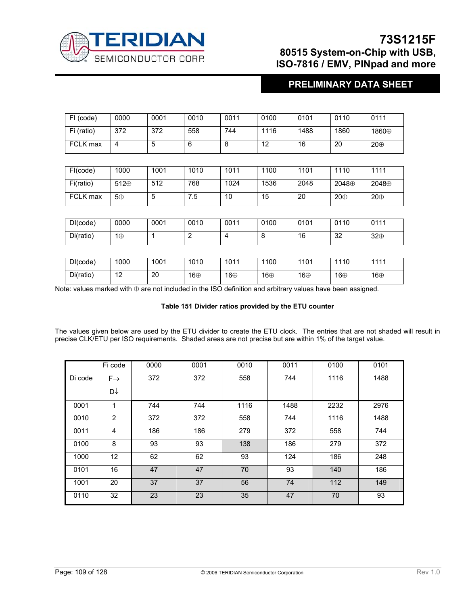

## **PRELIMINARY DATA SHEET**

| FI (code)  | 0000 | 0001 | 0010 | 0011 | 0100 | 0101 | 0110 | 0111  |
|------------|------|------|------|------|------|------|------|-------|
| Fi (ratio) | 372  | 372  | 558  | 744  | 1116 | 1488 | 1860 | 1860⊕ |
| FCLK max   | 4    | đ    |      | O    | 12   | 16   | 20   | 20⊕   |

| FI(code)  | 1000 | 1001   | 1010 | 1011 | 1100 | 1101 | 1110  | 1111  |
|-----------|------|--------|------|------|------|------|-------|-------|
| Fi(ratio) | 512⊕ | 512    | 768  | 1024 | 1536 | 2048 | 2048⊕ | 2048⊕ |
| FCLK max  | 5⊕   | ∽<br>u | 5.'  | 10   | 15   | 20   | 20⊕   | 20⊕   |

| DI(code)  | 0000 | 0001 | 0010 | 0011 | 0100 | 0101 | 0110 | 0111 |
|-----------|------|------|------|------|------|------|------|------|
| Di(ratio) | 1⊕   |      |      |      | u    | 16   | 32   | 32⊕  |

| DI(code)  | 1000      | 1001 | 1010 | 1011 | 1100 | 1101 | 1110 | 1111 |
|-----------|-----------|------|------|------|------|------|------|------|
| Di(ratio) | 12<br>' 4 | 20   | 16⊕  | 16⊕  | 16⊕  | 16⊕  | 16⊕  | 16⊕  |

Note: values marked with ⊕ are not included in the ISO definition and arbitrary values have been assigned.

### **Table 151 Divider ratios provided by the ETU counter**

The values given below are used by the ETU divider to create the ETU clock. The entries that are not shaded will result in precise CLK/ETU per ISO requirements. Shaded areas are not precise but are within 1% of the target value.

|         | Fi code         | 0000 | 0001 | 0010 | 0011 | 0100 | 0101 |
|---------|-----------------|------|------|------|------|------|------|
| Di code | $F \rightarrow$ | 372  | 372  | 558  | 744  | 1116 | 1488 |
|         | D∱              |      |      |      |      |      |      |
| 0001    | 1               | 744  | 744  | 1116 | 1488 | 2232 | 2976 |
| 0010    | 2               | 372  | 372  | 558  | 744  | 1116 | 1488 |
| 0011    | 4               | 186  | 186  | 279  | 372  | 558  | 744  |
| 0100    | 8               | 93   | 93   | 138  | 186  | 279  | 372  |
| 1000    | 12              | 62   | 62   | 93   | 124  | 186  | 248  |
| 0101    | 16              | 47   | 47   | 70   | 93   | 140  | 186  |
| 1001    | 20              | 37   | 37   | 56   | 74   | 112  | 149  |
| 0110    | 32              | 23   | 23   | 35   | 47   | 70   | 93   |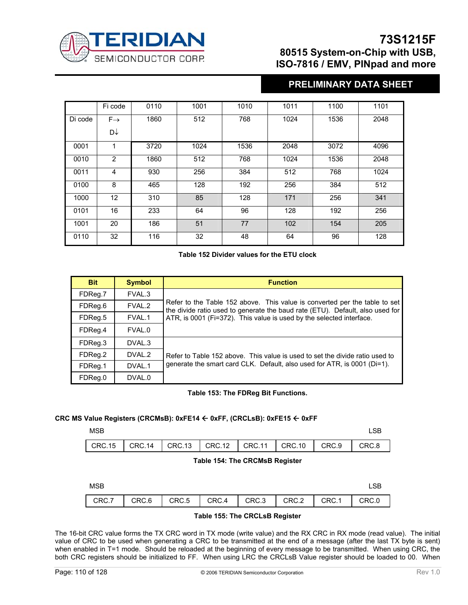

## **PRELIMINARY DATA SHEET**

|         | Fi code         | 0110 | 1001 | 1010 | 1011 | 1100 | 1101 |
|---------|-----------------|------|------|------|------|------|------|
| Di code | $F \rightarrow$ | 1860 | 512  | 768  | 1024 | 1536 | 2048 |
|         | D↓              |      |      |      |      |      |      |
| 0001    | $\mathbf{1}$    | 3720 | 1024 | 1536 | 2048 | 3072 | 4096 |
| 0010    | $\overline{2}$  | 1860 | 512  | 768  | 1024 | 1536 | 2048 |
| 0011    | 4               | 930  | 256  | 384  | 512  | 768  | 1024 |
| 0100    | 8               | 465  | 128  | 192  | 256  | 384  | 512  |
| 1000    | 12              | 310  | 85   | 128  | 171  | 256  | 341  |
| 0101    | 16              | 233  | 64   | 96   | 128  | 192  | 256  |
| 1001    | 20              | 186  | 51   | 77   | 102  | 154  | 205  |
| 0110    | 32              | 116  | 32   | 48   | 64   | 96   | 128  |

### **Table 152 Divider values for the ETU clock**

| <b>Bit</b> | <b>Symbol</b>     | <b>Function</b>                                                                                                                                             |
|------------|-------------------|-------------------------------------------------------------------------------------------------------------------------------------------------------------|
| FDReg.7    | FVAL.3            |                                                                                                                                                             |
| FDReg.6    | FVAL.2            | Refer to the Table 152 above. This value is converted per the table to set<br>the divide ratio used to generate the baud rate (ETU). Default, also used for |
| FDReg.5    | FVAL.1            | ATR, is 0001 (Fi=372). This value is used by the selected interface.                                                                                        |
| FDReg.4    | FVAL.0            |                                                                                                                                                             |
| FDReg.3    | DVAL.3            |                                                                                                                                                             |
| FDReg.2    | DVAL.2            | Refer to Table 152 above. This value is used to set the divide ratio used to                                                                                |
| FDReg.1    | DVAL <sub>1</sub> | generate the smart card CLK. Default, also used for ATR, is 0001 (Di=1).                                                                                    |
| FDReg.0    | DVAL.0            |                                                                                                                                                             |

### **Table 153: The FDReg Bit Functions.**

### **CRC MS Value Registers (CRCMsB): 0xFE14** Å **0xFF, (CRCLsB): 0xFE15** Å **0xFF**

| <b>LSB</b><br>_____ |
|---------------------|
|                     |

 $\lceil$ 

| CRC.15   CRC.14   CRC.13   CRC.12   CRC.11   CRC.10   CRC.9   CRC.8 |  |  |  |  |
|---------------------------------------------------------------------|--|--|--|--|
|                                                                     |  |  |  |  |

### **Table 154: The CRCMsB Register**

| <b>MSB</b> |                         |             |       |       |
|------------|-------------------------|-------------|-------|-------|
| CRC.7      | $CRC.6$ $CRC.5$ $CRC.4$ | CRC.3 CRC.2 | CRC.1 | CRC.0 |

### **Table 155: The CRCLsB Register**

The 16-bit CRC value forms the TX CRC word in TX mode (write value) and the RX CRC in RX mode (read value). The initial value of CRC to be used when generating a CRC to be transmitted at the end of a message (after the last TX byte is sent) when enabled in T=1 mode. Should be reloaded at the beginning of every message to be transmitted. When using CRC, the both CRC registers should be initialized to FF. When using LRC the CRCLsB Value register should be loaded to 00. When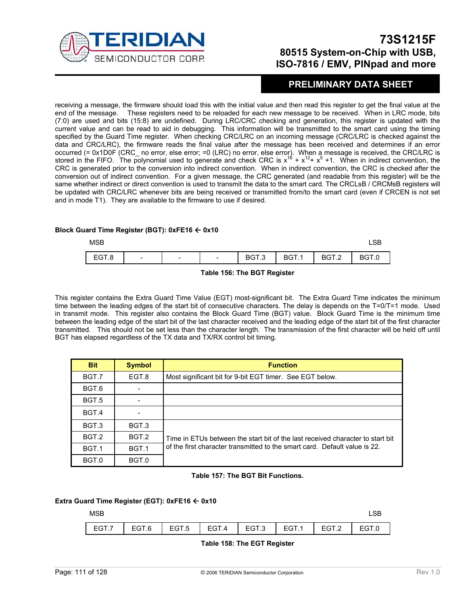

## **PRELIMINARY DATA SHEET**

receiving a message, the firmware should load this with the initial value and then read this register to get the final value at the end of the message. These registers need to be reloaded for each new message to be received. When in LRC mode, bits (7:0) are used and bits (15:8) are undefined. During LRC/CRC checking and generation, this register is updated with the current value and can be read to aid in debugging. This information will be transmitted to the smart card using the timing specified by the Guard Time register. When checking CRC/LRC on an incoming message (CRC/LRC is checked against the data and CRC/LRC), the firmware reads the final value after the message has been received and determines if an error occurred (= 0x1D0F (CRC\_ no error, else error; =0 (LRC) no error, else error). When a message is received, the CRC/LRC is stored in the FIFO. The polynomial used to generate and check CRC is  $x^{16} + x^{12} + x^5 + 1$ . When in indirect convention, the CRC is generated prior to the conversion into indirect convention. When in indirect convention, the CRC is checked after the conversion out of indirect convention. For a given message, the CRC generated (and readable from this register) will be the same whether indirect or direct convention is used to transmit the data to the smart card. The CRCLsB / CRCMsB registers will be updated with CRC/LRC whenever bits are being received or transmitted from/to the smart card (even if CRCEN is not set and in mode T1). They are available to the firmware to use if desired.

### **Block Guard Time Register (BGT): 0xFE16** Å **0x10**

| <b>MSB</b> |                          |                          |                          |       |       |       | டுப    |
|------------|--------------------------|--------------------------|--------------------------|-------|-------|-------|--------|
| EGT.8      | $\overline{\phantom{0}}$ | $\overline{\phantom{0}}$ | $\overline{\phantom{0}}$ | BGT.3 | BGT.1 | BGT.2 | 59 I.U |

 **Table 156: The BGT Register** 

This register contains the Extra Guard Time Value (EGT) most-significant bit. The Extra Guard Time indicates the minimum time between the leading edges of the start bit of consecutive characters. The delay is depends on the T=0/T=1 mode. Used in transmit mode. This register also contains the Block Guard Time (BGT) value. Block Guard Time is the minimum time between the leading edge of the start bit of the last character received and the leading edge of the start bit of the first character transmitted. This should not be set less than the character length. The transmission of the first character will be held off until BGT has elapsed regardless of the TX data and TX/RX control bit timing.

| <b>Bit</b>       | <b>Symbol</b> | <b>Function</b>                                                                |
|------------------|---------------|--------------------------------------------------------------------------------|
| BGT.7            | EGT.8         | Most significant bit for 9-bit EGT timer. See EGT below.                       |
| BGT.6            |               |                                                                                |
| BGT.5            |               |                                                                                |
| BGT.4            |               |                                                                                |
| BGT.3            | BGT.3         |                                                                                |
| BGT.2            | BGT.2         | Time in ETUs between the start bit of the last received character to start bit |
| BGT <sub>1</sub> | BGT.1         | of the first character transmitted to the smart card. Default value is 22.     |
| BGT.0            | BGT.0         |                                                                                |

#### **Table 157: The BGT Bit Functions.**

#### **Extra Guard Time Register (EGT): 0xFE16 ← 0x10**

### $MSB$  and  $MSB$  and  $MSB$  and  $MSB$  and  $MSB$  and  $MSB$  and  $MSB$  and  $MSB$  and  $MSB$  and  $MSB$  and  $MSB$  and  $MSB$  and  $MSB$  and  $MSB$  and  $MSB$  and  $MSB$  and  $MSB$  and  $MSB$  and  $MSB$  and  $MSB$  and  $MSB$  and  $MSB$  and  $MSB$  and  $MSB$  and  $MSB$

| EGT.7   EGT.6   EGT.5   EGT.4   EGT.3   EGT.1   EGT.2   EGT.0 |  |  |  |  |
|---------------------------------------------------------------|--|--|--|--|

#### **Table 158: The EGT Register**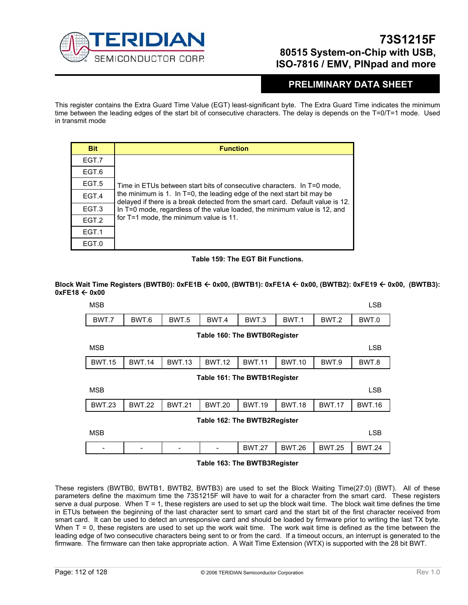

## **PRELIMINARY DATA SHEET**

This register contains the Extra Guard Time Value (EGT) least-significant byte. The Extra Guard Time indicates the minimum time between the leading edges of the start bit of consecutive characters. The delay is depends on the T=0/T=1 mode. Used in transmit mode

| <b>Bit</b> | <b>Function</b>                                                                                                                                           |
|------------|-----------------------------------------------------------------------------------------------------------------------------------------------------------|
| EGT.7      |                                                                                                                                                           |
| EGT.6      |                                                                                                                                                           |
| EGT.5      | Time in ETUs between start bits of consecutive characters. In T=0 mode,                                                                                   |
| EGT.4      | the minimum is 1. In T=0, the leading edge of the next start bit may be<br>delayed if there is a break detected from the smart card. Default value is 12. |
| EGT.3      | In T=0 mode, regardless of the value loaded, the minimum value is 12, and                                                                                 |
| EGT.2      | for T=1 mode, the minimum value is 11.                                                                                                                    |
| EGT.1      |                                                                                                                                                           |
| EGT.0      |                                                                                                                                                           |

### **Table 159: The EGT Bit Functions.**

### **Block Wait Time Registers (BWTB0): 0xFE1B** Å **0x00, (BWTB1): 0xFE1A** Å **0x00, (BWTB2): 0xFE19** Å **0x00, (BWTB3): 0xFE18** Å **0x00**



#### **Table 163: The BWTB3Register**

These registers (BWTB0, BWTB1, BWTB2, BWTB3) are used to set the Block Waiting Time(27:0) (BWT). All of these parameters define the maximum time the 73S1215F will have to wait for a character from the smart card. These registers serve a dual purpose. When T = 1, these registers are used to set up the block wait time. The block wait time defines the time in ETUs between the beginning of the last character sent to smart card and the start bit of the first character received from smart card. It can be used to detect an unresponsive card and should be loaded by firmware prior to writing the last TX byte. When  $T = 0$ , these registers are used to set up the work wait time. The work wait time is defined as the time between the leading edge of two consecutive characters being sent to or from the card. If a timeout occurs, an interrupt is generated to the firmware. The firmware can then take appropriate action. A Wait Time Extension (WTX) is supported with the 28 bit BWT.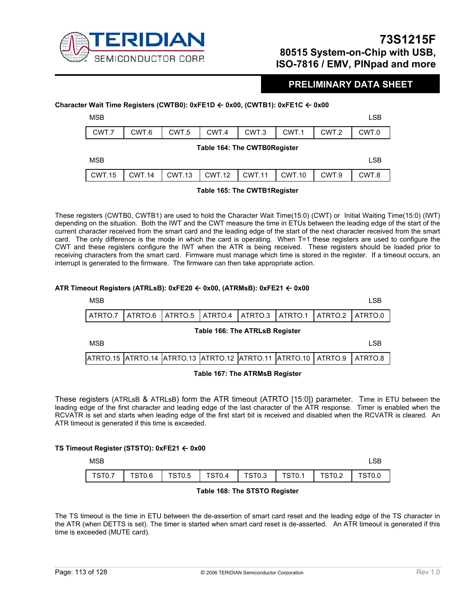

### **PRELIMINARY DATA SHEET**

### **Character Wait Time Registers (CWTB0): 0xFE1D** Å **0x00, (CWTB1): 0xFE1C** Å **0x00**

| <b>MSB</b> |       |       |                              |       |       |       | LSB   |
|------------|-------|-------|------------------------------|-------|-------|-------|-------|
| CWT.7      | CWT.6 | CWT.5 | CWT.4                        | CWT.3 | CWT.1 | CWT.2 | CWT.0 |
|            |       |       | Table 164: The CWTB0Register |       |       |       |       |

| <b>MSB</b> |        |                      |        |       | LSE   |
|------------|--------|----------------------|--------|-------|-------|
| CWT.15     | CWT.14 | CWT.13 CWT.12 CWT.11 | CWT.10 | CWT.9 | CWT.8 |

#### **Table 165: The CWTB1Register**

These registers (CWTB0, CWTB1) are used to hold the Character Wait Time(15:0) (CWT) or Initial Waiting Time(15:0) (IWT) depending on the situation. Both the IWT and the CWT measure the time in ETUs between the leading edge of the start of the current character received from the smart card and the leading edge of the start of the next character received from the smart card. The only difference is the mode in which the card is operating. When T=1 these registers are used to configure the CWT and these registers configure the IWT when the ATR is being received. These registers should be loaded prior to receiving characters from the smart card. Firmware must manage which time is stored in the register. If a timeout occurs, an interrupt is generated to the firmware. The firmware can then take appropriate action.

### **ATR Timeout Registers (ATRLsB): 0xFE20** Å **0x00, (ATRMsB): 0xFE21** Å **0x00**



These registers (ATRLsB & ATRLsB) form the ATR timeout (ATRTO [15:0]) parameter. Time in ETU between the leading edge of the first character and leading edge of the last character of the ATR response. Timer is enabled when the RCVATR is set and starts when leading edge of the first start bit is received and disabled when the RCVATR is cleared. An ATR timeout is generated if this time is exceeded.

#### **TS Timeout Register (STSTO): 0xFE21** Å **0x00**

| <b>MSB</b> |  |                                            |  |                                 |        |
|------------|--|--------------------------------------------|--|---------------------------------|--------|
| TST0.7     |  | TST0.6   TST0.5   TST0.4   TST0.3   TST0.1 |  | $\overline{\phantom{0}}$ TST0.2 | TST0.0 |

#### **Table 168: The STSTO Register**

The TS timeout is the time in ETU between the de-assertion of smart card reset and the leading edge of the TS character in the ATR (when DETTS is set). The timer is started when smart card reset is de-asserted. An ATR timeout is generated if this time is exceeded (MUTE card).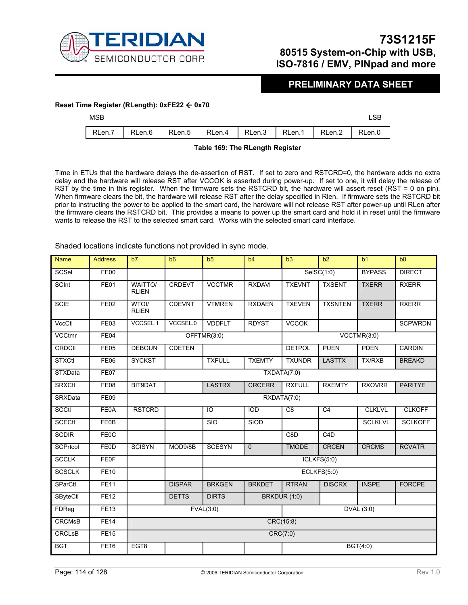

### **PRELIMINARY DATA SHEET**

### **Reset Time Register (RLength): 0xFE22** Å **0x70**

| MSB |                                                                       |  |  |  |
|-----|-----------------------------------------------------------------------|--|--|--|
|     | RLen.7   RLen.6   RLen.5   RLen.4   RLen.3   RLen.1   RLen.2   RLen.0 |  |  |  |

#### **Table 169: The RLength Register**

Time in ETUs that the hardware delays the de-assertion of RST. If set to zero and RSTCRD=0, the hardware adds no extra delay and the hardware will release RST after VCCOK is asserted during power-up. If set to one, it will delay the release of RST by the time in this register. When the firmware sets the RSTCRD bit, the hardware will assert reset (RST = 0 on pin). When firmware clears the bit, the hardware will release RST after the delay specified in Rlen. If firmware sets the RSTCRD bit prior to instructing the power to be applied to the smart card, the hardware will not release RST after power-up until RLen after the firmware clears the RSTCRD bit. This provides a means to power up the smart card and hold it in reset until the firmware wants to release the RST to the selected smart card. Works with the selected smart card interface.

Shaded locations indicate functions not provided in sync mode.

| <b>Name</b>     | <b>Address</b> | b7                      | b6            | b <sub>5</sub> | b4            | b3               | $\overline{b2}$          | b <sub>1</sub> | b <sub>0</sub> |
|-----------------|----------------|-------------------------|---------------|----------------|---------------|------------------|--------------------------|----------------|----------------|
| SCSel           | FE00           |                         |               |                |               |                  | SelSC(1:0)               | <b>BYPASS</b>  | <b>DIRECT</b>  |
| SCInt           | FE01           | WAITTO/<br><b>RLIEN</b> | <b>CRDEVT</b> | <b>VCCTMR</b>  | <b>RXDAVI</b> | <b>TXEVNT</b>    | <b>TXSENT</b>            | <b>TXERR</b>   | <b>RXERR</b>   |
| <b>SCIE</b>     | FE02           | WTOI/<br><b>RLIEN</b>   | CDEVNT        | <b>VTMREN</b>  | <b>RXDAEN</b> | <b>TXEVEN</b>    | <b>TXSNTEN</b>           | <b>TXERR</b>   | <b>RXERR</b>   |
| VccCtl          | <b>FE03</b>    | VCCSEL.1                | VCCSEL.0      | <b>VDDFLT</b>  | <b>RDYST</b>  | <b>VCCOK</b>     |                          |                | <b>SCPWRDN</b> |
| VCCtmr          | FE04           |                         |               | OFFTMR(3:0)    |               |                  |                          | VCCTMR(3:0)    |                |
| <b>CRDCtl</b>   | FE05           | <b>DEBOUN</b>           | <b>CDETEN</b> |                |               | <b>DETPOL</b>    | <b>PUEN</b>              | <b>PDEN</b>    | CARDIN         |
| <b>STXCtl</b>   | <b>FE06</b>    | <b>SYCKST</b>           |               | <b>TXFULL</b>  | <b>TXEMTY</b> | <b>TXUNDR</b>    | <b>LASTTX</b>            | <b>TX/RXB</b>  | <b>BREAKD</b>  |
| <b>STXData</b>  | FE07           |                         |               |                |               | TXDATA(7:0)      |                          |                |                |
| <b>SRXCtl</b>   | <b>FE08</b>    | BIT9DAT                 |               | <b>LASTRX</b>  | <b>CRCERR</b> | <b>RXFULL</b>    | <b>RXEMTY</b>            | <b>RXOVRR</b>  | <b>PARITYE</b> |
| <b>SRXData</b>  | FE09           |                         |               |                |               | RXDATA(7:0)      |                          |                |                |
| SCCtl           | <b>FE0A</b>    | <b>RSTCRD</b>           |               | IO             | <b>IOD</b>    | C <sub>8</sub>   | C <sub>4</sub>           | <b>CLKLVL</b>  | <b>CLKOFF</b>  |
| SCECtl          | <b>FE0B</b>    |                         |               | <b>SIO</b>     | SIOD          |                  |                          | <b>SCLKLVL</b> | <b>SCLKOFF</b> |
| <b>SCDIR</b>    | <b>FE0C</b>    |                         |               |                |               | C <sub>8</sub> D | C4D                      |                |                |
| SCPrtcol        | <b>FEOD</b>    | <b>SCISYN</b>           | MOD9/8B       | <b>SCESYN</b>  | $\mathbf 0$   | <b>TMODE</b>     | <b>CRCEN</b>             | <b>CRCMS</b>   | <b>RCVATR</b>  |
| <b>SCCLK</b>    | <b>FE0F</b>    |                         |               |                |               |                  | ICLKFS(5:0)              |                |                |
| <b>SCSCLK</b>   | <b>FE10</b>    |                         |               |                |               |                  | $\overline{ECLKFS(5:0)}$ |                |                |
| SParCtl         | <b>FE11</b>    |                         | <b>DISPAR</b> | <b>BRKGEN</b>  | <b>BRKDET</b> | <b>RTRAN</b>     | <b>DISCRX</b>            | <b>INSPE</b>   | <b>FORCPE</b>  |
| <b>SByteCtl</b> | FE12           |                         | <b>DETTS</b>  | <b>DIRTS</b>   |               | BRKDUR (1:0)     |                          |                |                |
| FDReg           | FE13           |                         |               | FVAL(3:0)      |               |                  |                          | DVAL (3:0)     |                |
| <b>CRCMsB</b>   | <b>FE14</b>    |                         |               |                |               | CRC(15:8)        |                          |                |                |
| <b>CRCLsB</b>   | <b>FE15</b>    |                         |               |                |               | CRC(7:0)         |                          |                |                |
| <b>BGT</b>      | <b>FE16</b>    | EGT8                    |               |                |               |                  |                          | BGT(4:0)       |                |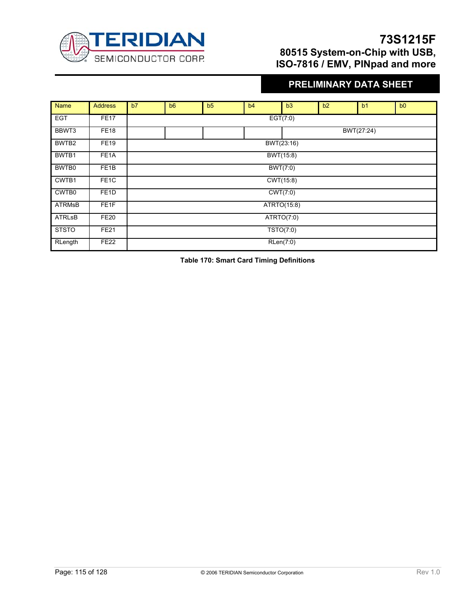

# **PRELIMINARY DATA SHEET**

| <b>Name</b>   | <b>Address</b>    | b7 | b <sub>6</sub> | b5 | b4 | b3          | b2         | b <sub>1</sub> | b <sub>0</sub> |  |  |
|---------------|-------------------|----|----------------|----|----|-------------|------------|----------------|----------------|--|--|
| <b>EGT</b>    | <b>FE17</b>       |    |                |    |    | EGT(7:0)    |            |                |                |  |  |
| BBWT3         | <b>FE18</b>       |    |                |    |    |             | BWT(27:24) |                |                |  |  |
| BWTB2         | <b>FE19</b>       |    |                |    |    | BWT(23:16)  |            |                |                |  |  |
| BWTB1         | FE <sub>1</sub> A |    |                |    |    | BWT(15:8)   |            |                |                |  |  |
| BWTB0         | FE <sub>1</sub> B |    |                |    |    | BWT(7:0)    |            |                |                |  |  |
| CWTB1         | FE <sub>1</sub> C |    |                |    |    | CWT(15:8)   |            |                |                |  |  |
| CWTB0         | FE <sub>1</sub> D |    |                |    |    | CWT(7:0)    |            |                |                |  |  |
| <b>ATRMsB</b> | FE <sub>1</sub> F |    |                |    |    | ATRTO(15:8) |            |                |                |  |  |
| <b>ATRLsB</b> | <b>FE20</b>       |    |                |    |    | ATRTO(7:0)  |            |                |                |  |  |
| <b>STSTO</b>  | <b>FE21</b>       |    |                |    |    | TSTO(7:0)   |            |                |                |  |  |
| RLength       | <b>FE22</b>       |    |                |    |    | RLen(7:0)   |            |                |                |  |  |

**Table 170: Smart Card Timing Definitions**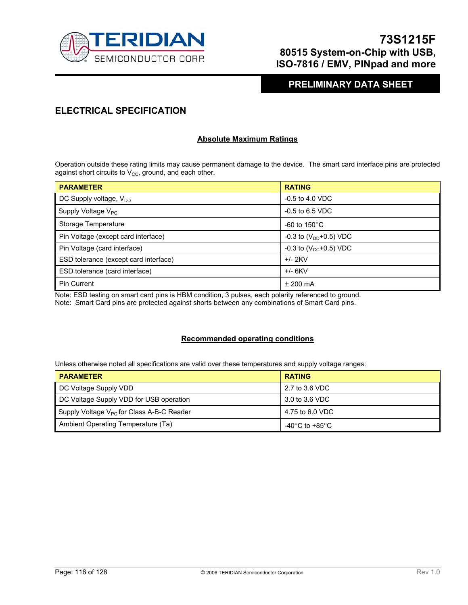

## **PRELIMINARY DATA SHEET**

## **ELECTRICAL SPECIFICATION**

### **Absolute Maximum Ratings**

Operation outside these rating limits may cause permanent damage to the device. The smart card interface pins are protected against short circuits to  $V_{CC}$ , ground, and each other.

| <b>PARAMETER</b>                      | <b>RATING</b>                           |
|---------------------------------------|-----------------------------------------|
| DC Supply voltage, V <sub>DD</sub>    | $-0.5$ to 4.0 VDC                       |
| Supply Voltage $V_{PC}$               | $-0.5$ to 6.5 VDC                       |
| Storage Temperature                   | -60 to 150 $\mathrm{^{\circ}C}$         |
| Pin Voltage (except card interface)   | $-0.3$ to (V <sub>DD</sub> $+0.5$ ) VDC |
| Pin Voltage (card interface)          | -0.3 to $(V_{CC}+0.5)$ VDC              |
| ESD tolerance (except card interface) | $+/- 2$ KV                              |
| ESD tolerance (card interface)        | $+/- 6$ KV                              |
| <b>Pin Current</b>                    | $\pm$ 200 mA                            |

Note: ESD testing on smart card pins is HBM condition, 3 pulses, each polarity referenced to ground.

Note: Smart Card pins are protected against shorts between any combinations of Smart Card pins.

### **Recommended operating conditions**

Unless otherwise noted all specifications are valid over these temperatures and supply voltage ranges:

| <b>PARAMETER</b>                               | <b>RATING</b>                        |
|------------------------------------------------|--------------------------------------|
| DC Voltage Supply VDD                          | 2.7 to 3.6 VDC                       |
| DC Voltage Supply VDD for USB operation        | 3.0 to 3.6 VDC                       |
| Supply Voltage $V_{PC}$ for Class A-B-C Reader | 4.75 to 6.0 VDC                      |
| Ambient Operating Temperature (Ta)             | -40 $^{\circ}$ C to +85 $^{\circ}$ C |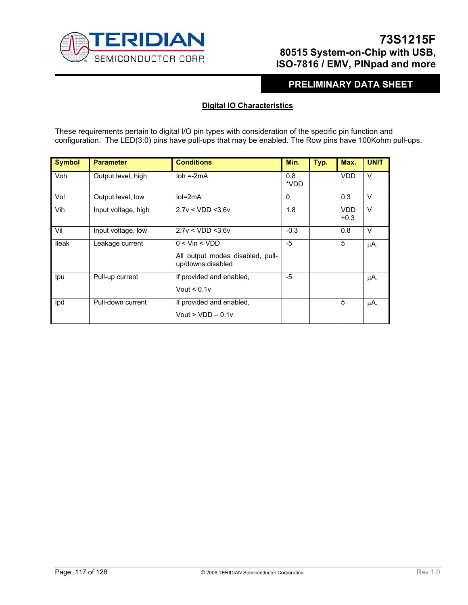

## **PRELIMINARY DATA SHEET**

### **Digital IO Characteristics**

These requirements pertain to digital I/O pin types with consideration of the specific pin function and configuration. The LED(3:0) pins have pull-ups that may be enabled. The Row pins have 100Kohm pull-ups.

| <b>Symbol</b> | <b>Parameter</b>    | <b>Conditions</b>                                                          | Min.        | Typ. | Max.                 | <b>UNIT</b> |
|---------------|---------------------|----------------------------------------------------------------------------|-------------|------|----------------------|-------------|
| Voh           | Output level, high  | $\mathsf{Ioh} = 2\mathsf{mA}$                                              | 0.8<br>*VDD |      | <b>VDD</b>           | $\vee$      |
| Vol           | Output level, low   | $IoI = 2mA$                                                                | $\Omega$    |      | 0.3                  | $\vee$      |
| Vih           | Input voltage, high | 2.7v < VDD < 3.6v                                                          | 1.8         |      | <b>VDD</b><br>$+0.3$ | $\vee$      |
| Vil           | Input voltage, low  | 2.7v < VDD < 3.6v                                                          | $-0.3$      |      | 0.8                  | $\vee$      |
| <b>Ileak</b>  | Leakage current     | $0 <$ Vin $<$ VDD<br>All output modes disabled, pull-<br>up/downs disabled | $-5$        |      | 5                    | μA.         |
| lpu           | Pull-up current     | If provided and enabled,<br>Vout $< 0.1v$                                  | -5          |      |                      | μA.         |
| Ipd           | Pull-down current   | If provided and enabled,<br>Vout $>$ VDD $-$ 0.1v                          |             |      | 5                    | μA.         |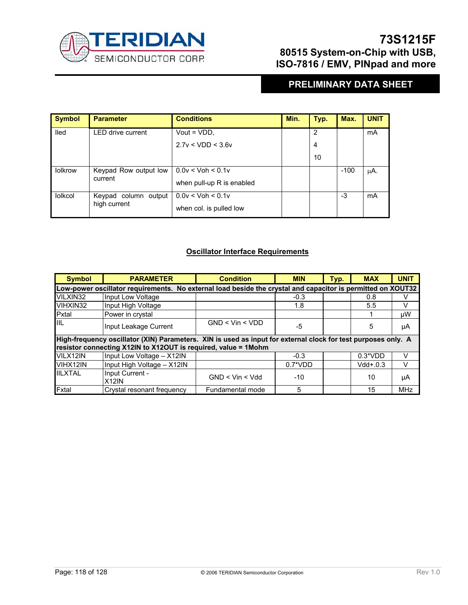

# **PRELIMINARY DATA SHEET**

| <b>Symbol</b>  | <b>Parameter</b>         | <b>Conditions</b>         | Min. | Typ.           | Max.   | <b>UNIT</b> |
|----------------|--------------------------|---------------------------|------|----------------|--------|-------------|
| lled           | <b>LED drive current</b> | Vout = $VDD$ .            |      | $\overline{2}$ |        | mA          |
|                |                          | 2.7v < VDD < 3.6v         |      | 4              |        |             |
|                |                          |                           |      | 10             |        |             |
| lolkrow        | Keypad Row output low    | $0.0v <$ Voh $<$ 0.1v     |      |                | $-100$ | μA.         |
| current        |                          | when pull-up R is enabled |      |                |        |             |
| <b>lolkcol</b> | Keypad column output     | $0.0v <$ Voh $<$ 0.1v     |      |                | -3     | mA          |
|                | high current             | when col. is pulled low   |      |                |        |             |

### **Oscillator Interface Requirements**

| <b>Symbol</b>  | <b>PARAMETER</b>                                                                                                                                                                | <b>Condition</b>    | <b>MIN</b> | Typ. | <b>MAX</b> | <b>UNIT</b> |  |  |
|----------------|---------------------------------------------------------------------------------------------------------------------------------------------------------------------------------|---------------------|------------|------|------------|-------------|--|--|
|                | Low-power oscillator requirements. No external load beside the crystal and capacitor is permitted on XOUT32                                                                     |                     |            |      |            |             |  |  |
| VILXIN32       | Input Low Voltage                                                                                                                                                               |                     | $-0.3$     |      | 0.8        |             |  |  |
| VIHXIN32       | Input High Voltage                                                                                                                                                              |                     | 1.8        |      | 5.5        | v           |  |  |
| Pxtal          | Power in crystal                                                                                                                                                                |                     |            |      |            | μW          |  |  |
| IIIL           | Input Leakage Current                                                                                                                                                           | $GND <$ Vin $<$ VDD | -5         |      | 5          | μA          |  |  |
|                | High-frequency oscillator (XIN) Parameters. XIN is used as input for external clock for test purposes only. A<br>resistor connecting X12IN to X12OUT is required, value = 1Mohm |                     |            |      |            |             |  |  |
| VILX12IN       | Input Low Voltage - X12IN                                                                                                                                                       |                     | $-0.3$     |      | $0.3*VDD$  | v           |  |  |
| VIHX12IN       | Input High Voltage - X12IN                                                                                                                                                      |                     | $0.7^*VDD$ |      | $Vdd+.0.3$ | V           |  |  |
| <b>IILXTAL</b> | Input Current -<br>X12IN                                                                                                                                                        | $GND <$ Vin $<$ Vdd | $-10$      |      | 10         | μA          |  |  |
| Fxtal          | Crystal resonant frequency                                                                                                                                                      | Fundamental mode    | 5          |      | 15         | <b>MHz</b>  |  |  |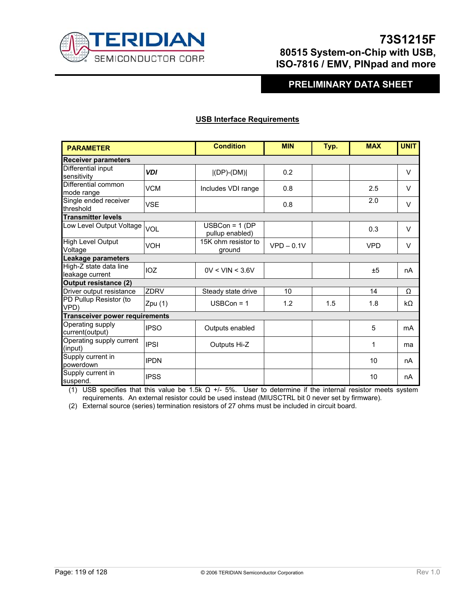

## **PRELIMINARY DATA SHEET**

### **USB Interface Requirements**

| <b>PARAMETER</b>                          |             | <b>Condition</b>                     | <b>MIN</b>   | Typ. | <b>MAX</b> | <b>UNIT</b> |
|-------------------------------------------|-------------|--------------------------------------|--------------|------|------------|-------------|
| <b>Receiver parameters</b>                |             |                                      |              |      |            |             |
| Differential input<br>sensitivity         | <b>VDI</b>  | $ (DP)-(DM) $                        | 0.2          |      |            | $\vee$      |
| Differential common<br>mode range         | <b>VCM</b>  | Includes VDI range                   | 0.8          |      | 2.5        | $\vee$      |
| Single ended receiver<br>threshold        | <b>VSE</b>  |                                      | 0.8          |      | 2.0        | $\vee$      |
| <b>Transmitter levels</b>                 |             |                                      |              |      |            |             |
| Low Level Output Voltage                  | <b>VOL</b>  | $USBCon = 1 (DP)$<br>pullup_enabled) |              |      | 0.3        | $\vee$      |
| High Level Output<br>Voltage              | <b>VOH</b>  | 15K ohm resistor to<br>ground        | $VPD - 0.1V$ |      | <b>VPD</b> | $\vee$      |
| Leakage parameters                        |             |                                      |              |      |            |             |
| High-Z state data line<br>leakage current | IOZ         | 0V < VIN < 3.6V                      |              |      | ±5         | nA          |
| <b>Output resistance (2)</b>              |             |                                      |              |      |            |             |
| Driver output resistance                  | <b>ZDRV</b> | Steady state drive                   | 10           |      | 14         | Ω           |
| PD Pullup Resistor (to<br>VPD)            | Zpu(1)      | $USBCon = 1$                         | 1.2          | 1.5  | 1.8        | $k\Omega$   |
| <b>Transceiver power requirements</b>     |             |                                      |              |      |            |             |
| Operating supply<br>current(output)       | <b>IPSO</b> | Outputs enabled                      |              |      | 5          | mA          |
| Operating supply current<br>(input)       | <b>IPSI</b> | Outputs Hi-Z                         |              |      | 1          | ma          |
| Supply current in<br>powerdown            | <b>IPDN</b> |                                      |              |      | 10         | nA          |
| Supply current in<br>suspend.             | <b>IPSS</b> |                                      |              |      | 10         | nA          |

(1) USB specifies that this value be 1.5k Ω +/- 5%. User to determine if the internal resistor meets system requirements. An external resistor could be used instead (MIUSCTRL bit 0 never set by firmware).

(2) External source (series) termination resistors of 27 ohms must be included in circuit board.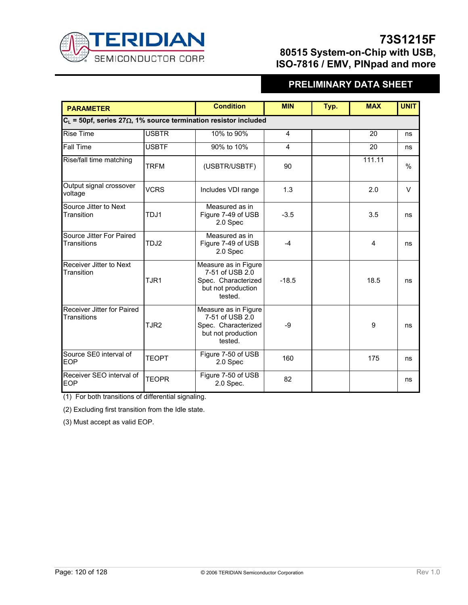

# **PRELIMINARY DATA SHEET**

| <b>PARAMETER</b>                                                           |                  | <b>Condition</b>                                                                                | <b>MIN</b> | Typ. | <b>MAX</b> | <b>UNIT</b>   |
|----------------------------------------------------------------------------|------------------|-------------------------------------------------------------------------------------------------|------------|------|------------|---------------|
| $C_L$ = 50pf, series 27 $\Omega$ , 1% source termination resistor included |                  |                                                                                                 |            |      |            |               |
| <b>Rise Time</b>                                                           | <b>USBTR</b>     | 10% to 90%                                                                                      | 4          |      | 20         | ns            |
| Fall Time                                                                  | <b>USBTF</b>     | 90% to 10%                                                                                      | 4          |      | 20         | ns            |
| Rise/fall time matching                                                    | <b>TRFM</b>      | (USBTR/USBTF)                                                                                   | 90         |      | 111.11     | $\frac{0}{0}$ |
| Output signal crossover<br>voltage                                         | <b>VCRS</b>      | Includes VDI range                                                                              | 1.3        |      | 2.0        | $\vee$        |
| Source Jitter to Next<br>Transition                                        | TDJ1             | Measured as in<br>Figure 7-49 of USB<br>2.0 Spec                                                | $-3.5$     |      | 3.5        | ns            |
| Source Jitter For Paired<br>Transitions                                    | TDJ <sub>2</sub> | Measured as in<br>Figure 7-49 of USB<br>2.0 Spec                                                | $-4$       |      | 4          | ns            |
| Receiver Jitter to Next<br>Transition                                      | TJR <sub>1</sub> | Measure as in Figure<br>7-51 of USB 2.0<br>Spec. Characterized<br>but not production<br>tested. | $-18.5$    |      | 18.5       | ns            |
| Receiver Jitter for Paired<br>Transitions                                  | TJR <sub>2</sub> | Measure as in Figure<br>7-51 of USB 2.0<br>Spec. Characterized<br>but not production<br>tested. | $-9$       |      | 9          | ns            |
| Source SE0 interval of<br><b>EOP</b>                                       | <b>TEOPT</b>     | Figure 7-50 of USB<br>2.0 Spec                                                                  | 160        |      | 175        | ns            |
| Receiver SEO interval of<br><b>EOP</b>                                     | <b>TEOPR</b>     | Figure 7-50 of USB<br>2.0 Spec.                                                                 | 82         |      |            | ns            |

(1) For both transitions of differential signaling.

(2) Excluding first transition from the Idle state.

(3) Must accept as valid EOP.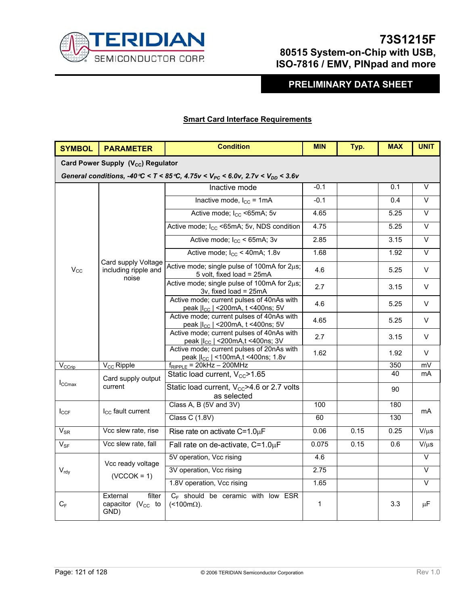

# **PRELIMINARY DATA SHEET**

### **Smart Card Interface Requirements**

| <b>SYMBOL</b>      | <b>PARAMETER</b>                                     | <b>Condition</b>                                                                                 | <b>MIN</b>  | Typ. | <b>MAX</b> | <b>UNIT</b>       |
|--------------------|------------------------------------------------------|--------------------------------------------------------------------------------------------------|-------------|------|------------|-------------------|
|                    | Card Power Supply (V <sub>cc</sub> ) Regulator       |                                                                                                  |             |      |            |                   |
|                    |                                                      | General conditions, -40 °C < T < 85 °C, 4.75 v < $V_{PC}$ < 6.0v, 2.7 v < $V_{DD}$ < 3.6 v       |             |      |            |                   |
|                    |                                                      | Inactive mode                                                                                    | $-0.1$      |      | 0.1        | $\overline{\vee}$ |
|                    |                                                      | Inactive mode, $I_{CC} = 1mA$                                                                    | $-0.1$      |      | 0.4        | V                 |
|                    |                                                      | Active mode; I <sub>CC</sub> <65mA; 5v                                                           | 4.65        |      | 5.25       | $\vee$            |
|                    |                                                      | Active mode; I <sub>CC</sub> <65mA; 5v, NDS condition                                            | 4.75        |      | 5.25       | V                 |
|                    |                                                      | Active mode; $I_{CC}$ < 65mA; 3v                                                                 | 2.85        |      | 3.15       | $\overline{\vee}$ |
|                    |                                                      | Active mode; $I_{CC}$ < 40mA; 1.8v                                                               | 1.68        |      | 1.92       | $\overline{\vee}$ |
| $V_{\rm CC}$       | Card supply Voltage<br>including ripple and<br>noise | Active mode; single pulse of 100mA for 2µs;<br>5 volt, fixed load = 25mA                         | 4.6         |      | 5.25       | V                 |
|                    |                                                      | Active mode; single pulse of 100mA for 2µs;<br>3v, fixed load = 25mA                             | 2.7         |      | 3.15       | V                 |
|                    |                                                      | Active mode; current pulses of 40nAs with<br>peak   I <sub>cc</sub>   < 200 m A, t < 400 ns; 5 V | 4.6         |      | 5.25       | V                 |
|                    |                                                      | Active mode; current pulses of 40nAs with<br>peak   I <sub>cc</sub>   < 200 mA, t < 400 ns; 5 V  | 4.65        |      | 5.25       | V                 |
|                    |                                                      | Active mode; current pulses of 40nAs with<br>peak   I <sub>cc</sub>   < 200 m A, t < 400 ns; 3 V | 2.7         |      | 3.15       | V                 |
|                    |                                                      | Active mode; current pulses of 20nAs with<br>peak   I <sub>cc</sub>   <100mA,t <400ns; 1.8v      | 1.62        |      | 1.92       | V                 |
| V <sub>CCrip</sub> | $V_{\text{CC}}$ Ripple                               | $f_{RIPPLE}$ = 20kHz - 200MHz                                                                    |             |      | 350        | mV                |
|                    | Card supply output                                   | Static load current, V <sub>cc</sub> >1.65                                                       |             |      | 40         | mA                |
| $I_{CCmax}$        | current                                              | Static load current, $V_{CC}$ >4.6 or 2.7 volts<br>as selected                                   |             |      | 90         |                   |
|                    |                                                      | Class A, B (5V and 3V)                                                                           | 100         |      | 180        | mA                |
| $I_{CCF}$          | $I_{CC}$ fault current                               | <b>Class C (1.8V)</b>                                                                            | 60          |      | 130        |                   |
| $V_{SR}$           | Vcc slew rate, rise                                  | Rise rate on activate $C=1.0\mu F$                                                               | 0.06        | 0.15 | 0.25       | $V/\mu s$         |
| $V_{SF}$           | Vcc slew rate, fall                                  | Fall rate on de-activate, $C=1.0\mu F$                                                           | 0.075       | 0.15 | 0.6        | $V/\mu s$         |
|                    | Vcc ready voltage                                    | 5V operation, Vcc rising                                                                         | 4.6         |      |            | $\overline{\vee}$ |
| $V_{\text{rdy}}$   | $(VCCOK = 1)$                                        | 3V operation, Vcc rising                                                                         | 2.75        |      |            | V                 |
|                    |                                                      | 1.8V operation, Vcc rising                                                                       | 1.65        |      |            | $\overline{\vee}$ |
| $C_F$              | External<br>filter<br>capacitor $(V_{CC}$ to<br>GND) | $C_F$ should be ceramic with low ESR<br>$($ < 100m $\Omega$ ).                                   | $\mathbf 1$ |      | 3.3        | $\mu$ F           |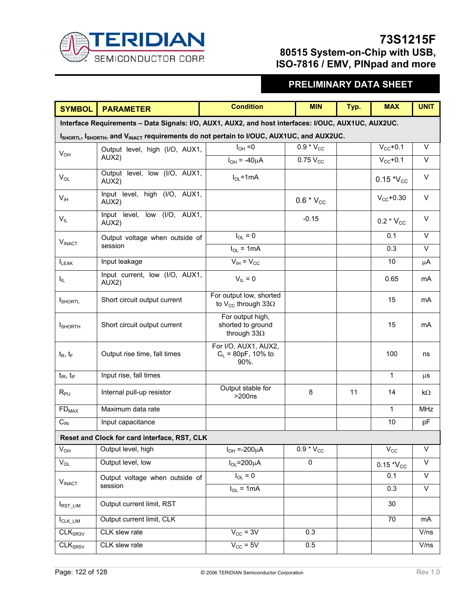

# **PRELIMINARY DATA SHEET**

| <b>SYMBOL</b>                                                                                       | <b>PARAMETER</b>                                    | <b>Condition</b>                                                  | <b>MIN</b>     | Typ. | <b>MAX</b>      | <b>UNIT</b>             |  |  |
|-----------------------------------------------------------------------------------------------------|-----------------------------------------------------|-------------------------------------------------------------------|----------------|------|-----------------|-------------------------|--|--|
| Interface Requirements - Data Signals: I/O, AUX1, AUX2, and host interfaces: I/OUC, AUX1UC, AUX2UC. |                                                     |                                                                   |                |      |                 |                         |  |  |
| ISHORTL, ISHORTH, and VINACT requirements do not pertain to I/OUC, AUX1UC, and AUX2UC.              |                                                     |                                                                   |                |      |                 |                         |  |  |
| $V_{OH}$                                                                                            | Output level, high (I/O, AUX1,                      | $I_{OH} = 0$                                                      | $0.9 * V_{CC}$ |      | $V_{CC}$ +0.1   | $\vee$                  |  |  |
|                                                                                                     | AUX2)                                               | $I_{OH} = -40 \mu A$                                              | $0.75V_{CC}$   |      | $V_{CC}$ +0.1   | $\vee$                  |  |  |
| $V_{OL}$                                                                                            | Output level, low (I/O, AUX1,<br>AUX <sub>2</sub> ) | $I_{OL}$ =1mA                                                     |                |      | $0.15 *V_{CC}$  | $\vee$                  |  |  |
| V <sub>IH</sub>                                                                                     | Input level, high (I/O, AUX1,<br>AUX2)              |                                                                   | $0.6 * V_{CC}$ |      | $V_{CC}$ +0.30  | V                       |  |  |
| $V_{IL}$                                                                                            | Input level,<br>low (I/O, AUX1,<br>AUX2)            |                                                                   | $-0.15$        |      | 0.2 $*V_{CC}$   | V                       |  |  |
| V <sub>INACT</sub>                                                                                  | Output voltage when outside of                      | $I_{OL} = 0$                                                      |                |      | 0.1             | $\overline{\vee}$       |  |  |
|                                                                                                     | session                                             | $I_{OL}$ = 1mA                                                    |                |      | 0.3             | $\vee$                  |  |  |
| $I_{LEAK}$                                                                                          | Input leakage                                       | $V_{IH} = V_{CC}$                                                 |                |      | 10              | $\mu$ A                 |  |  |
| $I_{\rm IL}$                                                                                        | Input current, low (I/O, AUX1,<br>AUX2)             | $V_{IL} = 0$                                                      |                |      | 0.65            | mA                      |  |  |
| <b>I</b> SHORTL                                                                                     | Short circuit output current                        | For output low, shorted<br>to V <sub>cc</sub> through 33 $\Omega$ |                |      | 15              | mA                      |  |  |
| <b>I</b> SHORTH                                                                                     | Short circuit output current                        | For output high,<br>shorted to ground<br>through $33\Omega$       |                |      | 15              | mA                      |  |  |
| $t_R$ , $t_F$                                                                                       | Output rise time, fall times                        | For I/O, AUX1, AUX2,<br>$C_L$ = 80pF, 10% to<br>90%.              |                |      | 100             | ns                      |  |  |
| $t_{IR}$ , $t_{IF}$                                                                                 | Input rise, fall times                              |                                                                   |                |      | $\mathbf{1}$    | μS                      |  |  |
| $R_{PU}$                                                                                            | Internal pull-up resistor                           | Output stable for<br>>200ns                                       | 8              | 11   | 14              | kΩ                      |  |  |
| $FD_{MAX}$                                                                                          | Maximum data rate                                   |                                                                   |                |      | $\overline{1}$  | <b>MHz</b>              |  |  |
| $C_{IN}$                                                                                            | Input capacitance                                   |                                                                   |                |      | 10              | pF                      |  |  |
| Reset and Clock for card interface, RST, CLK                                                        |                                                     |                                                                   |                |      |                 |                         |  |  |
| $V_{OH}$                                                                                            | Output level, high                                  | $I_{OH} = -200 \mu A$                                             | $0.9 * V_{CC}$ |      | $V_{\text{CC}}$ | $\overline{\vee}$       |  |  |
| $V_{OL}$                                                                                            | Output level, low                                   | $I_{OL} = 200 \mu A$                                              | 0              |      | $0.15 * V_{CC}$ | $\mathsf{V}$            |  |  |
|                                                                                                     | Output voltage when outside of                      | $I_{OL} = 0$                                                      |                |      | 0.1             | $\overline{\vee}$       |  |  |
| V <sub>INACT</sub>                                                                                  | session                                             | $I_{OL}$ = 1mA                                                    |                |      | 0.3             | $\overline{\mathsf{V}}$ |  |  |
| <b>IRST_LIM</b>                                                                                     | Output current limit, RST                           |                                                                   |                |      | 30              |                         |  |  |
| $I_{CLK_LIM}$                                                                                       | Output current limit, CLK                           |                                                                   |                |      | $\overline{70}$ | mA                      |  |  |
| CLK <sub>SR3V</sub>                                                                                 | CLK slew rate                                       | $V_{\text{CC}} = 3V$                                              | 0.3            |      |                 | V/ns                    |  |  |
| CLK <sub>SRSV</sub>                                                                                 | CLK slew rate                                       | $V_{\text{CC}}$ = 5V                                              | 0.5            |      |                 | V/ns                    |  |  |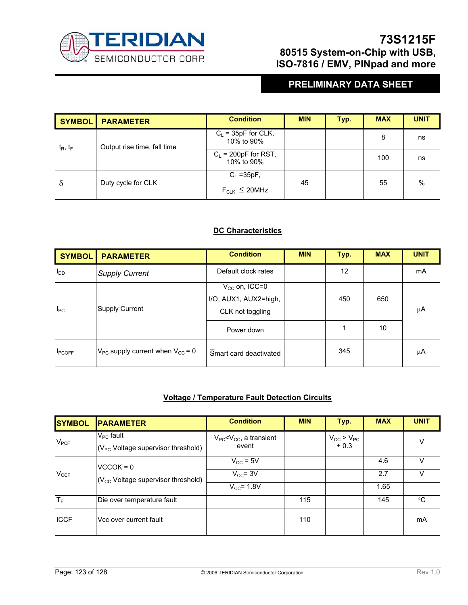

# **PRELIMINARY DATA SHEET**

| <b>SYMBOL</b> | <b>PARAMETER</b>            | <b>Condition</b>                     | <b>MIN</b> | Typ. | <b>MAX</b> | <b>UNIT</b> |
|---------------|-----------------------------|--------------------------------------|------------|------|------------|-------------|
| $t_R$ , $t_F$ | Output rise time, fall time | $C_L$ = 35pF for CLK,<br>10% to 90%  |            |      | 8          | ns          |
|               |                             | $C_L$ = 200pF for RST,<br>10% to 90% |            |      | 100        | ns          |
| $\delta$      | Duty cycle for CLK          | $C_L = 35pF$ ,                       | 45         |      | 55         | $\%$        |
|               |                             | $F_{CLK} \leq 20$ MHz                |            |      |            |             |

### **DC Characteristics**

| <b>SYMBOL</b>  | <b>PARAMETER</b>                          | <b>Condition</b>                                                | <b>MIN</b> | Typ. | <b>MAX</b> | <b>UNIT</b> |
|----------------|-------------------------------------------|-----------------------------------------------------------------|------------|------|------------|-------------|
| $I_{DD}$       | <b>Supply Current</b>                     | Default clock rates                                             |            | 12   |            | mA          |
| $I_{PC}$       | Supply Current                            | $V_{CC}$ on, ICC=0<br>I/O, AUX1, AUX2=high,<br>CLK not toggling |            | 450  | 650        | μA          |
|                |                                           | Power down                                                      |            | 1    | 10         |             |
| <b>I</b> PCOFF | $V_{PC}$ supply current when $V_{CC}$ = 0 | Smart card deactivated                                          |            | 345  |            | μA          |

### **Voltage / Temperature Fault Detection Circuits**

| <b>SYMBOL</b>   | <b>PARAMETER</b>                                          | <b>Condition</b>                           | <b>MIN</b> | Typ.                       | <b>MAX</b> | <b>UNIT</b> |
|-----------------|-----------------------------------------------------------|--------------------------------------------|------------|----------------------------|------------|-------------|
| $V_{PCF}$       | $V_{PC}$ fault<br>$(V_{PC}$ Voltage supervisor threshold) | $V_{PC}$ < $V_{CC}$ , a transient<br>event |            | $V_{CC} > V_{PC}$<br>+ 0.3 |            | ν           |
|                 | $VCCOK = 0$                                               | $V_{\text{CC}}$ = 5V                       |            |                            | 4.6        |             |
| $V_{CCF}$       | $(V_{\text{CC}}$ Voltage supervisor threshold)            | $V_{CC}$ = 3V                              |            |                            | 2.7        |             |
|                 |                                                           | $V_{CC}$ = 1.8V                            |            |                            | 1.65       |             |
| Iт <sub>ғ</sub> | Die over temperature fault                                |                                            | 115        |                            | 145        | °C          |
| <b>ICCF</b>     | Vcc over current fault                                    |                                            | 110        |                            |            | mA          |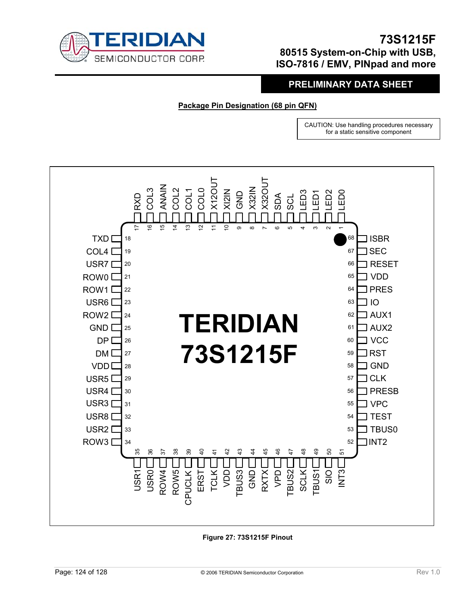

## **PRELIMINARY DATA SHEET**

**Package Pin Designation (68 pin QFN)**

CAUTION: Use handling procedures necessary for a static sensitive component



**Figure 27: 73S1215F Pinout**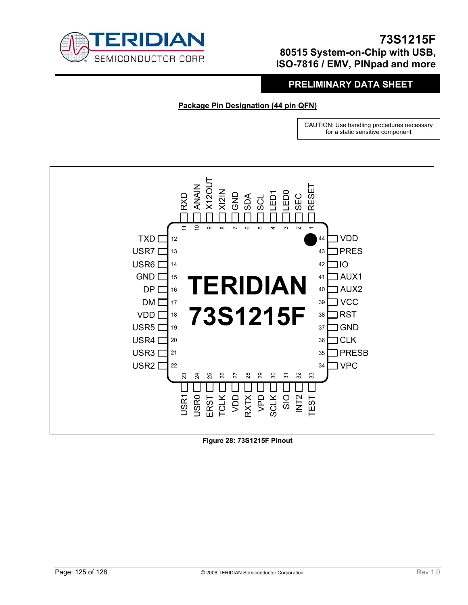

## **PRELIMINARY DATA SHEET**

**Package Pin Designation (44 pin QFN)**

CAUTION: Use handling procedures necessary for a static sensitive component



**Figure 28: 73S1215F Pinout**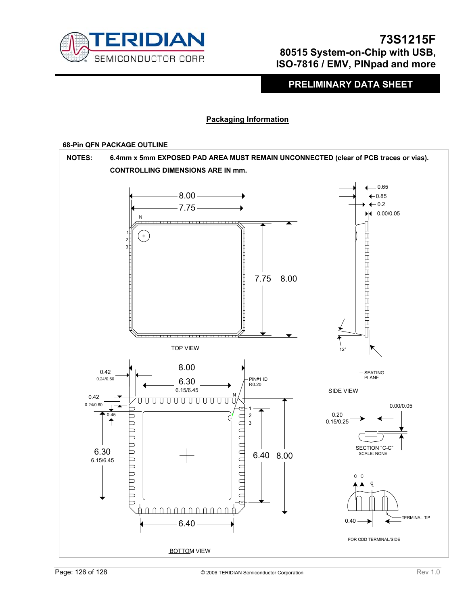

**PRELIMINARY DATA SHEET** 

### **Packaging Information**

### **68-Pin QFN PACKAGE OUTLINE**

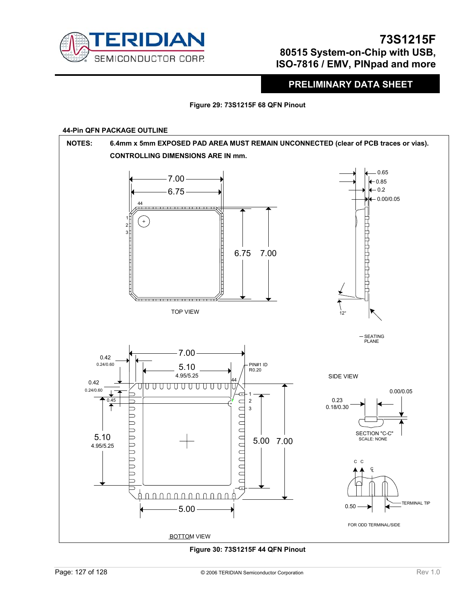

**PRELIMINARY DATA SHEET** 

**Figure 29: 73S1215F 68 QFN Pinout** 

### **44-Pin QFN PACKAGE OUTLINE**



**Figure 30: 73S1215F 44 QFN Pinout**